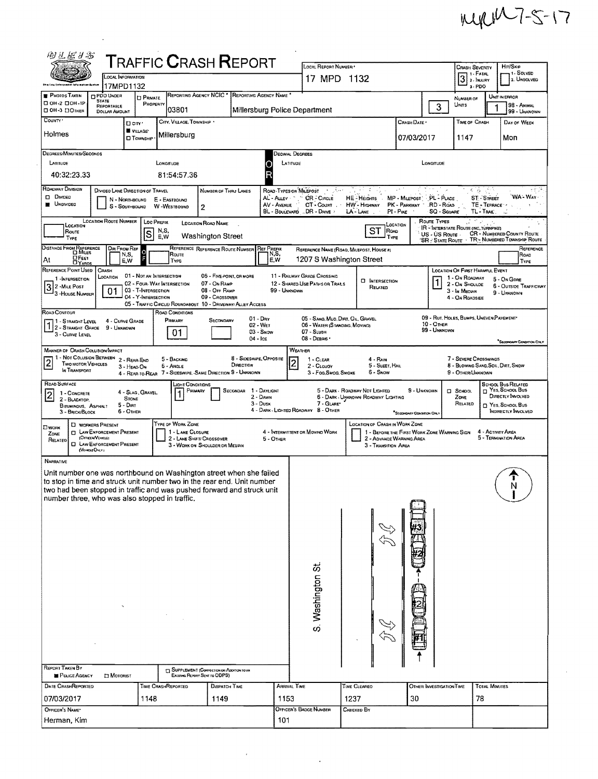## MIRIM7-5-17

 $\sim$ 

 $\mathcal{A}^{\prime}$ 

| 的可在某名                                                                                                                                          |                                                               |                                                   |                           |                                       | <b>TRAFFIC CRASH REPORT</b>                                                   |                                    |                                                 |                                     |                                                                       |                                                                               |             |                             |                                                   |                                    |                                                                                       |
|------------------------------------------------------------------------------------------------------------------------------------------------|---------------------------------------------------------------|---------------------------------------------------|---------------------------|---------------------------------------|-------------------------------------------------------------------------------|------------------------------------|-------------------------------------------------|-------------------------------------|-----------------------------------------------------------------------|-------------------------------------------------------------------------------|-------------|-----------------------------|---------------------------------------------------|------------------------------------|---------------------------------------------------------------------------------------|
|                                                                                                                                                | LOCAL INFORMATION                                             |                                                   |                           |                                       |                                                                               |                                    |                                                 | LOCAL REPORT NUMBER                 |                                                                       |                                                                               |             |                             | CRASH SEVERITY<br>1 - FATAL                       |                                    | <b>H</b> ir/Skip<br>1- SOLVED                                                         |
|                                                                                                                                                | 17MPD1132                                                     |                                                   |                           |                                       |                                                                               |                                    |                                                 | 17 MPD 1132                         |                                                                       |                                                                               |             |                             | $3 \times 1$ NJURY<br>$3 - PDO$                   |                                    | 2. UNSOLVED                                                                           |
| PHOTOS TAKEN                                                                                                                                   | <b>DPDO UNDER</b><br><b>STATE</b>                             | <b>D</b> PRIVATE                                  |                           | REPORTING AGENCY NCIC                 |                                                                               | REPORTING AGENCY NAME              |                                                 |                                     |                                                                       |                                                                               |             |                             | NUMBER OF                                         |                                    | UNIT IN ERROR                                                                         |
| □ 0H-2 □ 0H-1P<br>CI OH-3 CI OTHER                                                                                                             | REPORTABLE<br><b>DOLLAR AMBUNT</b>                            | PROPERTY                                          |                           | 03801                                 |                                                                               | Millersburg Police Department      |                                                 |                                     |                                                                       |                                                                               |             | 3                           | Units                                             |                                    | <b>98 - ANIMAL</b><br>99 - UNKNOWN                                                    |
| COUNTY <sup>.</sup>                                                                                                                            |                                                               | □ City '                                          |                           | CITY, VILLAGE, TOWNSHIP               |                                                                               |                                    |                                                 |                                     |                                                                       | CRASH DATE                                                                    |             |                             | <b>TIME OF CRASH</b>                              |                                    | DAY OF WEEK                                                                           |
| Holmes                                                                                                                                         |                                                               | VILLAGE*<br><b>D</b> TOWNSHIP                     | Millersburg               |                                       |                                                                               |                                    |                                                 |                                     |                                                                       | 07/03/2017                                                                    |             |                             | 1147                                              |                                    | Mon                                                                                   |
|                                                                                                                                                |                                                               |                                                   |                           |                                       |                                                                               |                                    |                                                 |                                     |                                                                       |                                                                               |             |                             |                                                   |                                    |                                                                                       |
| DEGREES/MINUTES/SECONDS                                                                                                                        |                                                               |                                                   |                           |                                       |                                                                               |                                    | Jecimal Degrees                                 |                                     |                                                                       |                                                                               |             |                             |                                                   |                                    |                                                                                       |
| LATITUDE                                                                                                                                       |                                                               |                                                   | LONGITUDE                 |                                       |                                                                               |                                    | LATITUDE                                        |                                     |                                                                       |                                                                               |             | LONGITUDE                   |                                                   |                                    |                                                                                       |
| 40:32:23.33                                                                                                                                    |                                                               |                                                   |                           | 81:54:57.36                           |                                                                               | R                                  |                                                 |                                     |                                                                       |                                                                               |             |                             |                                                   |                                    |                                                                                       |
| <b>ROADWAY DIVISION</b><br><b>Divideo</b>                                                                                                      | DIVIDED LANE DIRECTION OF TRAVEL                              |                                                   |                           |                                       | NUMBER OF THRU LANES                                                          |                                    | ROAD TYPES OR MILEPOST                          |                                     |                                                                       |                                                                               |             |                             | す (約)                                             |                                    | r ti c<br>WA - Way                                                                    |
| <b>UNDIVIDED</b>                                                                                                                               |                                                               | N - Northbound<br>S - SOUTHBOUND W -WESTBOUND     | E - EASTBOUND             | $\overline{2}$                        |                                                                               |                                    | AL - Auev - "<br>AV - Avenue                    | CR-CiRCLE<br>CT - Count             | HE-HEIGHTS<br>HW - HIGHWAY                                            | MP - MILEPOST PL - PLACE<br>PK - PARKWAY . RD - ROAD                          |             |                             |                                                   | <b>ST-STREET</b><br>TE - TERRACE · |                                                                                       |
|                                                                                                                                                | LOCATION ROUTE NUMBER                                         |                                                   |                           |                                       |                                                                               |                                    | BL - BOULEVARD  DR - DRIVE                      |                                     | LA - LANE                                                             | $PI - P$ akg                                                                  |             | SQ - Souvrie<br>ROUTE TYPES |                                                   | TL-TRAL.                           | $\sim$                                                                                |
| LOCATION<br>Route                                                                                                                              |                                                               |                                                   | <b>LOC PREFIX</b><br>N,S, | <b>LOCATION ROAD NAME</b>             |                                                                               |                                    |                                                 |                                     |                                                                       | LOCATION<br>ST ROAD                                                           |             |                             | <b>IR - INTERSTATE ROUTE (INC., TURNPIKE)</b>     |                                    |                                                                                       |
| TYPE                                                                                                                                           |                                                               | $\mathsf{s}$                                      | E.W                       |                                       | <b>Washington Street</b>                                                      |                                    |                                                 |                                     |                                                                       | TYPE                                                                          |             | US - US Route               |                                                   |                                    | <b>CR - NUMBERED COUNTY ROUTE</b><br>'SR - STATE ROUTE - TR - NUMBERED TOWNSHIP ROUTE |
| DISTANCE FROM REFERENCE                                                                                                                        | DIR FROM REF<br>N,S,                                          |                                                   | Route                     |                                       | REFERENCE REFERENCE ROUTE NUMBER                                              | <b>REF PREFIX</b><br>N,S,          |                                                 |                                     | REFERENCE NAME (ROAD, MILEPOST, HOUSE #)                              |                                                                               |             |                             |                                                   |                                    | REFERENCE<br>Road                                                                     |
| <b>E</b> FEET<br>At                                                                                                                            | E.W                                                           |                                                   | TYPE                      |                                       |                                                                               | E,W                                |                                                 |                                     | 1207 S Washington Street                                              |                                                                               |             |                             |                                                   |                                    | TYPE                                                                                  |
| REFERENCE POINT USED<br>1-INTERSECTION                                                                                                         | <b>CRASH</b><br>LOCATION                                      | 01 - NOT AN INTERSECTION                          |                           |                                       | 06 - FIVE-POINT, OR MORE                                                      |                                    | 11 - RAILWAY GRADE CROSSING                     |                                     |                                                                       |                                                                               |             |                             | LOCATION OF FIRST HARMFUL EVENT<br>1 - On ROADWAY |                                    | 5 - On Gone                                                                           |
| $3$ 2 - Mile Post                                                                                                                              | 01                                                            | 02 - FOUR WAY INTERSECTION<br>03 - T-INTERSECTION |                           |                                       | 07 - ON RAMP<br>08 - OFF RAMP                                                 |                                    | 12 - SHARED-USE PATHS OR TRAILS<br>99 - UNKNOWN |                                     | <b>CI INTERSECTION</b><br>RELATED                                     |                                                                               |             |                             | 2 - ON SHOULDE<br>3 - In Median                   |                                    | <b>6 - OUTSIDE TRAFFICWAY</b>                                                         |
| <sup>1</sup> 3 - House Number                                                                                                                  |                                                               | 04 - Y-INTERSECTION                               |                           |                                       | 09 - Caossoven<br>05 - TRAFFIC CIRCLE/ ROUNDABOUT 10 - DRIVEWAY/ ALLEY ACCESS |                                    |                                                 |                                     |                                                                       |                                                                               |             |                             | 4 - On Roanside                                   |                                    | 9 - UNKNOWN                                                                           |
| ROAD CONTOUR                                                                                                                                   |                                                               |                                                   | ROAD CONDITIONS           |                                       |                                                                               |                                    |                                                 |                                     |                                                                       |                                                                               |             |                             |                                                   |                                    |                                                                                       |
| 1 - STRAIGHT LEVEL<br>12 - STRAIGHT GRADE                                                                                                      | 4 - CURVE GRADE<br>9 - UNKNOWN                                |                                                   | Primary                   |                                       | Secondary                                                                     | $01 - \text{Dry}$<br>$02 - W_{ET}$ |                                                 | 06 - WATER (STANDING, MOVING)       | 05 - SAND, MUD, DIRT, OIL, GRAVEL                                     |                                                                               |             | 10 - Отнея                  | 09 - Rut, HOLES, BUMPS, UNEVEN PAVEMENT*          |                                    |                                                                                       |
| 3 - Curve Lever                                                                                                                                |                                                               |                                                   |                           | 01                                    |                                                                               | $03 -$ SNOW<br>$04 -$ Ice          |                                                 | 07 - SLUSH<br>$08 -$ DEBRIS $\cdot$ |                                                                       |                                                                               |             | 99 - Unknown                |                                                   |                                    |                                                                                       |
| <b>MANNER OF CRASH COLLISION/IMPACT</b>                                                                                                        |                                                               |                                                   |                           |                                       |                                                                               |                                    | WEATHER                                         |                                     |                                                                       |                                                                               |             |                             |                                                   |                                    | SECONDARY CONDITION ONLY                                                              |
| 1 - Not Collision Between                                                                                                                      |                                                               | 2 - REAR-END                                      | 5 - BACKING               |                                       |                                                                               | 8 - SIDESWIPE, OPPOSITE            | $\overline{c}$                                  | $1 - CLEAR$                         | 4 - RAIN                                                              |                                                                               |             |                             | 7 - SEVERE CROSSWINDS                             |                                    |                                                                                       |
| <b>Two MOTOR VEHICLES</b><br>IN TRANSPORT                                                                                                      |                                                               | 3 - HEAD-ON<br>4 - REAR-TO-REAR                   | 5 - Angle                 |                                       | DIRECTION<br>7 - SIDESWIPE, SAME DIRECTION 9 - UNKNOWN                        |                                    |                                                 | 2 - CLOUDY<br>3 - Fog, Smog, Smoke  | 6 - Snow                                                              | 5 - SLEET, HAIL                                                               |             |                             | 9 - Other/Unknown                                 |                                    | 8 - BLOWING SAND, SOIL, DIRT, SNOW                                                    |
| ROAD SURFACE                                                                                                                                   |                                                               |                                                   |                           | лант Соноптонs                        |                                                                               |                                    |                                                 |                                     |                                                                       |                                                                               |             |                             |                                                   |                                    | <b>SCHOOL BUS RELATED</b>                                                             |
| 1 - CONCRETE<br>2 - BLACKTOP.                                                                                                                  |                                                               | 4 - Slag, Gravel.<br><b>STONE</b>                 |                           | PRIMARY                               |                                                                               | SECONDAR 1 - DAYLIGHT<br>2 - DAWN  |                                                 |                                     | 5 - DARK - ROADWAY NOT LIGHTED<br>6 - DARK - UNKNOWN ROADWAY LIGHTING |                                                                               | 9 - UNKNOWN |                             | <b>D</b> SCHOOL<br>Zone                           |                                    | NES, SCHOOL BUS<br>DIRECTLY INVOLVED                                                  |
| BITUMINOUS, ASPHALT                                                                                                                            | 5 - Dirt                                                      | 6 - OTHER                                         |                           |                                       |                                                                               | 3 - Dusk                           | 4 - DARK - LIGHTED ROADWAY 8 - OTHER            | 7 - GLARE*                          |                                                                       |                                                                               |             |                             | RELATED                                           |                                    | <b>D</b> Yes, School Bus<br><b>INDIRECTLY INVOLVED</b>                                |
| 3 - BRICK BLOCK                                                                                                                                |                                                               |                                                   |                           |                                       |                                                                               |                                    |                                                 |                                     |                                                                       | "SECONDARY CONDITION ONLY                                                     |             |                             |                                                   |                                    |                                                                                       |
| Омояк<br>ZONE                                                                                                                                  | <b>D</b> WORKERS PRESENT<br><b>CI LAW ENFORCEMENT PRESENT</b> |                                                   |                           | TYPE OF WORK ZONE<br>1 - LANE CLOSURE |                                                                               |                                    | 4 - INTERMITTENT OR MOVING WORK                 |                                     |                                                                       | LOCATION OF CRASH IN WORK ZONE<br>1 - BEFORE THE FIRST WORK ZONE WARNING SIGN |             |                             |                                                   | 4 - ACTIVITY AREA                  |                                                                                       |
| RELATED                                                                                                                                        | (OFFICEN/VEHICLE)<br><b>CI LAW ENFORCEMENT PRESENT</b>        |                                                   |                           | 2 - LANE SHIFT/ CROSSOVER             | 3 - WORK ON SHOULDER OR MEDIAN                                                | 5 - OTHER                          |                                                 |                                     |                                                                       | 2 - ADVANCE WARNING AREA<br>3 - Transition Area                               |             |                             |                                                   |                                    | 5 - TERMINATION AREA                                                                  |
|                                                                                                                                                | (VEHOLE OVEY)                                                 |                                                   |                           |                                       |                                                                               |                                    |                                                 |                                     |                                                                       |                                                                               |             |                             |                                                   |                                    |                                                                                       |
| <b>NARRATIVE</b>                                                                                                                               |                                                               |                                                   |                           |                                       |                                                                               |                                    |                                                 |                                     |                                                                       |                                                                               |             |                             |                                                   |                                    |                                                                                       |
| Unit number one was northbound on Washington street when she failed<br>to stop in time and struck unit number two in the rear end. Unit number |                                                               |                                                   |                           |                                       |                                                                               |                                    |                                                 |                                     |                                                                       |                                                                               |             |                             |                                                   |                                    |                                                                                       |
| two had been stopped in traffic and was pushed forward and struck unit                                                                         |                                                               |                                                   |                           |                                       |                                                                               |                                    |                                                 |                                     |                                                                       |                                                                               |             |                             |                                                   |                                    | N                                                                                     |
| number three, who was also stopped in traffic,                                                                                                 |                                                               |                                                   |                           |                                       |                                                                               |                                    |                                                 |                                     |                                                                       |                                                                               |             |                             |                                                   |                                    |                                                                                       |
|                                                                                                                                                |                                                               |                                                   |                           |                                       |                                                                               |                                    |                                                 |                                     |                                                                       |                                                                               |             |                             |                                                   |                                    |                                                                                       |
|                                                                                                                                                |                                                               |                                                   |                           |                                       |                                                                               |                                    |                                                 |                                     |                                                                       |                                                                               |             |                             |                                                   |                                    |                                                                                       |
|                                                                                                                                                |                                                               |                                                   |                           |                                       |                                                                               |                                    |                                                 |                                     |                                                                       |                                                                               |             |                             |                                                   |                                    |                                                                                       |
|                                                                                                                                                |                                                               |                                                   |                           |                                       |                                                                               |                                    |                                                 |                                     |                                                                       |                                                                               |             |                             |                                                   |                                    |                                                                                       |
|                                                                                                                                                |                                                               |                                                   |                           |                                       |                                                                               |                                    |                                                 |                                     |                                                                       |                                                                               |             |                             |                                                   |                                    |                                                                                       |
|                                                                                                                                                |                                                               |                                                   |                           |                                       |                                                                               |                                    |                                                 |                                     |                                                                       |                                                                               |             |                             |                                                   |                                    |                                                                                       |
|                                                                                                                                                |                                                               |                                                   |                           |                                       |                                                                               |                                    |                                                 | S. Washington St.                   |                                                                       |                                                                               |             |                             |                                                   |                                    |                                                                                       |
|                                                                                                                                                |                                                               |                                                   |                           |                                       |                                                                               |                                    |                                                 |                                     |                                                                       |                                                                               |             |                             |                                                   |                                    |                                                                                       |
|                                                                                                                                                |                                                               |                                                   |                           |                                       |                                                                               |                                    |                                                 |                                     |                                                                       |                                                                               |             |                             |                                                   |                                    |                                                                                       |
|                                                                                                                                                |                                                               |                                                   |                           |                                       |                                                                               |                                    |                                                 |                                     |                                                                       |                                                                               |             |                             |                                                   |                                    |                                                                                       |
|                                                                                                                                                |                                                               |                                                   |                           |                                       |                                                                               |                                    |                                                 |                                     |                                                                       |                                                                               |             |                             |                                                   |                                    |                                                                                       |
|                                                                                                                                                |                                                               |                                                   |                           |                                       |                                                                               |                                    |                                                 |                                     |                                                                       |                                                                               |             |                             |                                                   |                                    |                                                                                       |
|                                                                                                                                                |                                                               |                                                   |                           |                                       |                                                                               |                                    |                                                 |                                     |                                                                       |                                                                               |             |                             |                                                   |                                    |                                                                                       |
| <b>REPORT TAKEN BY</b>                                                                                                                         |                                                               |                                                   |                           |                                       | <b>TJ SUPPLEMENT (CORRECTION OR ADDITION TO AN</b>                            |                                    |                                                 |                                     |                                                                       |                                                                               |             |                             |                                                   |                                    |                                                                                       |
| POLICE AGENCY                                                                                                                                  | <b>I</b> MOTORIST                                             |                                                   |                           | Exanks Report Sent to ODPS)           |                                                                               |                                    |                                                 |                                     |                                                                       |                                                                               |             |                             |                                                   |                                    |                                                                                       |
| DATE CRASHREPORTED                                                                                                                             |                                                               |                                                   | TIME CRASHREPORTED        |                                       | <b>DISPATCH TIME</b>                                                          |                                    | <b>ARRIVAL TIME</b>                             |                                     | TIME CLEARED                                                          |                                                                               |             | OTHER INVESTIGATION TIME    |                                                   | <b>TOTAL MINUTES</b>               |                                                                                       |
| 07/03/2017<br>OFFICER'S NAME*                                                                                                                  |                                                               | 1148                                              |                           |                                       | 1149                                                                          |                                    | 1153<br>OFFICER'S BADGE NUMBER                  |                                     | 1237                                                                  | 30                                                                            |             |                             |                                                   | 78                                 |                                                                                       |
| Herman, Kim                                                                                                                                    |                                                               |                                                   |                           |                                       |                                                                               |                                    | 101                                             |                                     | Снескер Вү                                                            |                                                                               |             |                             |                                                   |                                    |                                                                                       |
|                                                                                                                                                |                                                               |                                                   |                           |                                       |                                                                               |                                    |                                                 |                                     |                                                                       |                                                                               |             |                             |                                                   |                                    |                                                                                       |

 $\label{eq:2.1} \mathcal{L}(\mathcal{A}) = \mathcal{L}(\mathcal{A}) = \mathcal{L}(\mathcal{A})$ 

 $\mathcal{L}^{\text{max}}_{\text{max}}$  and  $\mathcal{L}^{\text{max}}_{\text{max}}$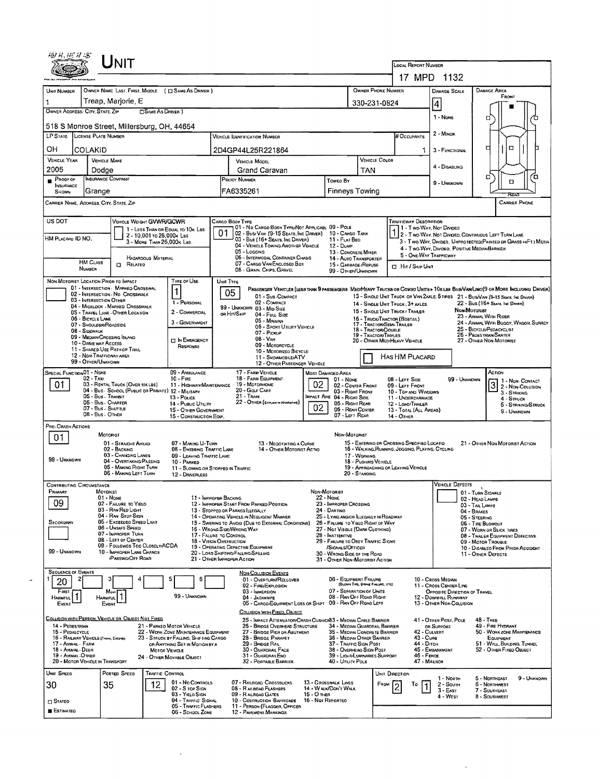| UNIT NUMBER                           | OWNER NAME, LAST, FIRST, MIQDLE ( EL SAME AS DRIVER )                        |                                                           |                                                                                                                                                                                                                                                                                                                                                                                                                                                                                                                                                                                                                                                                                                                                                                                                                                                                                                                                                                                                                                                                                                                                                                                                                                                                                                                                                                                                                                                                                                                                                                                                                                                                                                                                                                                                                                                                                                                                                                                                                                                                                                                                                                                                                                                                                                                                                                                                                                                                                                                                                                                                                                                                                                                                                                                                                                                                                                                                                                                                                                                                                                                                                                                                                                                                                                                                                                                                                                                                                                                                                                                                                                                                                                                                                                                                                                                                                                                                                                                                                                                                                                                                                                                                                                                                                                                                                                                                                                                                                                                                                       |             |                   |     |  | <b>DAMAGE SCALE</b>                                   | <b>DAMAGE AREA</b><br>FRONT                                         |  |  |
|---------------------------------------|------------------------------------------------------------------------------|-----------------------------------------------------------|-------------------------------------------------------------------------------------------------------------------------------------------------------------------------------------------------------------------------------------------------------------------------------------------------------------------------------------------------------------------------------------------------------------------------------------------------------------------------------------------------------------------------------------------------------------------------------------------------------------------------------------------------------------------------------------------------------------------------------------------------------------------------------------------------------------------------------------------------------------------------------------------------------------------------------------------------------------------------------------------------------------------------------------------------------------------------------------------------------------------------------------------------------------------------------------------------------------------------------------------------------------------------------------------------------------------------------------------------------------------------------------------------------------------------------------------------------------------------------------------------------------------------------------------------------------------------------------------------------------------------------------------------------------------------------------------------------------------------------------------------------------------------------------------------------------------------------------------------------------------------------------------------------------------------------------------------------------------------------------------------------------------------------------------------------------------------------------------------------------------------------------------------------------------------------------------------------------------------------------------------------------------------------------------------------------------------------------------------------------------------------------------------------------------------------------------------------------------------------------------------------------------------------------------------------------------------------------------------------------------------------------------------------------------------------------------------------------------------------------------------------------------------------------------------------------------------------------------------------------------------------------------------------------------------------------------------------------------------------------------------------------------------------------------------------------------------------------------------------------------------------------------------------------------------------------------------------------------------------------------------------------------------------------------------------------------------------------------------------------------------------------------------------------------------------------------------------------------------------------------------------------------------------------------------------------------------------------------------------------------------------------------------------------------------------------------------------------------------------------------------------------------------------------------------------------------------------------------------------------------------------------------------------------------------------------------------------------------------------------------------------------------------------------------------------------------------------------------------------------------------------------------------------------------------------------------------------------------------------------------------------------------------------------------------------------------------------------------------------------------------------------------------------------------------------------------------------------------------------------------------------------------------------------------------------|-------------|-------------------|-----|--|-------------------------------------------------------|---------------------------------------------------------------------|--|--|
| OWNER ADDRESS: CITY, STATE, ZIP       | Treap, Mariorie, E<br>SAME AS DRIVER )                                       |                                                           |                                                                                                                                                                                                                                                                                                                                                                                                                                                                                                                                                                                                                                                                                                                                                                                                                                                                                                                                                                                                                                                                                                                                                                                                                                                                                                                                                                                                                                                                                                                                                                                                                                                                                                                                                                                                                                                                                                                                                                                                                                                                                                                                                                                                                                                                                                                                                                                                                                                                                                                                                                                                                                                                                                                                                                                                                                                                                                                                                                                                                                                                                                                                                                                                                                                                                                                                                                                                                                                                                                                                                                                                                                                                                                                                                                                                                                                                                                                                                                                                                                                                                                                                                                                                                                                                                                                                                                                                                                                                                                                                                       |             |                   |     |  |                                                       |                                                                     |  |  |
|                                       |                                                                              |                                                           |                                                                                                                                                                                                                                                                                                                                                                                                                                                                                                                                                                                                                                                                                                                                                                                                                                                                                                                                                                                                                                                                                                                                                                                                                                                                                                                                                                                                                                                                                                                                                                                                                                                                                                                                                                                                                                                                                                                                                                                                                                                                                                                                                                                                                                                                                                                                                                                                                                                                                                                                                                                                                                                                                                                                                                                                                                                                                                                                                                                                                                                                                                                                                                                                                                                                                                                                                                                                                                                                                                                                                                                                                                                                                                                                                                                                                                                                                                                                                                                                                                                                                                                                                                                                                                                                                                                                                                                                                                                                                                                                                       |             |                   |     |  | 1 - None                                              | п                                                                   |  |  |
|                                       | 518 S Monroe Street, Millersburg, OH, 44654<br>LP STATE LICENSE PLATE NUMBER |                                                           |                                                                                                                                                                                                                                                                                                                                                                                                                                                                                                                                                                                                                                                                                                                                                                                                                                                                                                                                                                                                                                                                                                                                                                                                                                                                                                                                                                                                                                                                                                                                                                                                                                                                                                                                                                                                                                                                                                                                                                                                                                                                                                                                                                                                                                                                                                                                                                                                                                                                                                                                                                                                                                                                                                                                                                                                                                                                                                                                                                                                                                                                                                                                                                                                                                                                                                                                                                                                                                                                                                                                                                                                                                                                                                                                                                                                                                                                                                                                                                                                                                                                                                                                                                                                                                                                                                                                                                                                                                                                                                                                                       |             |                   |     |  | 2 - MINOR                                             |                                                                     |  |  |
| OН                                    | <b>COLAKID</b>                                                               |                                                           |                                                                                                                                                                                                                                                                                                                                                                                                                                                                                                                                                                                                                                                                                                                                                                                                                                                                                                                                                                                                                                                                                                                                                                                                                                                                                                                                                                                                                                                                                                                                                                                                                                                                                                                                                                                                                                                                                                                                                                                                                                                                                                                                                                                                                                                                                                                                                                                                                                                                                                                                                                                                                                                                                                                                                                                                                                                                                                                                                                                                                                                                                                                                                                                                                                                                                                                                                                                                                                                                                                                                                                                                                                                                                                                                                                                                                                                                                                                                                                                                                                                                                                                                                                                                                                                                                                                                                                                                                                                                                                                                                       |             |                   |     |  |                                                       | о<br>d                                                              |  |  |
| <b>VEHICLE YEAR</b>                   | <b>VEHICLE MAKE</b>                                                          |                                                           |                                                                                                                                                                                                                                                                                                                                                                                                                                                                                                                                                                                                                                                                                                                                                                                                                                                                                                                                                                                                                                                                                                                                                                                                                                                                                                                                                                                                                                                                                                                                                                                                                                                                                                                                                                                                                                                                                                                                                                                                                                                                                                                                                                                                                                                                                                                                                                                                                                                                                                                                                                                                                                                                                                                                                                                                                                                                                                                                                                                                                                                                                                                                                                                                                                                                                                                                                                                                                                                                                                                                                                                                                                                                                                                                                                                                                                                                                                                                                                                                                                                                                                                                                                                                                                                                                                                                                                                                                                                                                                                                                       |             |                   |     |  |                                                       |                                                                     |  |  |
| 2005                                  | Dodge                                                                        |                                                           |                                                                                                                                                                                                                                                                                                                                                                                                                                                                                                                                                                                                                                                                                                                                                                                                                                                                                                                                                                                                                                                                                                                                                                                                                                                                                                                                                                                                                                                                                                                                                                                                                                                                                                                                                                                                                                                                                                                                                                                                                                                                                                                                                                                                                                                                                                                                                                                                                                                                                                                                                                                                                                                                                                                                                                                                                                                                                                                                                                                                                                                                                                                                                                                                                                                                                                                                                                                                                                                                                                                                                                                                                                                                                                                                                                                                                                                                                                                                                                                                                                                                                                                                                                                                                                                                                                                                                                                                                                                                                                                                                       |             |                   | TAN |  | 4 - Disabung                                          |                                                                     |  |  |
| PROOF OF<br>INSURANCE                 | <b>INSURANCE COMPANY</b>                                                     |                                                           | POLICY NUMBER                                                                                                                                                                                                                                                                                                                                                                                                                                                                                                                                                                                                                                                                                                                                                                                                                                                                                                                                                                                                                                                                                                                                                                                                                                                                                                                                                                                                                                                                                                                                                                                                                                                                                                                                                                                                                                                                                                                                                                                                                                                                                                                                                                                                                                                                                                                                                                                                                                                                                                                                                                                                                                                                                                                                                                                                                                                                                                                                                                                                                                                                                                                                                                                                                                                                                                                                                                                                                                                                                                                                                                                                                                                                                                                                                                                                                                                                                                                                                                                                                                                                                                                                                                                                                                                                                                                                                                                                                                                                                                                                         |             | Toweo By          |     |  | 9 - Unknown                                           | ה<br>้ต<br>α                                                        |  |  |
| SHOWN                                 | Grange                                                                       |                                                           | FA6335261                                                                                                                                                                                                                                                                                                                                                                                                                                                                                                                                                                                                                                                                                                                                                                                                                                                                                                                                                                                                                                                                                                                                                                                                                                                                                                                                                                                                                                                                                                                                                                                                                                                                                                                                                                                                                                                                                                                                                                                                                                                                                                                                                                                                                                                                                                                                                                                                                                                                                                                                                                                                                                                                                                                                                                                                                                                                                                                                                                                                                                                                                                                                                                                                                                                                                                                                                                                                                                                                                                                                                                                                                                                                                                                                                                                                                                                                                                                                                                                                                                                                                                                                                                                                                                                                                                                                                                                                                                                                                                                                             |             |                   |     |  |                                                       | RFAG                                                                |  |  |
|                                       | CARRIER NAME, AODRESS, CITY, STATE, ZIP                                      |                                                           |                                                                                                                                                                                                                                                                                                                                                                                                                                                                                                                                                                                                                                                                                                                                                                                                                                                                                                                                                                                                                                                                                                                                                                                                                                                                                                                                                                                                                                                                                                                                                                                                                                                                                                                                                                                                                                                                                                                                                                                                                                                                                                                                                                                                                                                                                                                                                                                                                                                                                                                                                                                                                                                                                                                                                                                                                                                                                                                                                                                                                                                                                                                                                                                                                                                                                                                                                                                                                                                                                                                                                                                                                                                                                                                                                                                                                                                                                                                                                                                                                                                                                                                                                                                                                                                                                                                                                                                                                                                                                                                                                       |             |                   |     |  |                                                       | <b>CARRIER PHONE</b>                                                |  |  |
| US DOT                                | VEHICLE WEIGHT GVWR/GCWR                                                     |                                                           | CARGO BOOY TYPE                                                                                                                                                                                                                                                                                                                                                                                                                                                                                                                                                                                                                                                                                                                                                                                                                                                                                                                                                                                                                                                                                                                                                                                                                                                                                                                                                                                                                                                                                                                                                                                                                                                                                                                                                                                                                                                                                                                                                                                                                                                                                                                                                                                                                                                                                                                                                                                                                                                                                                                                                                                                                                                                                                                                                                                                                                                                                                                                                                                                                                                                                                                                                                                                                                                                                                                                                                                                                                                                                                                                                                                                                                                                                                                                                                                                                                                                                                                                                                                                                                                                                                                                                                                                                                                                                                                                                                                                                                                                                                                                       |             |                   |     |  |                                                       |                                                                     |  |  |
| HM PLACARO ID NO.                     | 1 LESS THAN OR EQUAL TO 10K LBS<br>2 - 10,001 to 26,000x Las                 |                                                           | 01                                                                                                                                                                                                                                                                                                                                                                                                                                                                                                                                                                                                                                                                                                                                                                                                                                                                                                                                                                                                                                                                                                                                                                                                                                                                                                                                                                                                                                                                                                                                                                                                                                                                                                                                                                                                                                                                                                                                                                                                                                                                                                                                                                                                                                                                                                                                                                                                                                                                                                                                                                                                                                                                                                                                                                                                                                                                                                                                                                                                                                                                                                                                                                                                                                                                                                                                                                                                                                                                                                                                                                                                                                                                                                                                                                                                                                                                                                                                                                                                                                                                                                                                                                                                                                                                                                                                                                                                                                                                                                                                                    |             |                   |     |  |                                                       | 2 - Two-Way, Not Divideo, Continuous Left Turn Lane                 |  |  |
|                                       | 3 - MORE THAN 26.000K LBS.                                                   |                                                           |                                                                                                                                                                                                                                                                                                                                                                                                                                                                                                                                                                                                                                                                                                                                                                                                                                                                                                                                                                                                                                                                                                                                                                                                                                                                                                                                                                                                                                                                                                                                                                                                                                                                                                                                                                                                                                                                                                                                                                                                                                                                                                                                                                                                                                                                                                                                                                                                                                                                                                                                                                                                                                                                                                                                                                                                                                                                                                                                                                                                                                                                                                                                                                                                                                                                                                                                                                                                                                                                                                                                                                                                                                                                                                                                                                                                                                                                                                                                                                                                                                                                                                                                                                                                                                                                                                                                                                                                                                                                                                                                                       |             | 12 - Duwe         |     |  |                                                       | 3 - Two Way, Divided. Unprotected Painted or Grass >4F1.1 Media     |  |  |
|                                       | <b>HAZARDOUS MATERIAL</b><br><b>HM CLASS</b>                                 |                                                           |                                                                                                                                                                                                                                                                                                                                                                                                                                                                                                                                                                                                                                                                                                                                                                                                                                                                                                                                                                                                                                                                                                                                                                                                                                                                                                                                                                                                                                                                                                                                                                                                                                                                                                                                                                                                                                                                                                                                                                                                                                                                                                                                                                                                                                                                                                                                                                                                                                                                                                                                                                                                                                                                                                                                                                                                                                                                                                                                                                                                                                                                                                                                                                                                                                                                                                                                                                                                                                                                                                                                                                                                                                                                                                                                                                                                                                                                                                                                                                                                                                                                                                                                                                                                                                                                                                                                                                                                                                                                                                                                                       |             |                   |     |  |                                                       |                                                                     |  |  |
|                                       | <b>D</b> RELATED<br>NUMBER                                                   |                                                           | <b>LOCAL REPORT NUMBER</b><br>17 MPD 1132<br>OWNER PHONE NUMBER<br>330-231-0824<br>$\vert 4 \vert$<br># Occupants<br><b>VEHICLE IDENTIFICATION NUMBER</b><br>2D4GP44L25R221864<br>$\mathbf{1}$<br>3 - FUNCTIONAL<br>VEHICLE COLOR<br><b>VEHICLE MODEL</b><br>Grand Caravan<br><b>Finneys Towing</b><br><b>TRAFFICWAY DESCRIPTION</b><br>01 - No CARGO BOOY TYPE/NOT APPLICABL 09 - POLE<br>11 - Two Way, Not Divideo<br>02 - Busi VAN (9-15 Seats, Inc DRIVER) 10 - CARGO TANK<br>03 - Bus (16+ Seats, Inc Driver)<br>11 - FLAT BEO<br>04 - VEHICLE TOWING ANOTHER VEHICLE<br>4 - Two-Way, Divided, Positive Median Barrier<br>05 - Logging<br>13 - CONCRETE MIXER<br>5 - ONE-WAY TRAFFICWAY<br>06 - INTERMODAL CONTAINER CHASIS<br>14 - AUTO TRANSPORTER<br>07 - CARGO VAN/ENCLOSED BOX<br>15 - GARBAGE / REFUSE<br><b>CI Hit / SKIP UNIT</b><br>08 - GRAIN, CHIPS, GRAVEL<br>99 - OTHER/UNKNOWN<br>UNIT TYPE<br>PASSENGER VEHICLES (LESS THAN 9 PASSENGERS MEDIMEAVY TRUCKS OR COMBO UNITS > 10KLBS BUS/VAN/LIMO(9 OR MORE INCLUDING DRIVER)<br>05<br>13 - SINGLE UNIT TRUCK OR VAN 2AXLE, 6 TIRES 21 - BUS/VAN (9-15 SEATS, INC DRIVER)<br>01 - Sus-COMPACT<br>02 - COMPACT<br>1 - PERSONAL<br>14 - SINGLE LINIT THUCK: 3+ AXLES<br>99 - UNKNOWN 03 - MID SIZE<br>15 - SINGLE UNIT TRUCK / TRAKER<br>OR HIT/SKIP<br>04 - Fut Size<br>16 - TRUCK/TRACTOR (BOBTAIL)<br>05 - Minivan<br>17 - TRACTOR/SEMI-TRALER<br>06 - Sport Uttury Vencue<br>18 - TRACTOR/DOUBLE<br>07 - Pickup<br>19 - TRACTOR/TRIPLES<br>$08 - V_{AN}$<br><b>TI IN EMERGENCY</b><br>20 - OTHER MEDIMEAVY VEHICLE<br>09 - MOTORCYCLE<br>10 - MOTORIZEO BICYCLE<br>HAS HM PLACARD<br>11 - SNOWMOBILE/ATV<br>12 - OTHER PASSENGER VEHICLE<br>17 - FARM VEHICLE<br>MOST DAMAGED AREA<br>18 - FARM EQUIPMENT<br>08 - LEFT SIDE<br>$01 - None$<br>02<br>19 - Мотонноме<br>11 - HIGHWAY/MAINTENANCE<br>02 - CENTER FRONT<br>09 - LEFT FRONT<br>20 - GOLF CART<br>03 - Right Front<br>10 - TOP AND WINDOWS<br>$21 -$ Train<br>MPACT ARE 04 - RIGHT SIDE<br>11 - UNDERCARRIAGE<br>22 - OTHER (EXPLAN IN MARRATIVE)<br>05 - RIGHT REAR<br>12 - LOAO/TRALER<br>02<br>06 - REAR CENTER<br>15 - OTHER GOVERNMENT<br>13 - TOTAL (ALL AREAS)<br>07 - LEFT REAR<br>14 - Отнев<br>16 - CONSTRUCTION EOIP.<br>NON-MOTORIST<br>15 - ENTERING OR CROSSING SPECIFIED LOCATID<br>13 - NEGOTIATING A CURVE<br>08 - ENTERING TRAFFIC LANE<br>14 - Отнев Мотовіст Астіо<br>16 - WALKING, RUNNING, JOGGING, PLAYING, CYCLING<br>09 - LEAVING TRAFFIC LANE<br>17 - WORKING<br>18 - PUSHING VEHICLE<br>19 - APPROACHING OR LEAVING VEHICLE<br>11 - Slowing or Stopped in Traffic<br>20 - STANDING<br>Non-Motorist<br>22 - None<br>11 - IMPROPER BACKING<br>12 - IMPROPER START FROM PARKED POSITION<br>23 - IMPROPER CROSSING<br>13 - Stopped or Parked Llegally<br>24 - Dartino<br>14 - OPERATING VEHICLE IN NEGLIGENT MANNER<br>25 - LYING AND/OR ILLEGALLY IN ROADWAY<br>15 - Swering to Avoid (Due to External Conditions)<br>26 - FALURE TO YIELD RIGHT OF WAY<br>16 - WRONG SIDE/WRONG WAY<br>27 - Not VISBLE (DARK CLOTHING)<br>17 - FALURE TO CONTROL<br>28 - INATIENTIVE<br>18 - VISION OBSTRUCTION<br>29 - FAILURE TO OBEY TRAFFIC SIGNS<br>19 - OPERATING DEFECTIVE EQUIPMENT<br>SIGNALS/OFFICER<br>20 - LOAD SHIFTING/FALLING/SPILLING<br>30 - WRONG SIDE OF THE ROAD<br>21 - OTHER IMPROPER ACTION<br>31 - OTHER NON-MOTORIST ACTION<br><b>NON-COLLISION EVENTS</b><br>06 - EQUIPMENT FAILURE<br>10 - Cross Medwy<br>6<br>01 - OVERTURN/ROLLOVER<br>(BLOWN TIRE, BRAKE FAILURE, ETC)<br>02 - FIRE/EXPLOSION<br>07 - SEPARATION OF UNITS<br>03 - IMMERSION<br>08 - RAN OFF ROAD RIGHT<br>04 - JACKKNIFE<br>05 - CARGO/EQUIPMENT LOSS OR SHIFT 09 - RAN OFF ROAD LEFT<br>COLLISION WITH FIXED, ORJECT<br>25 - IMPACT ATTENUATOR/CRASH CUSHIOIB3 - MEOWN CABLE BARRIER<br>41 - OTHER POST, POLE<br>25 - BRIOGE OVERHEAD STRUCTURE<br>34 - MEQIAN GUARDRAIL BARRIER<br>OR SUPPORT<br>22 - WORK ZONE MAINTENANCE EGUIPMENT<br>27 - BRIDGE PIER OR ABUTMENT<br>35 - MEDIAN CONCRETE BARRIER<br>42 - CULVERT<br>23 - STRUCK BY FALLING, SHIFTING CARGO<br>28 - BRIDGE PARAPET<br>36 - MEDIAN OTHER BARRIER<br>43 - Cuns<br>29 - BROGE RAIL<br>37 - TRAFFIC SIGN POST<br>44 - Оітсн<br>45 - EMBANKMENT<br>30 - GUARDRAIL FACE<br>38 - OVERHEAD SIGN POST<br>46 - FENCE<br>31 - GUARDRAILEND<br>39 - LIGHT/LUMINARIES SUPPORT<br>47 - MAILBOX<br>32 - PORTABLE BARRIER<br>40 - UTILITY POLE<br>UNIT DIRECTION<br>07 - RAILROAD CROSSBUCKS<br>13 - CROSSWALK LINES<br>Fapw<br>Т٥<br>14 - W ALK/DON'T WALK |             |                   |     |  |                                                       |                                                                     |  |  |
|                                       | NON-MOTORIST LOCATION PRIOR TO IMPACT<br>01 - INTERSECTION - MARKED CROSSWAL | TYPE OF USE                                               |                                                                                                                                                                                                                                                                                                                                                                                                                                                                                                                                                                                                                                                                                                                                                                                                                                                                                                                                                                                                                                                                                                                                                                                                                                                                                                                                                                                                                                                                                                                                                                                                                                                                                                                                                                                                                                                                                                                                                                                                                                                                                                                                                                                                                                                                                                                                                                                                                                                                                                                                                                                                                                                                                                                                                                                                                                                                                                                                                                                                                                                                                                                                                                                                                                                                                                                                                                                                                                                                                                                                                                                                                                                                                                                                                                                                                                                                                                                                                                                                                                                                                                                                                                                                                                                                                                                                                                                                                                                                                                                                                       |             |                   |     |  |                                                       |                                                                     |  |  |
|                                       | 02 - INTERSECTION - NO CROSSWALK<br>03 - INTERSECTION OTHER                  | 1                                                         |                                                                                                                                                                                                                                                                                                                                                                                                                                                                                                                                                                                                                                                                                                                                                                                                                                                                                                                                                                                                                                                                                                                                                                                                                                                                                                                                                                                                                                                                                                                                                                                                                                                                                                                                                                                                                                                                                                                                                                                                                                                                                                                                                                                                                                                                                                                                                                                                                                                                                                                                                                                                                                                                                                                                                                                                                                                                                                                                                                                                                                                                                                                                                                                                                                                                                                                                                                                                                                                                                                                                                                                                                                                                                                                                                                                                                                                                                                                                                                                                                                                                                                                                                                                                                                                                                                                                                                                                                                                                                                                                                       |             |                   |     |  |                                                       |                                                                     |  |  |
|                                       | 04 - MIOBLOCK - MARKED CROSSWALK<br>05 - TRAVEL LANE - OTHER LOCATION        | 2 - COMMERCIAL                                            |                                                                                                                                                                                                                                                                                                                                                                                                                                                                                                                                                                                                                                                                                                                                                                                                                                                                                                                                                                                                                                                                                                                                                                                                                                                                                                                                                                                                                                                                                                                                                                                                                                                                                                                                                                                                                                                                                                                                                                                                                                                                                                                                                                                                                                                                                                                                                                                                                                                                                                                                                                                                                                                                                                                                                                                                                                                                                                                                                                                                                                                                                                                                                                                                                                                                                                                                                                                                                                                                                                                                                                                                                                                                                                                                                                                                                                                                                                                                                                                                                                                                                                                                                                                                                                                                                                                                                                                                                                                                                                                                                       |             |                   |     |  |                                                       | 22 - Bus (16+ Seats, Inc Driver)<br><b>NON-MOTORIST</b>             |  |  |
|                                       | 06 - BICYCLE LANE<br>07 - SHOULDER/ROADSIDE                                  | 3 - GOVERNMENT                                            |                                                                                                                                                                                                                                                                                                                                                                                                                                                                                                                                                                                                                                                                                                                                                                                                                                                                                                                                                                                                                                                                                                                                                                                                                                                                                                                                                                                                                                                                                                                                                                                                                                                                                                                                                                                                                                                                                                                                                                                                                                                                                                                                                                                                                                                                                                                                                                                                                                                                                                                                                                                                                                                                                                                                                                                                                                                                                                                                                                                                                                                                                                                                                                                                                                                                                                                                                                                                                                                                                                                                                                                                                                                                                                                                                                                                                                                                                                                                                                                                                                                                                                                                                                                                                                                                                                                                                                                                                                                                                                                                                       |             |                   |     |  |                                                       | 23 - ANIMAL WITH RIDER<br>24 - ANIMAL WITH BUGGY, WAGON, SURREY     |  |  |
|                                       | 08 - SIDEWALK<br>09 - MEDIAN/CROSSING ISLAND                                 |                                                           |                                                                                                                                                                                                                                                                                                                                                                                                                                                                                                                                                                                                                                                                                                                                                                                                                                                                                                                                                                                                                                                                                                                                                                                                                                                                                                                                                                                                                                                                                                                                                                                                                                                                                                                                                                                                                                                                                                                                                                                                                                                                                                                                                                                                                                                                                                                                                                                                                                                                                                                                                                                                                                                                                                                                                                                                                                                                                                                                                                                                                                                                                                                                                                                                                                                                                                                                                                                                                                                                                                                                                                                                                                                                                                                                                                                                                                                                                                                                                                                                                                                                                                                                                                                                                                                                                                                                                                                                                                                                                                                                                       |             |                   |     |  |                                                       | 25 - BICYCLE/PEOACYCLIST<br>26 - PEOESTRIAN/SKATER                  |  |  |
|                                       | 10 - DRIVE WAY ACCESS<br>11 - SHARED-USE PATH OR TRAIL                       | RESPONSE                                                  |                                                                                                                                                                                                                                                                                                                                                                                                                                                                                                                                                                                                                                                                                                                                                                                                                                                                                                                                                                                                                                                                                                                                                                                                                                                                                                                                                                                                                                                                                                                                                                                                                                                                                                                                                                                                                                                                                                                                                                                                                                                                                                                                                                                                                                                                                                                                                                                                                                                                                                                                                                                                                                                                                                                                                                                                                                                                                                                                                                                                                                                                                                                                                                                                                                                                                                                                                                                                                                                                                                                                                                                                                                                                                                                                                                                                                                                                                                                                                                                                                                                                                                                                                                                                                                                                                                                                                                                                                                                                                                                                                       |             |                   |     |  |                                                       | 27 - OTHER NON-MOTORIST                                             |  |  |
|                                       | 12 - NON-TRAFFICWAY AREA<br>99 - OTHER/UNKNOWN                               |                                                           |                                                                                                                                                                                                                                                                                                                                                                                                                                                                                                                                                                                                                                                                                                                                                                                                                                                                                                                                                                                                                                                                                                                                                                                                                                                                                                                                                                                                                                                                                                                                                                                                                                                                                                                                                                                                                                                                                                                                                                                                                                                                                                                                                                                                                                                                                                                                                                                                                                                                                                                                                                                                                                                                                                                                                                                                                                                                                                                                                                                                                                                                                                                                                                                                                                                                                                                                                                                                                                                                                                                                                                                                                                                                                                                                                                                                                                                                                                                                                                                                                                                                                                                                                                                                                                                                                                                                                                                                                                                                                                                                                       |             |                   |     |  |                                                       |                                                                     |  |  |
| SPECIAL FUNCTION <sup>01</sup> - NONE |                                                                              | 09 - AMBULANCE                                            |                                                                                                                                                                                                                                                                                                                                                                                                                                                                                                                                                                                                                                                                                                                                                                                                                                                                                                                                                                                                                                                                                                                                                                                                                                                                                                                                                                                                                                                                                                                                                                                                                                                                                                                                                                                                                                                                                                                                                                                                                                                                                                                                                                                                                                                                                                                                                                                                                                                                                                                                                                                                                                                                                                                                                                                                                                                                                                                                                                                                                                                                                                                                                                                                                                                                                                                                                                                                                                                                                                                                                                                                                                                                                                                                                                                                                                                                                                                                                                                                                                                                                                                                                                                                                                                                                                                                                                                                                                                                                                                                                       |             |                   |     |  |                                                       | ACTION                                                              |  |  |
| 01                                    | $02 - T_Ax$<br>03 - RENTAL TRUCK (OVER 10K LBS)                              | $10 - F_{\text{BEE}}$                                     |                                                                                                                                                                                                                                                                                                                                                                                                                                                                                                                                                                                                                                                                                                                                                                                                                                                                                                                                                                                                                                                                                                                                                                                                                                                                                                                                                                                                                                                                                                                                                                                                                                                                                                                                                                                                                                                                                                                                                                                                                                                                                                                                                                                                                                                                                                                                                                                                                                                                                                                                                                                                                                                                                                                                                                                                                                                                                                                                                                                                                                                                                                                                                                                                                                                                                                                                                                                                                                                                                                                                                                                                                                                                                                                                                                                                                                                                                                                                                                                                                                                                                                                                                                                                                                                                                                                                                                                                                                                                                                                                                       |             |                   |     |  | 99 - UNKNOWN                                          | 1 - Non. CONTACT<br>3<br>2 - Non-Collision                          |  |  |
|                                       | 04 - Bus - School (Public or Private) 12 - Military<br>05 - Bus - Transit    | $13 - \text{Poucc}$                                       |                                                                                                                                                                                                                                                                                                                                                                                                                                                                                                                                                                                                                                                                                                                                                                                                                                                                                                                                                                                                                                                                                                                                                                                                                                                                                                                                                                                                                                                                                                                                                                                                                                                                                                                                                                                                                                                                                                                                                                                                                                                                                                                                                                                                                                                                                                                                                                                                                                                                                                                                                                                                                                                                                                                                                                                                                                                                                                                                                                                                                                                                                                                                                                                                                                                                                                                                                                                                                                                                                                                                                                                                                                                                                                                                                                                                                                                                                                                                                                                                                                                                                                                                                                                                                                                                                                                                                                                                                                                                                                                                                       |             |                   |     |  |                                                       | 3 - STRIKING<br>4 - STRUCK                                          |  |  |
|                                       | 06 - Bus - CHARTER<br>07 - Bus - SHUTTLE                                     | 14 - PUBLIC UTILITY                                       |                                                                                                                                                                                                                                                                                                                                                                                                                                                                                                                                                                                                                                                                                                                                                                                                                                                                                                                                                                                                                                                                                                                                                                                                                                                                                                                                                                                                                                                                                                                                                                                                                                                                                                                                                                                                                                                                                                                                                                                                                                                                                                                                                                                                                                                                                                                                                                                                                                                                                                                                                                                                                                                                                                                                                                                                                                                                                                                                                                                                                                                                                                                                                                                                                                                                                                                                                                                                                                                                                                                                                                                                                                                                                                                                                                                                                                                                                                                                                                                                                                                                                                                                                                                                                                                                                                                                                                                                                                                                                                                                                       |             |                   |     |  |                                                       | 5 - STRIKING/STRUCK<br>9 - UNKNOWN                                  |  |  |
| PRE- CRASH ACTIONS                    | 08 - Bus - OTHER                                                             |                                                           |                                                                                                                                                                                                                                                                                                                                                                                                                                                                                                                                                                                                                                                                                                                                                                                                                                                                                                                                                                                                                                                                                                                                                                                                                                                                                                                                                                                                                                                                                                                                                                                                                                                                                                                                                                                                                                                                                                                                                                                                                                                                                                                                                                                                                                                                                                                                                                                                                                                                                                                                                                                                                                                                                                                                                                                                                                                                                                                                                                                                                                                                                                                                                                                                                                                                                                                                                                                                                                                                                                                                                                                                                                                                                                                                                                                                                                                                                                                                                                                                                                                                                                                                                                                                                                                                                                                                                                                                                                                                                                                                                       |             |                   |     |  |                                                       |                                                                     |  |  |
| 01                                    | MOTORIST                                                                     |                                                           |                                                                                                                                                                                                                                                                                                                                                                                                                                                                                                                                                                                                                                                                                                                                                                                                                                                                                                                                                                                                                                                                                                                                                                                                                                                                                                                                                                                                                                                                                                                                                                                                                                                                                                                                                                                                                                                                                                                                                                                                                                                                                                                                                                                                                                                                                                                                                                                                                                                                                                                                                                                                                                                                                                                                                                                                                                                                                                                                                                                                                                                                                                                                                                                                                                                                                                                                                                                                                                                                                                                                                                                                                                                                                                                                                                                                                                                                                                                                                                                                                                                                                                                                                                                                                                                                                                                                                                                                                                                                                                                                                       |             |                   |     |  |                                                       |                                                                     |  |  |
|                                       | 01 - STRAIGHT AHEAD<br>02 - BACKING                                          | 07 - MAKING U-TURN                                        |                                                                                                                                                                                                                                                                                                                                                                                                                                                                                                                                                                                                                                                                                                                                                                                                                                                                                                                                                                                                                                                                                                                                                                                                                                                                                                                                                                                                                                                                                                                                                                                                                                                                                                                                                                                                                                                                                                                                                                                                                                                                                                                                                                                                                                                                                                                                                                                                                                                                                                                                                                                                                                                                                                                                                                                                                                                                                                                                                                                                                                                                                                                                                                                                                                                                                                                                                                                                                                                                                                                                                                                                                                                                                                                                                                                                                                                                                                                                                                                                                                                                                                                                                                                                                                                                                                                                                                                                                                                                                                                                                       |             |                   |     |  |                                                       | 21 - OTHER NON-MOTORIST ACTION                                      |  |  |
| 99 - UNKNOWN                          | 03 - CHANGING LANES<br>04 - OVERTAKING/PASSING                               | 10 - PARKED                                               |                                                                                                                                                                                                                                                                                                                                                                                                                                                                                                                                                                                                                                                                                                                                                                                                                                                                                                                                                                                                                                                                                                                                                                                                                                                                                                                                                                                                                                                                                                                                                                                                                                                                                                                                                                                                                                                                                                                                                                                                                                                                                                                                                                                                                                                                                                                                                                                                                                                                                                                                                                                                                                                                                                                                                                                                                                                                                                                                                                                                                                                                                                                                                                                                                                                                                                                                                                                                                                                                                                                                                                                                                                                                                                                                                                                                                                                                                                                                                                                                                                                                                                                                                                                                                                                                                                                                                                                                                                                                                                                                                       |             |                   |     |  |                                                       |                                                                     |  |  |
|                                       | 05 - MAKING RIGHT TURN<br>06 - MAKING LEFT TURN                              | 12 - DRIVERLESS                                           |                                                                                                                                                                                                                                                                                                                                                                                                                                                                                                                                                                                                                                                                                                                                                                                                                                                                                                                                                                                                                                                                                                                                                                                                                                                                                                                                                                                                                                                                                                                                                                                                                                                                                                                                                                                                                                                                                                                                                                                                                                                                                                                                                                                                                                                                                                                                                                                                                                                                                                                                                                                                                                                                                                                                                                                                                                                                                                                                                                                                                                                                                                                                                                                                                                                                                                                                                                                                                                                                                                                                                                                                                                                                                                                                                                                                                                                                                                                                                                                                                                                                                                                                                                                                                                                                                                                                                                                                                                                                                                                                                       |             |                   |     |  |                                                       |                                                                     |  |  |
| <b>CONTRIBUTING CIRCUMSTANCE</b>      |                                                                              |                                                           |                                                                                                                                                                                                                                                                                                                                                                                                                                                                                                                                                                                                                                                                                                                                                                                                                                                                                                                                                                                                                                                                                                                                                                                                                                                                                                                                                                                                                                                                                                                                                                                                                                                                                                                                                                                                                                                                                                                                                                                                                                                                                                                                                                                                                                                                                                                                                                                                                                                                                                                                                                                                                                                                                                                                                                                                                                                                                                                                                                                                                                                                                                                                                                                                                                                                                                                                                                                                                                                                                                                                                                                                                                                                                                                                                                                                                                                                                                                                                                                                                                                                                                                                                                                                                                                                                                                                                                                                                                                                                                                                                       |             |                   |     |  | VEHICLE DEFECTS                                       |                                                                     |  |  |
| PRIMARY                               | <b>MOTORIST</b><br>01 - None                                                 |                                                           |                                                                                                                                                                                                                                                                                                                                                                                                                                                                                                                                                                                                                                                                                                                                                                                                                                                                                                                                                                                                                                                                                                                                                                                                                                                                                                                                                                                                                                                                                                                                                                                                                                                                                                                                                                                                                                                                                                                                                                                                                                                                                                                                                                                                                                                                                                                                                                                                                                                                                                                                                                                                                                                                                                                                                                                                                                                                                                                                                                                                                                                                                                                                                                                                                                                                                                                                                                                                                                                                                                                                                                                                                                                                                                                                                                                                                                                                                                                                                                                                                                                                                                                                                                                                                                                                                                                                                                                                                                                                                                                                                       |             |                   |     |  |                                                       | 01 - TURN SIGNALS<br>02 - HEAD LAMPS                                |  |  |
| 09                                    | 02 - FAILURE TO YIELD<br>03 - RAN RED LIGHT                                  |                                                           |                                                                                                                                                                                                                                                                                                                                                                                                                                                                                                                                                                                                                                                                                                                                                                                                                                                                                                                                                                                                                                                                                                                                                                                                                                                                                                                                                                                                                                                                                                                                                                                                                                                                                                                                                                                                                                                                                                                                                                                                                                                                                                                                                                                                                                                                                                                                                                                                                                                                                                                                                                                                                                                                                                                                                                                                                                                                                                                                                                                                                                                                                                                                                                                                                                                                                                                                                                                                                                                                                                                                                                                                                                                                                                                                                                                                                                                                                                                                                                                                                                                                                                                                                                                                                                                                                                                                                                                                                                                                                                                                                       |             |                   |     |  |                                                       | 03 - TAILLAMPS<br>04 - BRAKES                                       |  |  |
| SECONDARY                             | 04 - RAN STOP SIGN<br>05 - Exceeped Speep Limit                              |                                                           |                                                                                                                                                                                                                                                                                                                                                                                                                                                                                                                                                                                                                                                                                                                                                                                                                                                                                                                                                                                                                                                                                                                                                                                                                                                                                                                                                                                                                                                                                                                                                                                                                                                                                                                                                                                                                                                                                                                                                                                                                                                                                                                                                                                                                                                                                                                                                                                                                                                                                                                                                                                                                                                                                                                                                                                                                                                                                                                                                                                                                                                                                                                                                                                                                                                                                                                                                                                                                                                                                                                                                                                                                                                                                                                                                                                                                                                                                                                                                                                                                                                                                                                                                                                                                                                                                                                                                                                                                                                                                                                                                       |             |                   |     |  |                                                       | 05 - STEERING<br>06 - TIRE BLOWOUT                                  |  |  |
|                                       | 06 - Unsafe Speed<br>07 - IMPROPER TURN                                      |                                                           |                                                                                                                                                                                                                                                                                                                                                                                                                                                                                                                                                                                                                                                                                                                                                                                                                                                                                                                                                                                                                                                                                                                                                                                                                                                                                                                                                                                                                                                                                                                                                                                                                                                                                                                                                                                                                                                                                                                                                                                                                                                                                                                                                                                                                                                                                                                                                                                                                                                                                                                                                                                                                                                                                                                                                                                                                                                                                                                                                                                                                                                                                                                                                                                                                                                                                                                                                                                                                                                                                                                                                                                                                                                                                                                                                                                                                                                                                                                                                                                                                                                                                                                                                                                                                                                                                                                                                                                                                                                                                                                                                       |             |                   |     |  |                                                       | 07 - WORN OR SLICK TIRES<br>08 - TRALER EQUIPMENT DEFECTIVE         |  |  |
|                                       | 08 - LEFT OF CENTER<br>09 - Followed Too Closely/ACDA                        |                                                           |                                                                                                                                                                                                                                                                                                                                                                                                                                                                                                                                                                                                                                                                                                                                                                                                                                                                                                                                                                                                                                                                                                                                                                                                                                                                                                                                                                                                                                                                                                                                                                                                                                                                                                                                                                                                                                                                                                                                                                                                                                                                                                                                                                                                                                                                                                                                                                                                                                                                                                                                                                                                                                                                                                                                                                                                                                                                                                                                                                                                                                                                                                                                                                                                                                                                                                                                                                                                                                                                                                                                                                                                                                                                                                                                                                                                                                                                                                                                                                                                                                                                                                                                                                                                                                                                                                                                                                                                                                                                                                                                                       |             |                   |     |  |                                                       | 09 - Motor Trouble<br>10 - DISABLED FROM PRIOR ACCIDENT             |  |  |
| 99 - UNKNOWN                          | 10 - IMPROPER LANE CHANGE<br><b>PASSING/OFF ROAD</b>                         |                                                           |                                                                                                                                                                                                                                                                                                                                                                                                                                                                                                                                                                                                                                                                                                                                                                                                                                                                                                                                                                                                                                                                                                                                                                                                                                                                                                                                                                                                                                                                                                                                                                                                                                                                                                                                                                                                                                                                                                                                                                                                                                                                                                                                                                                                                                                                                                                                                                                                                                                                                                                                                                                                                                                                                                                                                                                                                                                                                                                                                                                                                                                                                                                                                                                                                                                                                                                                                                                                                                                                                                                                                                                                                                                                                                                                                                                                                                                                                                                                                                                                                                                                                                                                                                                                                                                                                                                                                                                                                                                                                                                                                       |             |                   |     |  |                                                       | 11 - OTHER DEFECTS                                                  |  |  |
| <b>SEQUENCE OF EVENTS</b>             |                                                                              |                                                           |                                                                                                                                                                                                                                                                                                                                                                                                                                                                                                                                                                                                                                                                                                                                                                                                                                                                                                                                                                                                                                                                                                                                                                                                                                                                                                                                                                                                                                                                                                                                                                                                                                                                                                                                                                                                                                                                                                                                                                                                                                                                                                                                                                                                                                                                                                                                                                                                                                                                                                                                                                                                                                                                                                                                                                                                                                                                                                                                                                                                                                                                                                                                                                                                                                                                                                                                                                                                                                                                                                                                                                                                                                                                                                                                                                                                                                                                                                                                                                                                                                                                                                                                                                                                                                                                                                                                                                                                                                                                                                                                                       |             |                   |     |  |                                                       |                                                                     |  |  |
| 20                                    |                                                                              |                                                           |                                                                                                                                                                                                                                                                                                                                                                                                                                                                                                                                                                                                                                                                                                                                                                                                                                                                                                                                                                                                                                                                                                                                                                                                                                                                                                                                                                                                                                                                                                                                                                                                                                                                                                                                                                                                                                                                                                                                                                                                                                                                                                                                                                                                                                                                                                                                                                                                                                                                                                                                                                                                                                                                                                                                                                                                                                                                                                                                                                                                                                                                                                                                                                                                                                                                                                                                                                                                                                                                                                                                                                                                                                                                                                                                                                                                                                                                                                                                                                                                                                                                                                                                                                                                                                                                                                                                                                                                                                                                                                                                                       |             |                   |     |  | 11 - Cross Center Line                                |                                                                     |  |  |
| FIRST<br><b>HARMFUL</b>               | Most<br><b>HARMFUL</b>                                                       | 99 - UNKNOWN                                              |                                                                                                                                                                                                                                                                                                                                                                                                                                                                                                                                                                                                                                                                                                                                                                                                                                                                                                                                                                                                                                                                                                                                                                                                                                                                                                                                                                                                                                                                                                                                                                                                                                                                                                                                                                                                                                                                                                                                                                                                                                                                                                                                                                                                                                                                                                                                                                                                                                                                                                                                                                                                                                                                                                                                                                                                                                                                                                                                                                                                                                                                                                                                                                                                                                                                                                                                                                                                                                                                                                                                                                                                                                                                                                                                                                                                                                                                                                                                                                                                                                                                                                                                                                                                                                                                                                                                                                                                                                                                                                                                                       |             |                   |     |  | OPPOSITE DIRECTION OF TRAVEL<br>12 - DOWNHILL RUNAWAY |                                                                     |  |  |
| EVENT                                 | EVENT                                                                        |                                                           |                                                                                                                                                                                                                                                                                                                                                                                                                                                                                                                                                                                                                                                                                                                                                                                                                                                                                                                                                                                                                                                                                                                                                                                                                                                                                                                                                                                                                                                                                                                                                                                                                                                                                                                                                                                                                                                                                                                                                                                                                                                                                                                                                                                                                                                                                                                                                                                                                                                                                                                                                                                                                                                                                                                                                                                                                                                                                                                                                                                                                                                                                                                                                                                                                                                                                                                                                                                                                                                                                                                                                                                                                                                                                                                                                                                                                                                                                                                                                                                                                                                                                                                                                                                                                                                                                                                                                                                                                                                                                                                                                       |             |                   |     |  | 13 - Other Non-Collision                              |                                                                     |  |  |
| 14 - PEDESTRIAN                       | COLLISION WITH PERSON, VEHICLE OR OBJECT NOT FIXED                           |                                                           |                                                                                                                                                                                                                                                                                                                                                                                                                                                                                                                                                                                                                                                                                                                                                                                                                                                                                                                                                                                                                                                                                                                                                                                                                                                                                                                                                                                                                                                                                                                                                                                                                                                                                                                                                                                                                                                                                                                                                                                                                                                                                                                                                                                                                                                                                                                                                                                                                                                                                                                                                                                                                                                                                                                                                                                                                                                                                                                                                                                                                                                                                                                                                                                                                                                                                                                                                                                                                                                                                                                                                                                                                                                                                                                                                                                                                                                                                                                                                                                                                                                                                                                                                                                                                                                                                                                                                                                                                                                                                                                                                       |             |                   |     |  |                                                       | <b>48 - TREE</b>                                                    |  |  |
| 15 - PEDALCYCLE                       | 16 - RAILWAY VEHICLE (TRAIN, ENGINE)                                         | 21 - PARKED MOTOR VEHICLE                                 |                                                                                                                                                                                                                                                                                                                                                                                                                                                                                                                                                                                                                                                                                                                                                                                                                                                                                                                                                                                                                                                                                                                                                                                                                                                                                                                                                                                                                                                                                                                                                                                                                                                                                                                                                                                                                                                                                                                                                                                                                                                                                                                                                                                                                                                                                                                                                                                                                                                                                                                                                                                                                                                                                                                                                                                                                                                                                                                                                                                                                                                                                                                                                                                                                                                                                                                                                                                                                                                                                                                                                                                                                                                                                                                                                                                                                                                                                                                                                                                                                                                                                                                                                                                                                                                                                                                                                                                                                                                                                                                                                       |             |                   |     |  |                                                       | 49 - FIRE HYDRANT<br>50 - WORK ZONE MAINTENANCE                     |  |  |
| 17 - ANIMAL - FARM<br>18 - ANMAL DEER |                                                                              | OR ANYTHING SET IN MOTION BY A<br><b>MOTOR VEHICLE</b>    |                                                                                                                                                                                                                                                                                                                                                                                                                                                                                                                                                                                                                                                                                                                                                                                                                                                                                                                                                                                                                                                                                                                                                                                                                                                                                                                                                                                                                                                                                                                                                                                                                                                                                                                                                                                                                                                                                                                                                                                                                                                                                                                                                                                                                                                                                                                                                                                                                                                                                                                                                                                                                                                                                                                                                                                                                                                                                                                                                                                                                                                                                                                                                                                                                                                                                                                                                                                                                                                                                                                                                                                                                                                                                                                                                                                                                                                                                                                                                                                                                                                                                                                                                                                                                                                                                                                                                                                                                                                                                                                                                       |             |                   |     |  |                                                       | EQUIPMENT<br>51 - WALL, BUILDING, TUNNEL<br>52 - OTHER FIXED OBJECT |  |  |
| 19 - ANMAL -OTHER                     | 20 - MOTOR VEHICLE IN TRANSPORT                                              | 24 - OTHER MOVABLE OBJECT                                 |                                                                                                                                                                                                                                                                                                                                                                                                                                                                                                                                                                                                                                                                                                                                                                                                                                                                                                                                                                                                                                                                                                                                                                                                                                                                                                                                                                                                                                                                                                                                                                                                                                                                                                                                                                                                                                                                                                                                                                                                                                                                                                                                                                                                                                                                                                                                                                                                                                                                                                                                                                                                                                                                                                                                                                                                                                                                                                                                                                                                                                                                                                                                                                                                                                                                                                                                                                                                                                                                                                                                                                                                                                                                                                                                                                                                                                                                                                                                                                                                                                                                                                                                                                                                                                                                                                                                                                                                                                                                                                                                                       |             |                   |     |  |                                                       |                                                                     |  |  |
| Unit Speed                            | Postep SPEED<br><b>TRAFFIC CONTROL</b>                                       |                                                           |                                                                                                                                                                                                                                                                                                                                                                                                                                                                                                                                                                                                                                                                                                                                                                                                                                                                                                                                                                                                                                                                                                                                                                                                                                                                                                                                                                                                                                                                                                                                                                                                                                                                                                                                                                                                                                                                                                                                                                                                                                                                                                                                                                                                                                                                                                                                                                                                                                                                                                                                                                                                                                                                                                                                                                                                                                                                                                                                                                                                                                                                                                                                                                                                                                                                                                                                                                                                                                                                                                                                                                                                                                                                                                                                                                                                                                                                                                                                                                                                                                                                                                                                                                                                                                                                                                                                                                                                                                                                                                                                                       |             |                   |     |  |                                                       |                                                                     |  |  |
| 30                                    | 12 <sup>12</sup><br>35                                                       | 01 - No CONTROLS                                          |                                                                                                                                                                                                                                                                                                                                                                                                                                                                                                                                                                                                                                                                                                                                                                                                                                                                                                                                                                                                                                                                                                                                                                                                                                                                                                                                                                                                                                                                                                                                                                                                                                                                                                                                                                                                                                                                                                                                                                                                                                                                                                                                                                                                                                                                                                                                                                                                                                                                                                                                                                                                                                                                                                                                                                                                                                                                                                                                                                                                                                                                                                                                                                                                                                                                                                                                                                                                                                                                                                                                                                                                                                                                                                                                                                                                                                                                                                                                                                                                                                                                                                                                                                                                                                                                                                                                                                                                                                                                                                                                                       |             |                   |     |  | 1 - Noam<br>2 - South                                 | 5 - NORTHEAST<br>9 - UNKNOWN<br>6 - Northwest                       |  |  |
|                                       |                                                                              | 02 - S TOP SIGN<br>03 - YIELO SIGN<br>04 - TRAFFIC SIGNAL | 08 - RAILROAD FLASHERS<br>09 - RAILROAD GATES<br>10 - Costruction Barricade                                                                                                                                                                                                                                                                                                                                                                                                                                                                                                                                                                                                                                                                                                                                                                                                                                                                                                                                                                                                                                                                                                                                                                                                                                                                                                                                                                                                                                                                                                                                                                                                                                                                                                                                                                                                                                                                                                                                                                                                                                                                                                                                                                                                                                                                                                                                                                                                                                                                                                                                                                                                                                                                                                                                                                                                                                                                                                                                                                                                                                                                                                                                                                                                                                                                                                                                                                                                                                                                                                                                                                                                                                                                                                                                                                                                                                                                                                                                                                                                                                                                                                                                                                                                                                                                                                                                                                                                                                                                           | 15 - О тнен | 16 - Nor Reported |     |  | $3 - East$<br>4 - WEST                                | 7 - SOUTHEAST<br>8 - SOUTHWEST                                      |  |  |
| $\Box$ Stateo<br><b>ESTIMATEO</b>     |                                                                              | 05 - TRAFFIC FLASHERS<br>06 - SCHDOL ZONE                 | 11 - PERSON (FLAGGER, OFFICER<br>12 - PAVEMENT MARKINGS                                                                                                                                                                                                                                                                                                                                                                                                                                                                                                                                                                                                                                                                                                                                                                                                                                                                                                                                                                                                                                                                                                                                                                                                                                                                                                                                                                                                                                                                                                                                                                                                                                                                                                                                                                                                                                                                                                                                                                                                                                                                                                                                                                                                                                                                                                                                                                                                                                                                                                                                                                                                                                                                                                                                                                                                                                                                                                                                                                                                                                                                                                                                                                                                                                                                                                                                                                                                                                                                                                                                                                                                                                                                                                                                                                                                                                                                                                                                                                                                                                                                                                                                                                                                                                                                                                                                                                                                                                                                                               |             |                   |     |  |                                                       |                                                                     |  |  |
|                                       |                                                                              |                                                           |                                                                                                                                                                                                                                                                                                                                                                                                                                                                                                                                                                                                                                                                                                                                                                                                                                                                                                                                                                                                                                                                                                                                                                                                                                                                                                                                                                                                                                                                                                                                                                                                                                                                                                                                                                                                                                                                                                                                                                                                                                                                                                                                                                                                                                                                                                                                                                                                                                                                                                                                                                                                                                                                                                                                                                                                                                                                                                                                                                                                                                                                                                                                                                                                                                                                                                                                                                                                                                                                                                                                                                                                                                                                                                                                                                                                                                                                                                                                                                                                                                                                                                                                                                                                                                                                                                                                                                                                                                                                                                                                                       |             |                   |     |  |                                                       |                                                                     |  |  |

 $\sim 10^{11}$ 

 $\mathcal{L}^{\text{max}}_{\text{max}}$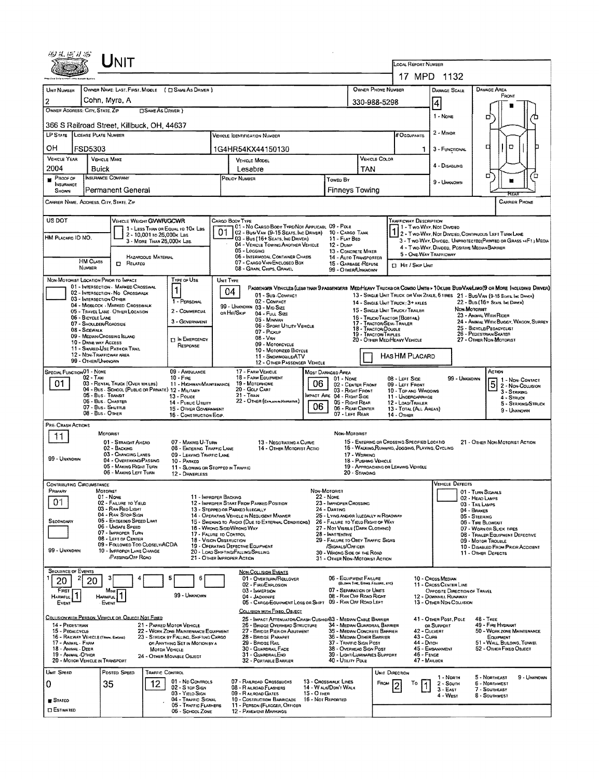| 17 MPD 1132<br>OWNER NAME: LAST, FIRST, MIDDLE ( C SAME AS DRIVER )<br>OWNER PHONE NUMBER<br><b>DAMAGE AREA</b><br>UNIT NUMBER<br>DAMAGE SCALE<br>FRONT<br>$\overline{c}$<br>Cohn, Myra, A<br>330-988-5298<br> 4<br>OWNER ADDRESS: CITY, STATE, ZIP<br><b>CISAME AS DRIVER</b> )<br>1 - NONE<br>□<br>366 S Railroad Street, Killbuck, OH, 44637<br>2 - Minon<br>LP STATE LICENSE PLATE NUMBER<br># Occupants<br>Vehicle Identification Number<br>۵<br>α<br>OН<br>FSD5303<br>1G4HR54KX44150130<br>3 - FUNCTIONAL<br>1.<br><b>VEHICLE YEAR</b><br><b>VEHICLE MAKE</b><br>VEHICLE COLOR<br><b>VEHICLE MODEL</b><br>4 - DISABLING<br>2004<br>Buick<br>TAN<br>Lesabre<br>о<br>Έ<br><b>INSURANCE COMPANY</b><br>PROOF OF<br>POLICY NUMBER<br>Towen By<br>9 - Unknown<br>INSURANCE<br>Permanent General<br>Finneys Towing<br>SHOWN<br>CARRIER NAME, ADDRESS, CITY, STATE, ZIP<br><b>CARRIER PHONE</b><br>US DOT<br><b>VEHICLE WEIGHT GVWR/GCWR</b><br>TRAFFICWAY DESCRIPTION<br>Cargo Booy Type<br>01 - No Cargo Booy Type/Not Applicabl 09 - Pole<br>11 - Two Way, Not Divideo<br>1 - LESS THAN OR EQUAL TO 10K LBS<br>01<br>02 - Bus/Van (9-15 Seats, Inc Driver)<br>10 - CARGO TANK<br>2 - Two Way, Not Divideo, Continuous Left Turn Lane<br>2 - 10,001 to 26,000k Las<br>HM PLACARD ID NO.<br>03 - Bus (16+ Seats, Inc Driver)<br>11 - FLAT BED<br>3 - Two-WAY, Divideo, UNPROTECTED(PAINTED OR GRASS >4FT.) MEDIA<br>3 - MORE THAN 26,000 K Las.<br>04 - VEHICLE TOWING ANOTHER VEHICLE<br>12 - Duwn<br>4 - Two-Way, Divided, Positive Median Barrier<br>05 - Logging<br>13 - CONCRETE MIXER<br>5 - ONE-WAY TRAFFICWAY<br>06 - INTERMODAL CONTAINER CHASTS<br><b>HAZARDOUS MATERIAL</b><br>14 - AUTO TRANSPORTER<br><b>HM Cuss</b><br>07 - CARGO VAN/ENCLOSED BOX<br><b>D</b> RELATED<br>15 - GARBAGE /REFUSE<br>$\Box$ Hit / Skip Unit<br>NUMBER<br>08 - GRAIN, CHIPS, GRAVEL<br>99 - OTHER/UNKNOWN<br>NON-MOTORIST LOCATION PRIOR TO IMPACT<br>TYPE OF USE<br>UNIT TYPE<br>01 - INTERSECTION - MARKED CROSSWAL<br>PASSENGER VEHICLES (LESS THAN 9 PASSENGERS MED/HEAVY TRUCKS OR COMBO UNITS > 10KLBS BUS/VAN/LIMO(9 OR MORE INCLUDING DRIVER)<br>04<br>02 - INTERSECTION - NO CROSSWALK<br>13 - SINGLE UNIT TRUCK OR VAN ZAXLE, 6 TIRES 21 - BUS/VAN (9-15 SEATE INC DANCR)<br>01 - Sub COMPACT<br>03 - INTERSECTION OTHER<br>02 - COMPACT<br>1 - PERSONAL<br>22 - Bus (16+ Sears, Inc Dever)<br>14 - SINGLE UNIT TRUCK: 3+ AXLES<br>04 - MIOBLOCK - MARKED CROSSWALK<br>99 - UNKNOWN 03 - MID SIZE<br>Non-Motoriet<br>15 - SINGLE UNIT TRUCK / TRAILER<br>2 - COMMERCIAL<br>05 - TRAVEL LANE OTHER LOCATION<br>on Hit/Skip<br>04 - FULL SIZE<br>23 - ANIMAL WITH RIDER<br>06 - BICYCLE LANE<br>16 - ТRUCK/ТВАСТОЯ (ВОВТАВ.)<br>05 - MINIVAN<br>3 - GOVERNMENT<br>24 - ANIMAL WITH BUGGY, WAGON, SURREY<br>17 - TRACTOR/SEMI-TRAILER<br>07 - SHOULDER/ROADSIDE<br>06 - Sport Utility Vehicle<br>25 - BICYCLE/PEDACYCLIST<br>18 - TRACTOR/DOUBLE<br>08 - SIDEWALK<br>07 - Pickup<br>26 - PEDESTRIAN/SKATER<br>19 - TRACTOR TRIPLES<br>09 - MEDIAN/CROSSING ISLAND<br>$08 - V_{AM}$<br><b>TI IN EMERGENCY</b><br>20 - OTHER MEDIMEAVY VEHICLE<br>27 - OTHER NON-MOTORIST<br>10 - DRAG WAY ACCESS<br>09 - MOTORCYCLE<br>RESPONSE<br>11 - SHARED-USE PATH OR TRAIL<br>10 - MOTORIZED BICYCLE<br>12 - NON-TRAFFICWAY AREA<br>HAS HM PLACARD<br>11 - SNOWMOBILE/ATV<br>99 - OTHER/UNKNOWN<br>12 - OTHER PASSENGER VEHICLE<br>17 - FARM VEHICLE<br>SPECIAL FUNCTION 01 - NONE<br>09 - AMBULANCE<br>ACTION<br>MOST DAMAGED AREA<br>02 - TAXI<br>18 - FARM EQUIPMENT<br>$10 -$ Fine<br>99 - Unknown<br>$01 - None$<br>08 - LEFT SIDE<br>1 - Non-Contact<br>5 2 - Non-Contact<br>06<br>01.<br>03 - RENTAL TRUCK (OVER 10KLBS)<br>19 - Мотонноме<br>11 - HIGHWAY/MAINTENANCE<br>02 - CENTER FRONT<br>09 - LEFT FRONT<br>04 - Bus - School (Public or Private) 12 - Military<br>20 - Golf Cart<br>03 - Right Front<br>10 - TOP AND WINDOWS<br>3 - STRIKING<br>05 - Bus - Transit<br>$21 -$ Traw<br>MPACT ARE 04 - RIGHT SIDE<br>13 - Pouce<br>11 - UNDERCARRIAGE<br>4 - STRUCK<br>06 - Bus. Charter<br>22 - OTHER (EXPLAND NAPRATIVE)<br>14 - PUBLIC UTILITY<br>05 - RIGHT REAR<br>12 - LOAD/TRAILER<br>5 - STRIKING/STRUCK<br>06<br>07 - Bus - SHUTTLE<br>06 - REAR CENTER<br>15 - OTHER GOVERNMENT<br>13 - TOTAL (ALL AREAS)<br>9 - UNKNOWN<br>08 - Bus - Other<br>07 - LEFT REAR<br>16 - CONSTRUCTION EQIP.<br>14 - OTHER<br>PRE- CRASH ACTIONS<br><b>MOTORIST</b><br>Non-Motorist<br>11<br>15 - ENTERING OR CROSSING SPECIFIED LOCATIO<br>01 - STRAIGHT AHEAO<br>07 - MAKING U-TURN<br>21 - OTHER NON-MOTORIST ACTION<br>13 - Negotiating a Curve<br>16 - WALKING, RUNNING, JOGGING, PLAYING, CYCLING<br>14 - OTHER MOTORIST ACTIO<br>02 - BACKING<br>08 - ENTERING TRAFFIC LANE<br>03 - CHANGING LANES<br>09 - LEAVING TRAFFIC LANE<br>17 - WORKING<br>99 - UNKNOWN<br>04 - OVERTAKING/PASSING<br>18 - PUSHING VEHICLE<br>10 - PARKED<br>05 - MAKING RIGHT TURN<br>19 - APPROACHING OR LEAVING VEHICLE<br>11 - SLOWING OR STOPPED IN TRAFFIC<br>06 - MAKING LEFT TURN<br>20 - STANDING<br>12 - DRIVERLESS<br><b>VEHICLE DEFECTS</b><br><b>CONTRIBUTING CIRCUMSTANCE</b><br>Primary<br>MOTORIST<br>Non-Motorist<br>01 - TURN SIGNALS<br><b>22 - Nove</b><br>01 - None<br>11 - IMPROPER BACKING<br>02 - HEAD LAMPS<br>01<br>02 - FAILURE TO YIELD<br>12 - IMPROPER START FROM PARKED POSITION<br>23 - IMPROPER CROSSING<br>03 - TAIL LAMPS<br>03 - RAN REO LIGHT<br>13 - STOPPED OR PARKED ILLEGALLY<br>24 - DARTING<br>04 - BRAKES<br>04 - RAN STOP SIGN<br>25 - LYING ANDIOR ILLEGALLY IN ROADWAY<br>14 - OPERATING VEHICLE IN NEGLIGENT MANNER<br>05 - STEERING<br>05 - Exceeped Speed Limit<br>SECONDARY<br>15 - Swering to Avoid (Due to External Conditions)<br>26 - FALURE TO YIELD RIGHT OF WAY<br>06 - TIRE BLOWOUT<br>06 - Unsafe Speed<br>16 - WRONG SIDE/WRONG WAY<br>27 - Not Visible (DARK Clothing)<br>07 - WORN OR SLICK TIRES<br>07 - IMPROPER TURN<br>17 - FALURE TO CONTROL<br>28 - INATTENTIVE<br>08 - TRAILER EQUIPMENT DEFECTIVE<br>08 - LEFT OF CENTER<br>18 - VISION OBSTRUCTION<br>29 - FAILURE TO OBEY TRAFFIC SIGNS<br>09 - Moron TrousLE<br>09 - FOLLOWED TOO CLOSELY/ACDA<br>19 - OPERATING DEFECTIVE EQUIPMENT<br>/SIGNALS/OFFICER<br>10 - DISABLEO FROM PRIOR ACCIDENT<br>99 - UNKNOWN<br>10 - IMPROPER LANE CHANGE<br>20 - LOAD SHIFTINGIFALLING/SPILLING<br>30 - WRONG SIDE OF THE ROAD<br>11 - OTHER DEFECTS<br><b>PASSING/OFF ROAD</b><br>21 - OTHER IMPROPER ACTION<br>31 - OTHER NON-MOTORIST ACTION<br><b>SECUENCE OF EVENTS</b><br><b>NON-COLLISION EVENTS</b><br>06 - EQUIPMENT FAILURE<br>10 - Cross Median<br>6<br>01 - OVERTURN/ROLLOVER<br>20<br>20<br>(BLOWN TIRE, BRAIR FALLIRE, ETC)<br>02 FIRE/EXPLOSION<br>11 - Cross CENTER LINE<br>07 - SEPARATION OF UNITS<br>FIRST<br>03 - IMMERSION<br>OPPOSITE DIRECTION OF TRAVEL<br>Most<br>99 - UNKNOWN<br>08 - RAN OFF ROAD RIGHT<br>04 - JACKKNIFE<br>12 - DOWNHEL RUNAWAY<br><b>HARMFUL</b><br>HARMFUL<br>05 - CARGO/EQUIPMENT LOSS OR SHIFT 09 - RAN OFF ROAD LEFT<br>13 - OTHER NON-COLLISION<br><b>Event</b><br>EVENT<br>COLLISION WITH FIXED, OBJECT<br>COLLISION WITH PERSON, VEHICLE OR OBJECT NOT FIXED<br>41 - OTHER POST, POLE<br><b>48 - TREE</b><br>25 - IMPACT ATTENUATOR/CRASH CUSHIO/83 - MEDIAN CABLE BARRIER<br>49 - FIRE HYDRANT<br>14 - PEDESTRIAN<br>21 - PARKED MOTOR VEHICLE<br>26 - BRIDGE OVERHEAD STRUCTURE<br>34 - Median Guardrail Barrier<br>OR SUPPORT<br>50 - WORK ZONE MAINTENANCE<br>15 - PEDALCYCLE<br>22 - WORK ZONE MAINTENANCE EQUIPMENT<br>27 - BRIDGE PIER OR ABUTMENT<br>35 - Median Concrete Barrier<br>42 - CULVERT<br>43 - Curs<br>16 - RAILWAY VEHICLE (TRAM, ENGINE)<br>23 - STRUCK BY FALLING, SHIFTING CARGO<br>28 - BRIDGE PARAPET<br>36 - Median Other Barrier<br>EQUIPMENT<br>44 - Diтсн<br>29 - BRIDGE RAIL<br>37 - Traffic Sign Post<br>51 - WALL BULDING, TUNNEL<br>17 - Animal - Farm<br>OF ANYTHING SET IN MOTION BY A<br>45 - EMBANKMENT<br>18 - Animal Deer<br>30 - GUARDRAIL FACE<br>38 - OVERHEAD SIGN POST<br>52 - Отнен Риер Овлест<br><b>MOTOR VEHICLE</b><br>$46 -$ Fence<br>19 - ANIMAL - OTHER<br>31 - GUARDRAILEND<br>39 - Light/Luminaries Support<br>24 - OTHER MOVABLE OBJECT<br>20 - MOTOR VEHICLE IN TRANSPORT<br>40 - UTILITY POLE<br>47 - MAILBOX<br>32 - PORTABLE BARRIER<br>UNIT SPEED<br>Posteo Speep<br><b>TRAFFIC CONTROL</b><br>UNIT DIRECTION<br>5 - NORTHEAST<br>9 - UNKNOWN<br>1 - North<br>01 - No CONTROLS<br>07 - RAILROAD CROSSBUCKS<br>13 - Crosswalk LINES<br>12<br>0<br>35<br>FROM<br>Т٥<br>2 - South<br>6 - NORTHWEST<br>02 - S TOP SIGN<br>08 - RAILROAD FLASHERS<br>14 - WALK/DON'T WALK<br>$3 - E$ AST<br>7 - SOUTHEAST<br>03 - YIELO SIGN<br>09 - RALROAD GATES<br>$15 - O$ THER<br>4 - West<br>8 - Southwest<br>04 - TRAFFIC SIGNAL<br>10 - COSTRUCTION BARRICADE<br>16 - Not Reported<br><b>STATEO</b><br>05 - TRAFFIC FLASHERS<br>11 - PERSON (FLAGGER, OFFICER<br><b>ESTIMATED</b><br>06 - SCHOOL ZONE<br>12 - PAVEMENT MARKINGS | Unit |                     |  |  |  |  |  |  |  |  |  |  |  |  |
|------------------------------------------------------------------------------------------------------------------------------------------------------------------------------------------------------------------------------------------------------------------------------------------------------------------------------------------------------------------------------------------------------------------------------------------------------------------------------------------------------------------------------------------------------------------------------------------------------------------------------------------------------------------------------------------------------------------------------------------------------------------------------------------------------------------------------------------------------------------------------------------------------------------------------------------------------------------------------------------------------------------------------------------------------------------------------------------------------------------------------------------------------------------------------------------------------------------------------------------------------------------------------------------------------------------------------------------------------------------------------------------------------------------------------------------------------------------------------------------------------------------------------------------------------------------------------------------------------------------------------------------------------------------------------------------------------------------------------------------------------------------------------------------------------------------------------------------------------------------------------------------------------------------------------------------------------------------------------------------------------------------------------------------------------------------------------------------------------------------------------------------------------------------------------------------------------------------------------------------------------------------------------------------------------------------------------------------------------------------------------------------------------------------------------------------------------------------------------------------------------------------------------------------------------------------------------------------------------------------------------------------------------------------------------------------------------------------------------------------------------------------------------------------------------------------------------------------------------------------------------------------------------------------------------------------------------------------------------------------------------------------------------------------------------------------------------------------------------------------------------------------------------------------------------------------------------------------------------------------------------------------------------------------------------------------------------------------------------------------------------------------------------------------------------------------------------------------------------------------------------------------------------------------------------------------------------------------------------------------------------------------------------------------------------------------------------------------------------------------------------------------------------------------------------------------------------------------------------------------------------------------------------------------------------------------------------------------------------------------------------------------------------------------------------------------------------------------------------------------------------------------------------------------------------------------------------------------------------------------------------------------------------------------------------------------------------------------------------------------------------------------------------------------------------------------------------------------------------------------------------------------------------------------------------------------------------------------------------------------------------------------------------------------------------------------------------------------------------------------------------------------------------------------------------------------------------------------------------------------------------------------------------------------------------------------------------------------------------------------------------------------------------------------------------------------------------------------------------------------------------------------------------------------------------------------------------------------------------------------------------------------------------------------------------------------------------------------------------------------------------------------------------------------------------------------------------------------------------------------------------------------------------------------------------------------------------------------------------------------------------------------------------------------------------------------------------------------------------------------------------------------------------------------------------------------------------------------------------------------------------------------------------------------------------------------------------------------------------------------------------------------------------------------------------------------------------------------------------------------------------------------------------------------------------------------------------------------------------------------------------------------------------------------------------------------------------------------------------------------------------------------------------------------------------------------------------------------------------------------------------------------------------------------------------------------------------------------------------------------------------------------------------------------------------------------------------------------------------------------------------------------------------------------------------------------------------------------------------------------------------------------------------------------------------------------------------------------------------------------------------------------------------------------------------------------------------------------------------------------------------------------------------------------------------------------------------------------------------------------------------------------------------------------------------------------------------------------------------------------------------------------------------------------------------------------------------------------------------------------------------------------------------------------------------------------------------------------------------------------------------------------------------------------------------------------------------------------------------------------------------------------------------------------------------------------------------------------------------------------------------------------------------------------------------------------------------------------------------------------------------------------------------------------------------------------------------------------------------------------------------------------------------------------------------------------------------------------------------------------------------------------------------------------------------------------------------------------------------------------------------------------------------------------------------------------------------------------------------------------------------------------------------------------------------------------------------------------------------------------------------------------------------------------------------------------------------------------------------------------------------------------------------------------------------------------------------------------------------------------------------------------------------------------------------------------------------------------------------------------------------------------------|------|---------------------|--|--|--|--|--|--|--|--|--|--|--|--|
|                                                                                                                                                                                                                                                                                                                                                                                                                                                                                                                                                                                                                                                                                                                                                                                                                                                                                                                                                                                                                                                                                                                                                                                                                                                                                                                                                                                                                                                                                                                                                                                                                                                                                                                                                                                                                                                                                                                                                                                                                                                                                                                                                                                                                                                                                                                                                                                                                                                                                                                                                                                                                                                                                                                                                                                                                                                                                                                                                                                                                                                                                                                                                                                                                                                                                                                                                                                                                                                                                                                                                                                                                                                                                                                                                                                                                                                                                                                                                                                                                                                                                                                                                                                                                                                                                                                                                                                                                                                                                                                                                                                                                                                                                                                                                                                                                                                                                                                                                                                                                                                                                                                                                                                                                                                                                                                                                                                                                                                                                                                                                                                                                                                                                                                                                                                                                                                                                                                                                                                                                                                                                                                                                                                                                                                                                                                                                                                                                                                                                                                                                                                                                                                                                                                                                                                                                                                                                                                                                                                                                                                                                                                                                                                                                                                                                                                                                                                                                                                                                                                                                                                                                                                                                                                                                                                                                                                                                                                                                                                                                                                                                                                                                                                                                                                                                                                                                                                                                                                                                                                                                                                                                                                                                                                                                                                                                                                                                                                                                                                                                        |      | LOCAL REPORT NUMBER |  |  |  |  |  |  |  |  |  |  |  |  |
|                                                                                                                                                                                                                                                                                                                                                                                                                                                                                                                                                                                                                                                                                                                                                                                                                                                                                                                                                                                                                                                                                                                                                                                                                                                                                                                                                                                                                                                                                                                                                                                                                                                                                                                                                                                                                                                                                                                                                                                                                                                                                                                                                                                                                                                                                                                                                                                                                                                                                                                                                                                                                                                                                                                                                                                                                                                                                                                                                                                                                                                                                                                                                                                                                                                                                                                                                                                                                                                                                                                                                                                                                                                                                                                                                                                                                                                                                                                                                                                                                                                                                                                                                                                                                                                                                                                                                                                                                                                                                                                                                                                                                                                                                                                                                                                                                                                                                                                                                                                                                                                                                                                                                                                                                                                                                                                                                                                                                                                                                                                                                                                                                                                                                                                                                                                                                                                                                                                                                                                                                                                                                                                                                                                                                                                                                                                                                                                                                                                                                                                                                                                                                                                                                                                                                                                                                                                                                                                                                                                                                                                                                                                                                                                                                                                                                                                                                                                                                                                                                                                                                                                                                                                                                                                                                                                                                                                                                                                                                                                                                                                                                                                                                                                                                                                                                                                                                                                                                                                                                                                                                                                                                                                                                                                                                                                                                                                                                                                                                                                                                        |      |                     |  |  |  |  |  |  |  |  |  |  |  |  |
|                                                                                                                                                                                                                                                                                                                                                                                                                                                                                                                                                                                                                                                                                                                                                                                                                                                                                                                                                                                                                                                                                                                                                                                                                                                                                                                                                                                                                                                                                                                                                                                                                                                                                                                                                                                                                                                                                                                                                                                                                                                                                                                                                                                                                                                                                                                                                                                                                                                                                                                                                                                                                                                                                                                                                                                                                                                                                                                                                                                                                                                                                                                                                                                                                                                                                                                                                                                                                                                                                                                                                                                                                                                                                                                                                                                                                                                                                                                                                                                                                                                                                                                                                                                                                                                                                                                                                                                                                                                                                                                                                                                                                                                                                                                                                                                                                                                                                                                                                                                                                                                                                                                                                                                                                                                                                                                                                                                                                                                                                                                                                                                                                                                                                                                                                                                                                                                                                                                                                                                                                                                                                                                                                                                                                                                                                                                                                                                                                                                                                                                                                                                                                                                                                                                                                                                                                                                                                                                                                                                                                                                                                                                                                                                                                                                                                                                                                                                                                                                                                                                                                                                                                                                                                                                                                                                                                                                                                                                                                                                                                                                                                                                                                                                                                                                                                                                                                                                                                                                                                                                                                                                                                                                                                                                                                                                                                                                                                                                                                                                                                        |      |                     |  |  |  |  |  |  |  |  |  |  |  |  |
|                                                                                                                                                                                                                                                                                                                                                                                                                                                                                                                                                                                                                                                                                                                                                                                                                                                                                                                                                                                                                                                                                                                                                                                                                                                                                                                                                                                                                                                                                                                                                                                                                                                                                                                                                                                                                                                                                                                                                                                                                                                                                                                                                                                                                                                                                                                                                                                                                                                                                                                                                                                                                                                                                                                                                                                                                                                                                                                                                                                                                                                                                                                                                                                                                                                                                                                                                                                                                                                                                                                                                                                                                                                                                                                                                                                                                                                                                                                                                                                                                                                                                                                                                                                                                                                                                                                                                                                                                                                                                                                                                                                                                                                                                                                                                                                                                                                                                                                                                                                                                                                                                                                                                                                                                                                                                                                                                                                                                                                                                                                                                                                                                                                                                                                                                                                                                                                                                                                                                                                                                                                                                                                                                                                                                                                                                                                                                                                                                                                                                                                                                                                                                                                                                                                                                                                                                                                                                                                                                                                                                                                                                                                                                                                                                                                                                                                                                                                                                                                                                                                                                                                                                                                                                                                                                                                                                                                                                                                                                                                                                                                                                                                                                                                                                                                                                                                                                                                                                                                                                                                                                                                                                                                                                                                                                                                                                                                                                                                                                                                                                        |      |                     |  |  |  |  |  |  |  |  |  |  |  |  |
|                                                                                                                                                                                                                                                                                                                                                                                                                                                                                                                                                                                                                                                                                                                                                                                                                                                                                                                                                                                                                                                                                                                                                                                                                                                                                                                                                                                                                                                                                                                                                                                                                                                                                                                                                                                                                                                                                                                                                                                                                                                                                                                                                                                                                                                                                                                                                                                                                                                                                                                                                                                                                                                                                                                                                                                                                                                                                                                                                                                                                                                                                                                                                                                                                                                                                                                                                                                                                                                                                                                                                                                                                                                                                                                                                                                                                                                                                                                                                                                                                                                                                                                                                                                                                                                                                                                                                                                                                                                                                                                                                                                                                                                                                                                                                                                                                                                                                                                                                                                                                                                                                                                                                                                                                                                                                                                                                                                                                                                                                                                                                                                                                                                                                                                                                                                                                                                                                                                                                                                                                                                                                                                                                                                                                                                                                                                                                                                                                                                                                                                                                                                                                                                                                                                                                                                                                                                                                                                                                                                                                                                                                                                                                                                                                                                                                                                                                                                                                                                                                                                                                                                                                                                                                                                                                                                                                                                                                                                                                                                                                                                                                                                                                                                                                                                                                                                                                                                                                                                                                                                                                                                                                                                                                                                                                                                                                                                                                                                                                                                                                        |      |                     |  |  |  |  |  |  |  |  |  |  |  |  |
|                                                                                                                                                                                                                                                                                                                                                                                                                                                                                                                                                                                                                                                                                                                                                                                                                                                                                                                                                                                                                                                                                                                                                                                                                                                                                                                                                                                                                                                                                                                                                                                                                                                                                                                                                                                                                                                                                                                                                                                                                                                                                                                                                                                                                                                                                                                                                                                                                                                                                                                                                                                                                                                                                                                                                                                                                                                                                                                                                                                                                                                                                                                                                                                                                                                                                                                                                                                                                                                                                                                                                                                                                                                                                                                                                                                                                                                                                                                                                                                                                                                                                                                                                                                                                                                                                                                                                                                                                                                                                                                                                                                                                                                                                                                                                                                                                                                                                                                                                                                                                                                                                                                                                                                                                                                                                                                                                                                                                                                                                                                                                                                                                                                                                                                                                                                                                                                                                                                                                                                                                                                                                                                                                                                                                                                                                                                                                                                                                                                                                                                                                                                                                                                                                                                                                                                                                                                                                                                                                                                                                                                                                                                                                                                                                                                                                                                                                                                                                                                                                                                                                                                                                                                                                                                                                                                                                                                                                                                                                                                                                                                                                                                                                                                                                                                                                                                                                                                                                                                                                                                                                                                                                                                                                                                                                                                                                                                                                                                                                                                                                        |      |                     |  |  |  |  |  |  |  |  |  |  |  |  |
|                                                                                                                                                                                                                                                                                                                                                                                                                                                                                                                                                                                                                                                                                                                                                                                                                                                                                                                                                                                                                                                                                                                                                                                                                                                                                                                                                                                                                                                                                                                                                                                                                                                                                                                                                                                                                                                                                                                                                                                                                                                                                                                                                                                                                                                                                                                                                                                                                                                                                                                                                                                                                                                                                                                                                                                                                                                                                                                                                                                                                                                                                                                                                                                                                                                                                                                                                                                                                                                                                                                                                                                                                                                                                                                                                                                                                                                                                                                                                                                                                                                                                                                                                                                                                                                                                                                                                                                                                                                                                                                                                                                                                                                                                                                                                                                                                                                                                                                                                                                                                                                                                                                                                                                                                                                                                                                                                                                                                                                                                                                                                                                                                                                                                                                                                                                                                                                                                                                                                                                                                                                                                                                                                                                                                                                                                                                                                                                                                                                                                                                                                                                                                                                                                                                                                                                                                                                                                                                                                                                                                                                                                                                                                                                                                                                                                                                                                                                                                                                                                                                                                                                                                                                                                                                                                                                                                                                                                                                                                                                                                                                                                                                                                                                                                                                                                                                                                                                                                                                                                                                                                                                                                                                                                                                                                                                                                                                                                                                                                                                                                        |      |                     |  |  |  |  |  |  |  |  |  |  |  |  |
|                                                                                                                                                                                                                                                                                                                                                                                                                                                                                                                                                                                                                                                                                                                                                                                                                                                                                                                                                                                                                                                                                                                                                                                                                                                                                                                                                                                                                                                                                                                                                                                                                                                                                                                                                                                                                                                                                                                                                                                                                                                                                                                                                                                                                                                                                                                                                                                                                                                                                                                                                                                                                                                                                                                                                                                                                                                                                                                                                                                                                                                                                                                                                                                                                                                                                                                                                                                                                                                                                                                                                                                                                                                                                                                                                                                                                                                                                                                                                                                                                                                                                                                                                                                                                                                                                                                                                                                                                                                                                                                                                                                                                                                                                                                                                                                                                                                                                                                                                                                                                                                                                                                                                                                                                                                                                                                                                                                                                                                                                                                                                                                                                                                                                                                                                                                                                                                                                                                                                                                                                                                                                                                                                                                                                                                                                                                                                                                                                                                                                                                                                                                                                                                                                                                                                                                                                                                                                                                                                                                                                                                                                                                                                                                                                                                                                                                                                                                                                                                                                                                                                                                                                                                                                                                                                                                                                                                                                                                                                                                                                                                                                                                                                                                                                                                                                                                                                                                                                                                                                                                                                                                                                                                                                                                                                                                                                                                                                                                                                                                                                        |      |                     |  |  |  |  |  |  |  |  |  |  |  |  |
|                                                                                                                                                                                                                                                                                                                                                                                                                                                                                                                                                                                                                                                                                                                                                                                                                                                                                                                                                                                                                                                                                                                                                                                                                                                                                                                                                                                                                                                                                                                                                                                                                                                                                                                                                                                                                                                                                                                                                                                                                                                                                                                                                                                                                                                                                                                                                                                                                                                                                                                                                                                                                                                                                                                                                                                                                                                                                                                                                                                                                                                                                                                                                                                                                                                                                                                                                                                                                                                                                                                                                                                                                                                                                                                                                                                                                                                                                                                                                                                                                                                                                                                                                                                                                                                                                                                                                                                                                                                                                                                                                                                                                                                                                                                                                                                                                                                                                                                                                                                                                                                                                                                                                                                                                                                                                                                                                                                                                                                                                                                                                                                                                                                                                                                                                                                                                                                                                                                                                                                                                                                                                                                                                                                                                                                                                                                                                                                                                                                                                                                                                                                                                                                                                                                                                                                                                                                                                                                                                                                                                                                                                                                                                                                                                                                                                                                                                                                                                                                                                                                                                                                                                                                                                                                                                                                                                                                                                                                                                                                                                                                                                                                                                                                                                                                                                                                                                                                                                                                                                                                                                                                                                                                                                                                                                                                                                                                                                                                                                                                                                        |      |                     |  |  |  |  |  |  |  |  |  |  |  |  |
|                                                                                                                                                                                                                                                                                                                                                                                                                                                                                                                                                                                                                                                                                                                                                                                                                                                                                                                                                                                                                                                                                                                                                                                                                                                                                                                                                                                                                                                                                                                                                                                                                                                                                                                                                                                                                                                                                                                                                                                                                                                                                                                                                                                                                                                                                                                                                                                                                                                                                                                                                                                                                                                                                                                                                                                                                                                                                                                                                                                                                                                                                                                                                                                                                                                                                                                                                                                                                                                                                                                                                                                                                                                                                                                                                                                                                                                                                                                                                                                                                                                                                                                                                                                                                                                                                                                                                                                                                                                                                                                                                                                                                                                                                                                                                                                                                                                                                                                                                                                                                                                                                                                                                                                                                                                                                                                                                                                                                                                                                                                                                                                                                                                                                                                                                                                                                                                                                                                                                                                                                                                                                                                                                                                                                                                                                                                                                                                                                                                                                                                                                                                                                                                                                                                                                                                                                                                                                                                                                                                                                                                                                                                                                                                                                                                                                                                                                                                                                                                                                                                                                                                                                                                                                                                                                                                                                                                                                                                                                                                                                                                                                                                                                                                                                                                                                                                                                                                                                                                                                                                                                                                                                                                                                                                                                                                                                                                                                                                                                                                                                        |      |                     |  |  |  |  |  |  |  |  |  |  |  |  |
|                                                                                                                                                                                                                                                                                                                                                                                                                                                                                                                                                                                                                                                                                                                                                                                                                                                                                                                                                                                                                                                                                                                                                                                                                                                                                                                                                                                                                                                                                                                                                                                                                                                                                                                                                                                                                                                                                                                                                                                                                                                                                                                                                                                                                                                                                                                                                                                                                                                                                                                                                                                                                                                                                                                                                                                                                                                                                                                                                                                                                                                                                                                                                                                                                                                                                                                                                                                                                                                                                                                                                                                                                                                                                                                                                                                                                                                                                                                                                                                                                                                                                                                                                                                                                                                                                                                                                                                                                                                                                                                                                                                                                                                                                                                                                                                                                                                                                                                                                                                                                                                                                                                                                                                                                                                                                                                                                                                                                                                                                                                                                                                                                                                                                                                                                                                                                                                                                                                                                                                                                                                                                                                                                                                                                                                                                                                                                                                                                                                                                                                                                                                                                                                                                                                                                                                                                                                                                                                                                                                                                                                                                                                                                                                                                                                                                                                                                                                                                                                                                                                                                                                                                                                                                                                                                                                                                                                                                                                                                                                                                                                                                                                                                                                                                                                                                                                                                                                                                                                                                                                                                                                                                                                                                                                                                                                                                                                                                                                                                                                                                        |      |                     |  |  |  |  |  |  |  |  |  |  |  |  |
|                                                                                                                                                                                                                                                                                                                                                                                                                                                                                                                                                                                                                                                                                                                                                                                                                                                                                                                                                                                                                                                                                                                                                                                                                                                                                                                                                                                                                                                                                                                                                                                                                                                                                                                                                                                                                                                                                                                                                                                                                                                                                                                                                                                                                                                                                                                                                                                                                                                                                                                                                                                                                                                                                                                                                                                                                                                                                                                                                                                                                                                                                                                                                                                                                                                                                                                                                                                                                                                                                                                                                                                                                                                                                                                                                                                                                                                                                                                                                                                                                                                                                                                                                                                                                                                                                                                                                                                                                                                                                                                                                                                                                                                                                                                                                                                                                                                                                                                                                                                                                                                                                                                                                                                                                                                                                                                                                                                                                                                                                                                                                                                                                                                                                                                                                                                                                                                                                                                                                                                                                                                                                                                                                                                                                                                                                                                                                                                                                                                                                                                                                                                                                                                                                                                                                                                                                                                                                                                                                                                                                                                                                                                                                                                                                                                                                                                                                                                                                                                                                                                                                                                                                                                                                                                                                                                                                                                                                                                                                                                                                                                                                                                                                                                                                                                                                                                                                                                                                                                                                                                                                                                                                                                                                                                                                                                                                                                                                                                                                                                                                        |      |                     |  |  |  |  |  |  |  |  |  |  |  |  |
|                                                                                                                                                                                                                                                                                                                                                                                                                                                                                                                                                                                                                                                                                                                                                                                                                                                                                                                                                                                                                                                                                                                                                                                                                                                                                                                                                                                                                                                                                                                                                                                                                                                                                                                                                                                                                                                                                                                                                                                                                                                                                                                                                                                                                                                                                                                                                                                                                                                                                                                                                                                                                                                                                                                                                                                                                                                                                                                                                                                                                                                                                                                                                                                                                                                                                                                                                                                                                                                                                                                                                                                                                                                                                                                                                                                                                                                                                                                                                                                                                                                                                                                                                                                                                                                                                                                                                                                                                                                                                                                                                                                                                                                                                                                                                                                                                                                                                                                                                                                                                                                                                                                                                                                                                                                                                                                                                                                                                                                                                                                                                                                                                                                                                                                                                                                                                                                                                                                                                                                                                                                                                                                                                                                                                                                                                                                                                                                                                                                                                                                                                                                                                                                                                                                                                                                                                                                                                                                                                                                                                                                                                                                                                                                                                                                                                                                                                                                                                                                                                                                                                                                                                                                                                                                                                                                                                                                                                                                                                                                                                                                                                                                                                                                                                                                                                                                                                                                                                                                                                                                                                                                                                                                                                                                                                                                                                                                                                                                                                                                                                        |      |                     |  |  |  |  |  |  |  |  |  |  |  |  |
|                                                                                                                                                                                                                                                                                                                                                                                                                                                                                                                                                                                                                                                                                                                                                                                                                                                                                                                                                                                                                                                                                                                                                                                                                                                                                                                                                                                                                                                                                                                                                                                                                                                                                                                                                                                                                                                                                                                                                                                                                                                                                                                                                                                                                                                                                                                                                                                                                                                                                                                                                                                                                                                                                                                                                                                                                                                                                                                                                                                                                                                                                                                                                                                                                                                                                                                                                                                                                                                                                                                                                                                                                                                                                                                                                                                                                                                                                                                                                                                                                                                                                                                                                                                                                                                                                                                                                                                                                                                                                                                                                                                                                                                                                                                                                                                                                                                                                                                                                                                                                                                                                                                                                                                                                                                                                                                                                                                                                                                                                                                                                                                                                                                                                                                                                                                                                                                                                                                                                                                                                                                                                                                                                                                                                                                                                                                                                                                                                                                                                                                                                                                                                                                                                                                                                                                                                                                                                                                                                                                                                                                                                                                                                                                                                                                                                                                                                                                                                                                                                                                                                                                                                                                                                                                                                                                                                                                                                                                                                                                                                                                                                                                                                                                                                                                                                                                                                                                                                                                                                                                                                                                                                                                                                                                                                                                                                                                                                                                                                                                                                        |      |                     |  |  |  |  |  |  |  |  |  |  |  |  |
|                                                                                                                                                                                                                                                                                                                                                                                                                                                                                                                                                                                                                                                                                                                                                                                                                                                                                                                                                                                                                                                                                                                                                                                                                                                                                                                                                                                                                                                                                                                                                                                                                                                                                                                                                                                                                                                                                                                                                                                                                                                                                                                                                                                                                                                                                                                                                                                                                                                                                                                                                                                                                                                                                                                                                                                                                                                                                                                                                                                                                                                                                                                                                                                                                                                                                                                                                                                                                                                                                                                                                                                                                                                                                                                                                                                                                                                                                                                                                                                                                                                                                                                                                                                                                                                                                                                                                                                                                                                                                                                                                                                                                                                                                                                                                                                                                                                                                                                                                                                                                                                                                                                                                                                                                                                                                                                                                                                                                                                                                                                                                                                                                                                                                                                                                                                                                                                                                                                                                                                                                                                                                                                                                                                                                                                                                                                                                                                                                                                                                                                                                                                                                                                                                                                                                                                                                                                                                                                                                                                                                                                                                                                                                                                                                                                                                                                                                                                                                                                                                                                                                                                                                                                                                                                                                                                                                                                                                                                                                                                                                                                                                                                                                                                                                                                                                                                                                                                                                                                                                                                                                                                                                                                                                                                                                                                                                                                                                                                                                                                                                        |      |                     |  |  |  |  |  |  |  |  |  |  |  |  |
|                                                                                                                                                                                                                                                                                                                                                                                                                                                                                                                                                                                                                                                                                                                                                                                                                                                                                                                                                                                                                                                                                                                                                                                                                                                                                                                                                                                                                                                                                                                                                                                                                                                                                                                                                                                                                                                                                                                                                                                                                                                                                                                                                                                                                                                                                                                                                                                                                                                                                                                                                                                                                                                                                                                                                                                                                                                                                                                                                                                                                                                                                                                                                                                                                                                                                                                                                                                                                                                                                                                                                                                                                                                                                                                                                                                                                                                                                                                                                                                                                                                                                                                                                                                                                                                                                                                                                                                                                                                                                                                                                                                                                                                                                                                                                                                                                                                                                                                                                                                                                                                                                                                                                                                                                                                                                                                                                                                                                                                                                                                                                                                                                                                                                                                                                                                                                                                                                                                                                                                                                                                                                                                                                                                                                                                                                                                                                                                                                                                                                                                                                                                                                                                                                                                                                                                                                                                                                                                                                                                                                                                                                                                                                                                                                                                                                                                                                                                                                                                                                                                                                                                                                                                                                                                                                                                                                                                                                                                                                                                                                                                                                                                                                                                                                                                                                                                                                                                                                                                                                                                                                                                                                                                                                                                                                                                                                                                                                                                                                                                                                        |      |                     |  |  |  |  |  |  |  |  |  |  |  |  |
|                                                                                                                                                                                                                                                                                                                                                                                                                                                                                                                                                                                                                                                                                                                                                                                                                                                                                                                                                                                                                                                                                                                                                                                                                                                                                                                                                                                                                                                                                                                                                                                                                                                                                                                                                                                                                                                                                                                                                                                                                                                                                                                                                                                                                                                                                                                                                                                                                                                                                                                                                                                                                                                                                                                                                                                                                                                                                                                                                                                                                                                                                                                                                                                                                                                                                                                                                                                                                                                                                                                                                                                                                                                                                                                                                                                                                                                                                                                                                                                                                                                                                                                                                                                                                                                                                                                                                                                                                                                                                                                                                                                                                                                                                                                                                                                                                                                                                                                                                                                                                                                                                                                                                                                                                                                                                                                                                                                                                                                                                                                                                                                                                                                                                                                                                                                                                                                                                                                                                                                                                                                                                                                                                                                                                                                                                                                                                                                                                                                                                                                                                                                                                                                                                                                                                                                                                                                                                                                                                                                                                                                                                                                                                                                                                                                                                                                                                                                                                                                                                                                                                                                                                                                                                                                                                                                                                                                                                                                                                                                                                                                                                                                                                                                                                                                                                                                                                                                                                                                                                                                                                                                                                                                                                                                                                                                                                                                                                                                                                                                                                        |      |                     |  |  |  |  |  |  |  |  |  |  |  |  |
|                                                                                                                                                                                                                                                                                                                                                                                                                                                                                                                                                                                                                                                                                                                                                                                                                                                                                                                                                                                                                                                                                                                                                                                                                                                                                                                                                                                                                                                                                                                                                                                                                                                                                                                                                                                                                                                                                                                                                                                                                                                                                                                                                                                                                                                                                                                                                                                                                                                                                                                                                                                                                                                                                                                                                                                                                                                                                                                                                                                                                                                                                                                                                                                                                                                                                                                                                                                                                                                                                                                                                                                                                                                                                                                                                                                                                                                                                                                                                                                                                                                                                                                                                                                                                                                                                                                                                                                                                                                                                                                                                                                                                                                                                                                                                                                                                                                                                                                                                                                                                                                                                                                                                                                                                                                                                                                                                                                                                                                                                                                                                                                                                                                                                                                                                                                                                                                                                                                                                                                                                                                                                                                                                                                                                                                                                                                                                                                                                                                                                                                                                                                                                                                                                                                                                                                                                                                                                                                                                                                                                                                                                                                                                                                                                                                                                                                                                                                                                                                                                                                                                                                                                                                                                                                                                                                                                                                                                                                                                                                                                                                                                                                                                                                                                                                                                                                                                                                                                                                                                                                                                                                                                                                                                                                                                                                                                                                                                                                                                                                                                        |      |                     |  |  |  |  |  |  |  |  |  |  |  |  |
|                                                                                                                                                                                                                                                                                                                                                                                                                                                                                                                                                                                                                                                                                                                                                                                                                                                                                                                                                                                                                                                                                                                                                                                                                                                                                                                                                                                                                                                                                                                                                                                                                                                                                                                                                                                                                                                                                                                                                                                                                                                                                                                                                                                                                                                                                                                                                                                                                                                                                                                                                                                                                                                                                                                                                                                                                                                                                                                                                                                                                                                                                                                                                                                                                                                                                                                                                                                                                                                                                                                                                                                                                                                                                                                                                                                                                                                                                                                                                                                                                                                                                                                                                                                                                                                                                                                                                                                                                                                                                                                                                                                                                                                                                                                                                                                                                                                                                                                                                                                                                                                                                                                                                                                                                                                                                                                                                                                                                                                                                                                                                                                                                                                                                                                                                                                                                                                                                                                                                                                                                                                                                                                                                                                                                                                                                                                                                                                                                                                                                                                                                                                                                                                                                                                                                                                                                                                                                                                                                                                                                                                                                                                                                                                                                                                                                                                                                                                                                                                                                                                                                                                                                                                                                                                                                                                                                                                                                                                                                                                                                                                                                                                                                                                                                                                                                                                                                                                                                                                                                                                                                                                                                                                                                                                                                                                                                                                                                                                                                                                                                        |      |                     |  |  |  |  |  |  |  |  |  |  |  |  |
|                                                                                                                                                                                                                                                                                                                                                                                                                                                                                                                                                                                                                                                                                                                                                                                                                                                                                                                                                                                                                                                                                                                                                                                                                                                                                                                                                                                                                                                                                                                                                                                                                                                                                                                                                                                                                                                                                                                                                                                                                                                                                                                                                                                                                                                                                                                                                                                                                                                                                                                                                                                                                                                                                                                                                                                                                                                                                                                                                                                                                                                                                                                                                                                                                                                                                                                                                                                                                                                                                                                                                                                                                                                                                                                                                                                                                                                                                                                                                                                                                                                                                                                                                                                                                                                                                                                                                                                                                                                                                                                                                                                                                                                                                                                                                                                                                                                                                                                                                                                                                                                                                                                                                                                                                                                                                                                                                                                                                                                                                                                                                                                                                                                                                                                                                                                                                                                                                                                                                                                                                                                                                                                                                                                                                                                                                                                                                                                                                                                                                                                                                                                                                                                                                                                                                                                                                                                                                                                                                                                                                                                                                                                                                                                                                                                                                                                                                                                                                                                                                                                                                                                                                                                                                                                                                                                                                                                                                                                                                                                                                                                                                                                                                                                                                                                                                                                                                                                                                                                                                                                                                                                                                                                                                                                                                                                                                                                                                                                                                                                                                        |      |                     |  |  |  |  |  |  |  |  |  |  |  |  |
|                                                                                                                                                                                                                                                                                                                                                                                                                                                                                                                                                                                                                                                                                                                                                                                                                                                                                                                                                                                                                                                                                                                                                                                                                                                                                                                                                                                                                                                                                                                                                                                                                                                                                                                                                                                                                                                                                                                                                                                                                                                                                                                                                                                                                                                                                                                                                                                                                                                                                                                                                                                                                                                                                                                                                                                                                                                                                                                                                                                                                                                                                                                                                                                                                                                                                                                                                                                                                                                                                                                                                                                                                                                                                                                                                                                                                                                                                                                                                                                                                                                                                                                                                                                                                                                                                                                                                                                                                                                                                                                                                                                                                                                                                                                                                                                                                                                                                                                                                                                                                                                                                                                                                                                                                                                                                                                                                                                                                                                                                                                                                                                                                                                                                                                                                                                                                                                                                                                                                                                                                                                                                                                                                                                                                                                                                                                                                                                                                                                                                                                                                                                                                                                                                                                                                                                                                                                                                                                                                                                                                                                                                                                                                                                                                                                                                                                                                                                                                                                                                                                                                                                                                                                                                                                                                                                                                                                                                                                                                                                                                                                                                                                                                                                                                                                                                                                                                                                                                                                                                                                                                                                                                                                                                                                                                                                                                                                                                                                                                                                                                        |      |                     |  |  |  |  |  |  |  |  |  |  |  |  |
|                                                                                                                                                                                                                                                                                                                                                                                                                                                                                                                                                                                                                                                                                                                                                                                                                                                                                                                                                                                                                                                                                                                                                                                                                                                                                                                                                                                                                                                                                                                                                                                                                                                                                                                                                                                                                                                                                                                                                                                                                                                                                                                                                                                                                                                                                                                                                                                                                                                                                                                                                                                                                                                                                                                                                                                                                                                                                                                                                                                                                                                                                                                                                                                                                                                                                                                                                                                                                                                                                                                                                                                                                                                                                                                                                                                                                                                                                                                                                                                                                                                                                                                                                                                                                                                                                                                                                                                                                                                                                                                                                                                                                                                                                                                                                                                                                                                                                                                                                                                                                                                                                                                                                                                                                                                                                                                                                                                                                                                                                                                                                                                                                                                                                                                                                                                                                                                                                                                                                                                                                                                                                                                                                                                                                                                                                                                                                                                                                                                                                                                                                                                                                                                                                                                                                                                                                                                                                                                                                                                                                                                                                                                                                                                                                                                                                                                                                                                                                                                                                                                                                                                                                                                                                                                                                                                                                                                                                                                                                                                                                                                                                                                                                                                                                                                                                                                                                                                                                                                                                                                                                                                                                                                                                                                                                                                                                                                                                                                                                                                                                        |      |                     |  |  |  |  |  |  |  |  |  |  |  |  |
|                                                                                                                                                                                                                                                                                                                                                                                                                                                                                                                                                                                                                                                                                                                                                                                                                                                                                                                                                                                                                                                                                                                                                                                                                                                                                                                                                                                                                                                                                                                                                                                                                                                                                                                                                                                                                                                                                                                                                                                                                                                                                                                                                                                                                                                                                                                                                                                                                                                                                                                                                                                                                                                                                                                                                                                                                                                                                                                                                                                                                                                                                                                                                                                                                                                                                                                                                                                                                                                                                                                                                                                                                                                                                                                                                                                                                                                                                                                                                                                                                                                                                                                                                                                                                                                                                                                                                                                                                                                                                                                                                                                                                                                                                                                                                                                                                                                                                                                                                                                                                                                                                                                                                                                                                                                                                                                                                                                                                                                                                                                                                                                                                                                                                                                                                                                                                                                                                                                                                                                                                                                                                                                                                                                                                                                                                                                                                                                                                                                                                                                                                                                                                                                                                                                                                                                                                                                                                                                                                                                                                                                                                                                                                                                                                                                                                                                                                                                                                                                                                                                                                                                                                                                                                                                                                                                                                                                                                                                                                                                                                                                                                                                                                                                                                                                                                                                                                                                                                                                                                                                                                                                                                                                                                                                                                                                                                                                                                                                                                                                                                        |      |                     |  |  |  |  |  |  |  |  |  |  |  |  |
|                                                                                                                                                                                                                                                                                                                                                                                                                                                                                                                                                                                                                                                                                                                                                                                                                                                                                                                                                                                                                                                                                                                                                                                                                                                                                                                                                                                                                                                                                                                                                                                                                                                                                                                                                                                                                                                                                                                                                                                                                                                                                                                                                                                                                                                                                                                                                                                                                                                                                                                                                                                                                                                                                                                                                                                                                                                                                                                                                                                                                                                                                                                                                                                                                                                                                                                                                                                                                                                                                                                                                                                                                                                                                                                                                                                                                                                                                                                                                                                                                                                                                                                                                                                                                                                                                                                                                                                                                                                                                                                                                                                                                                                                                                                                                                                                                                                                                                                                                                                                                                                                                                                                                                                                                                                                                                                                                                                                                                                                                                                                                                                                                                                                                                                                                                                                                                                                                                                                                                                                                                                                                                                                                                                                                                                                                                                                                                                                                                                                                                                                                                                                                                                                                                                                                                                                                                                                                                                                                                                                                                                                                                                                                                                                                                                                                                                                                                                                                                                                                                                                                                                                                                                                                                                                                                                                                                                                                                                                                                                                                                                                                                                                                                                                                                                                                                                                                                                                                                                                                                                                                                                                                                                                                                                                                                                                                                                                                                                                                                                                                        |      |                     |  |  |  |  |  |  |  |  |  |  |  |  |
|                                                                                                                                                                                                                                                                                                                                                                                                                                                                                                                                                                                                                                                                                                                                                                                                                                                                                                                                                                                                                                                                                                                                                                                                                                                                                                                                                                                                                                                                                                                                                                                                                                                                                                                                                                                                                                                                                                                                                                                                                                                                                                                                                                                                                                                                                                                                                                                                                                                                                                                                                                                                                                                                                                                                                                                                                                                                                                                                                                                                                                                                                                                                                                                                                                                                                                                                                                                                                                                                                                                                                                                                                                                                                                                                                                                                                                                                                                                                                                                                                                                                                                                                                                                                                                                                                                                                                                                                                                                                                                                                                                                                                                                                                                                                                                                                                                                                                                                                                                                                                                                                                                                                                                                                                                                                                                                                                                                                                                                                                                                                                                                                                                                                                                                                                                                                                                                                                                                                                                                                                                                                                                                                                                                                                                                                                                                                                                                                                                                                                                                                                                                                                                                                                                                                                                                                                                                                                                                                                                                                                                                                                                                                                                                                                                                                                                                                                                                                                                                                                                                                                                                                                                                                                                                                                                                                                                                                                                                                                                                                                                                                                                                                                                                                                                                                                                                                                                                                                                                                                                                                                                                                                                                                                                                                                                                                                                                                                                                                                                                                                        |      |                     |  |  |  |  |  |  |  |  |  |  |  |  |
|                                                                                                                                                                                                                                                                                                                                                                                                                                                                                                                                                                                                                                                                                                                                                                                                                                                                                                                                                                                                                                                                                                                                                                                                                                                                                                                                                                                                                                                                                                                                                                                                                                                                                                                                                                                                                                                                                                                                                                                                                                                                                                                                                                                                                                                                                                                                                                                                                                                                                                                                                                                                                                                                                                                                                                                                                                                                                                                                                                                                                                                                                                                                                                                                                                                                                                                                                                                                                                                                                                                                                                                                                                                                                                                                                                                                                                                                                                                                                                                                                                                                                                                                                                                                                                                                                                                                                                                                                                                                                                                                                                                                                                                                                                                                                                                                                                                                                                                                                                                                                                                                                                                                                                                                                                                                                                                                                                                                                                                                                                                                                                                                                                                                                                                                                                                                                                                                                                                                                                                                                                                                                                                                                                                                                                                                                                                                                                                                                                                                                                                                                                                                                                                                                                                                                                                                                                                                                                                                                                                                                                                                                                                                                                                                                                                                                                                                                                                                                                                                                                                                                                                                                                                                                                                                                                                                                                                                                                                                                                                                                                                                                                                                                                                                                                                                                                                                                                                                                                                                                                                                                                                                                                                                                                                                                                                                                                                                                                                                                                                                                        |      |                     |  |  |  |  |  |  |  |  |  |  |  |  |
|                                                                                                                                                                                                                                                                                                                                                                                                                                                                                                                                                                                                                                                                                                                                                                                                                                                                                                                                                                                                                                                                                                                                                                                                                                                                                                                                                                                                                                                                                                                                                                                                                                                                                                                                                                                                                                                                                                                                                                                                                                                                                                                                                                                                                                                                                                                                                                                                                                                                                                                                                                                                                                                                                                                                                                                                                                                                                                                                                                                                                                                                                                                                                                                                                                                                                                                                                                                                                                                                                                                                                                                                                                                                                                                                                                                                                                                                                                                                                                                                                                                                                                                                                                                                                                                                                                                                                                                                                                                                                                                                                                                                                                                                                                                                                                                                                                                                                                                                                                                                                                                                                                                                                                                                                                                                                                                                                                                                                                                                                                                                                                                                                                                                                                                                                                                                                                                                                                                                                                                                                                                                                                                                                                                                                                                                                                                                                                                                                                                                                                                                                                                                                                                                                                                                                                                                                                                                                                                                                                                                                                                                                                                                                                                                                                                                                                                                                                                                                                                                                                                                                                                                                                                                                                                                                                                                                                                                                                                                                                                                                                                                                                                                                                                                                                                                                                                                                                                                                                                                                                                                                                                                                                                                                                                                                                                                                                                                                                                                                                                                                        |      |                     |  |  |  |  |  |  |  |  |  |  |  |  |
|                                                                                                                                                                                                                                                                                                                                                                                                                                                                                                                                                                                                                                                                                                                                                                                                                                                                                                                                                                                                                                                                                                                                                                                                                                                                                                                                                                                                                                                                                                                                                                                                                                                                                                                                                                                                                                                                                                                                                                                                                                                                                                                                                                                                                                                                                                                                                                                                                                                                                                                                                                                                                                                                                                                                                                                                                                                                                                                                                                                                                                                                                                                                                                                                                                                                                                                                                                                                                                                                                                                                                                                                                                                                                                                                                                                                                                                                                                                                                                                                                                                                                                                                                                                                                                                                                                                                                                                                                                                                                                                                                                                                                                                                                                                                                                                                                                                                                                                                                                                                                                                                                                                                                                                                                                                                                                                                                                                                                                                                                                                                                                                                                                                                                                                                                                                                                                                                                                                                                                                                                                                                                                                                                                                                                                                                                                                                                                                                                                                                                                                                                                                                                                                                                                                                                                                                                                                                                                                                                                                                                                                                                                                                                                                                                                                                                                                                                                                                                                                                                                                                                                                                                                                                                                                                                                                                                                                                                                                                                                                                                                                                                                                                                                                                                                                                                                                                                                                                                                                                                                                                                                                                                                                                                                                                                                                                                                                                                                                                                                                                                        |      |                     |  |  |  |  |  |  |  |  |  |  |  |  |
|                                                                                                                                                                                                                                                                                                                                                                                                                                                                                                                                                                                                                                                                                                                                                                                                                                                                                                                                                                                                                                                                                                                                                                                                                                                                                                                                                                                                                                                                                                                                                                                                                                                                                                                                                                                                                                                                                                                                                                                                                                                                                                                                                                                                                                                                                                                                                                                                                                                                                                                                                                                                                                                                                                                                                                                                                                                                                                                                                                                                                                                                                                                                                                                                                                                                                                                                                                                                                                                                                                                                                                                                                                                                                                                                                                                                                                                                                                                                                                                                                                                                                                                                                                                                                                                                                                                                                                                                                                                                                                                                                                                                                                                                                                                                                                                                                                                                                                                                                                                                                                                                                                                                                                                                                                                                                                                                                                                                                                                                                                                                                                                                                                                                                                                                                                                                                                                                                                                                                                                                                                                                                                                                                                                                                                                                                                                                                                                                                                                                                                                                                                                                                                                                                                                                                                                                                                                                                                                                                                                                                                                                                                                                                                                                                                                                                                                                                                                                                                                                                                                                                                                                                                                                                                                                                                                                                                                                                                                                                                                                                                                                                                                                                                                                                                                                                                                                                                                                                                                                                                                                                                                                                                                                                                                                                                                                                                                                                                                                                                                                                        |      |                     |  |  |  |  |  |  |  |  |  |  |  |  |
|                                                                                                                                                                                                                                                                                                                                                                                                                                                                                                                                                                                                                                                                                                                                                                                                                                                                                                                                                                                                                                                                                                                                                                                                                                                                                                                                                                                                                                                                                                                                                                                                                                                                                                                                                                                                                                                                                                                                                                                                                                                                                                                                                                                                                                                                                                                                                                                                                                                                                                                                                                                                                                                                                                                                                                                                                                                                                                                                                                                                                                                                                                                                                                                                                                                                                                                                                                                                                                                                                                                                                                                                                                                                                                                                                                                                                                                                                                                                                                                                                                                                                                                                                                                                                                                                                                                                                                                                                                                                                                                                                                                                                                                                                                                                                                                                                                                                                                                                                                                                                                                                                                                                                                                                                                                                                                                                                                                                                                                                                                                                                                                                                                                                                                                                                                                                                                                                                                                                                                                                                                                                                                                                                                                                                                                                                                                                                                                                                                                                                                                                                                                                                                                                                                                                                                                                                                                                                                                                                                                                                                                                                                                                                                                                                                                                                                                                                                                                                                                                                                                                                                                                                                                                                                                                                                                                                                                                                                                                                                                                                                                                                                                                                                                                                                                                                                                                                                                                                                                                                                                                                                                                                                                                                                                                                                                                                                                                                                                                                                                                                        |      |                     |  |  |  |  |  |  |  |  |  |  |  |  |
|                                                                                                                                                                                                                                                                                                                                                                                                                                                                                                                                                                                                                                                                                                                                                                                                                                                                                                                                                                                                                                                                                                                                                                                                                                                                                                                                                                                                                                                                                                                                                                                                                                                                                                                                                                                                                                                                                                                                                                                                                                                                                                                                                                                                                                                                                                                                                                                                                                                                                                                                                                                                                                                                                                                                                                                                                                                                                                                                                                                                                                                                                                                                                                                                                                                                                                                                                                                                                                                                                                                                                                                                                                                                                                                                                                                                                                                                                                                                                                                                                                                                                                                                                                                                                                                                                                                                                                                                                                                                                                                                                                                                                                                                                                                                                                                                                                                                                                                                                                                                                                                                                                                                                                                                                                                                                                                                                                                                                                                                                                                                                                                                                                                                                                                                                                                                                                                                                                                                                                                                                                                                                                                                                                                                                                                                                                                                                                                                                                                                                                                                                                                                                                                                                                                                                                                                                                                                                                                                                                                                                                                                                                                                                                                                                                                                                                                                                                                                                                                                                                                                                                                                                                                                                                                                                                                                                                                                                                                                                                                                                                                                                                                                                                                                                                                                                                                                                                                                                                                                                                                                                                                                                                                                                                                                                                                                                                                                                                                                                                                                                        |      |                     |  |  |  |  |  |  |  |  |  |  |  |  |
|                                                                                                                                                                                                                                                                                                                                                                                                                                                                                                                                                                                                                                                                                                                                                                                                                                                                                                                                                                                                                                                                                                                                                                                                                                                                                                                                                                                                                                                                                                                                                                                                                                                                                                                                                                                                                                                                                                                                                                                                                                                                                                                                                                                                                                                                                                                                                                                                                                                                                                                                                                                                                                                                                                                                                                                                                                                                                                                                                                                                                                                                                                                                                                                                                                                                                                                                                                                                                                                                                                                                                                                                                                                                                                                                                                                                                                                                                                                                                                                                                                                                                                                                                                                                                                                                                                                                                                                                                                                                                                                                                                                                                                                                                                                                                                                                                                                                                                                                                                                                                                                                                                                                                                                                                                                                                                                                                                                                                                                                                                                                                                                                                                                                                                                                                                                                                                                                                                                                                                                                                                                                                                                                                                                                                                                                                                                                                                                                                                                                                                                                                                                                                                                                                                                                                                                                                                                                                                                                                                                                                                                                                                                                                                                                                                                                                                                                                                                                                                                                                                                                                                                                                                                                                                                                                                                                                                                                                                                                                                                                                                                                                                                                                                                                                                                                                                                                                                                                                                                                                                                                                                                                                                                                                                                                                                                                                                                                                                                                                                                                                        |      |                     |  |  |  |  |  |  |  |  |  |  |  |  |
|                                                                                                                                                                                                                                                                                                                                                                                                                                                                                                                                                                                                                                                                                                                                                                                                                                                                                                                                                                                                                                                                                                                                                                                                                                                                                                                                                                                                                                                                                                                                                                                                                                                                                                                                                                                                                                                                                                                                                                                                                                                                                                                                                                                                                                                                                                                                                                                                                                                                                                                                                                                                                                                                                                                                                                                                                                                                                                                                                                                                                                                                                                                                                                                                                                                                                                                                                                                                                                                                                                                                                                                                                                                                                                                                                                                                                                                                                                                                                                                                                                                                                                                                                                                                                                                                                                                                                                                                                                                                                                                                                                                                                                                                                                                                                                                                                                                                                                                                                                                                                                                                                                                                                                                                                                                                                                                                                                                                                                                                                                                                                                                                                                                                                                                                                                                                                                                                                                                                                                                                                                                                                                                                                                                                                                                                                                                                                                                                                                                                                                                                                                                                                                                                                                                                                                                                                                                                                                                                                                                                                                                                                                                                                                                                                                                                                                                                                                                                                                                                                                                                                                                                                                                                                                                                                                                                                                                                                                                                                                                                                                                                                                                                                                                                                                                                                                                                                                                                                                                                                                                                                                                                                                                                                                                                                                                                                                                                                                                                                                                                                        |      |                     |  |  |  |  |  |  |  |  |  |  |  |  |
|                                                                                                                                                                                                                                                                                                                                                                                                                                                                                                                                                                                                                                                                                                                                                                                                                                                                                                                                                                                                                                                                                                                                                                                                                                                                                                                                                                                                                                                                                                                                                                                                                                                                                                                                                                                                                                                                                                                                                                                                                                                                                                                                                                                                                                                                                                                                                                                                                                                                                                                                                                                                                                                                                                                                                                                                                                                                                                                                                                                                                                                                                                                                                                                                                                                                                                                                                                                                                                                                                                                                                                                                                                                                                                                                                                                                                                                                                                                                                                                                                                                                                                                                                                                                                                                                                                                                                                                                                                                                                                                                                                                                                                                                                                                                                                                                                                                                                                                                                                                                                                                                                                                                                                                                                                                                                                                                                                                                                                                                                                                                                                                                                                                                                                                                                                                                                                                                                                                                                                                                                                                                                                                                                                                                                                                                                                                                                                                                                                                                                                                                                                                                                                                                                                                                                                                                                                                                                                                                                                                                                                                                                                                                                                                                                                                                                                                                                                                                                                                                                                                                                                                                                                                                                                                                                                                                                                                                                                                                                                                                                                                                                                                                                                                                                                                                                                                                                                                                                                                                                                                                                                                                                                                                                                                                                                                                                                                                                                                                                                                                                        |      |                     |  |  |  |  |  |  |  |  |  |  |  |  |
|                                                                                                                                                                                                                                                                                                                                                                                                                                                                                                                                                                                                                                                                                                                                                                                                                                                                                                                                                                                                                                                                                                                                                                                                                                                                                                                                                                                                                                                                                                                                                                                                                                                                                                                                                                                                                                                                                                                                                                                                                                                                                                                                                                                                                                                                                                                                                                                                                                                                                                                                                                                                                                                                                                                                                                                                                                                                                                                                                                                                                                                                                                                                                                                                                                                                                                                                                                                                                                                                                                                                                                                                                                                                                                                                                                                                                                                                                                                                                                                                                                                                                                                                                                                                                                                                                                                                                                                                                                                                                                                                                                                                                                                                                                                                                                                                                                                                                                                                                                                                                                                                                                                                                                                                                                                                                                                                                                                                                                                                                                                                                                                                                                                                                                                                                                                                                                                                                                                                                                                                                                                                                                                                                                                                                                                                                                                                                                                                                                                                                                                                                                                                                                                                                                                                                                                                                                                                                                                                                                                                                                                                                                                                                                                                                                                                                                                                                                                                                                                                                                                                                                                                                                                                                                                                                                                                                                                                                                                                                                                                                                                                                                                                                                                                                                                                                                                                                                                                                                                                                                                                                                                                                                                                                                                                                                                                                                                                                                                                                                                                                        |      |                     |  |  |  |  |  |  |  |  |  |  |  |  |
|                                                                                                                                                                                                                                                                                                                                                                                                                                                                                                                                                                                                                                                                                                                                                                                                                                                                                                                                                                                                                                                                                                                                                                                                                                                                                                                                                                                                                                                                                                                                                                                                                                                                                                                                                                                                                                                                                                                                                                                                                                                                                                                                                                                                                                                                                                                                                                                                                                                                                                                                                                                                                                                                                                                                                                                                                                                                                                                                                                                                                                                                                                                                                                                                                                                                                                                                                                                                                                                                                                                                                                                                                                                                                                                                                                                                                                                                                                                                                                                                                                                                                                                                                                                                                                                                                                                                                                                                                                                                                                                                                                                                                                                                                                                                                                                                                                                                                                                                                                                                                                                                                                                                                                                                                                                                                                                                                                                                                                                                                                                                                                                                                                                                                                                                                                                                                                                                                                                                                                                                                                                                                                                                                                                                                                                                                                                                                                                                                                                                                                                                                                                                                                                                                                                                                                                                                                                                                                                                                                                                                                                                                                                                                                                                                                                                                                                                                                                                                                                                                                                                                                                                                                                                                                                                                                                                                                                                                                                                                                                                                                                                                                                                                                                                                                                                                                                                                                                                                                                                                                                                                                                                                                                                                                                                                                                                                                                                                                                                                                                                                        |      |                     |  |  |  |  |  |  |  |  |  |  |  |  |
|                                                                                                                                                                                                                                                                                                                                                                                                                                                                                                                                                                                                                                                                                                                                                                                                                                                                                                                                                                                                                                                                                                                                                                                                                                                                                                                                                                                                                                                                                                                                                                                                                                                                                                                                                                                                                                                                                                                                                                                                                                                                                                                                                                                                                                                                                                                                                                                                                                                                                                                                                                                                                                                                                                                                                                                                                                                                                                                                                                                                                                                                                                                                                                                                                                                                                                                                                                                                                                                                                                                                                                                                                                                                                                                                                                                                                                                                                                                                                                                                                                                                                                                                                                                                                                                                                                                                                                                                                                                                                                                                                                                                                                                                                                                                                                                                                                                                                                                                                                                                                                                                                                                                                                                                                                                                                                                                                                                                                                                                                                                                                                                                                                                                                                                                                                                                                                                                                                                                                                                                                                                                                                                                                                                                                                                                                                                                                                                                                                                                                                                                                                                                                                                                                                                                                                                                                                                                                                                                                                                                                                                                                                                                                                                                                                                                                                                                                                                                                                                                                                                                                                                                                                                                                                                                                                                                                                                                                                                                                                                                                                                                                                                                                                                                                                                                                                                                                                                                                                                                                                                                                                                                                                                                                                                                                                                                                                                                                                                                                                                                                        |      |                     |  |  |  |  |  |  |  |  |  |  |  |  |
|                                                                                                                                                                                                                                                                                                                                                                                                                                                                                                                                                                                                                                                                                                                                                                                                                                                                                                                                                                                                                                                                                                                                                                                                                                                                                                                                                                                                                                                                                                                                                                                                                                                                                                                                                                                                                                                                                                                                                                                                                                                                                                                                                                                                                                                                                                                                                                                                                                                                                                                                                                                                                                                                                                                                                                                                                                                                                                                                                                                                                                                                                                                                                                                                                                                                                                                                                                                                                                                                                                                                                                                                                                                                                                                                                                                                                                                                                                                                                                                                                                                                                                                                                                                                                                                                                                                                                                                                                                                                                                                                                                                                                                                                                                                                                                                                                                                                                                                                                                                                                                                                                                                                                                                                                                                                                                                                                                                                                                                                                                                                                                                                                                                                                                                                                                                                                                                                                                                                                                                                                                                                                                                                                                                                                                                                                                                                                                                                                                                                                                                                                                                                                                                                                                                                                                                                                                                                                                                                                                                                                                                                                                                                                                                                                                                                                                                                                                                                                                                                                                                                                                                                                                                                                                                                                                                                                                                                                                                                                                                                                                                                                                                                                                                                                                                                                                                                                                                                                                                                                                                                                                                                                                                                                                                                                                                                                                                                                                                                                                                                                        |      |                     |  |  |  |  |  |  |  |  |  |  |  |  |
|                                                                                                                                                                                                                                                                                                                                                                                                                                                                                                                                                                                                                                                                                                                                                                                                                                                                                                                                                                                                                                                                                                                                                                                                                                                                                                                                                                                                                                                                                                                                                                                                                                                                                                                                                                                                                                                                                                                                                                                                                                                                                                                                                                                                                                                                                                                                                                                                                                                                                                                                                                                                                                                                                                                                                                                                                                                                                                                                                                                                                                                                                                                                                                                                                                                                                                                                                                                                                                                                                                                                                                                                                                                                                                                                                                                                                                                                                                                                                                                                                                                                                                                                                                                                                                                                                                                                                                                                                                                                                                                                                                                                                                                                                                                                                                                                                                                                                                                                                                                                                                                                                                                                                                                                                                                                                                                                                                                                                                                                                                                                                                                                                                                                                                                                                                                                                                                                                                                                                                                                                                                                                                                                                                                                                                                                                                                                                                                                                                                                                                                                                                                                                                                                                                                                                                                                                                                                                                                                                                                                                                                                                                                                                                                                                                                                                                                                                                                                                                                                                                                                                                                                                                                                                                                                                                                                                                                                                                                                                                                                                                                                                                                                                                                                                                                                                                                                                                                                                                                                                                                                                                                                                                                                                                                                                                                                                                                                                                                                                                                                                        |      |                     |  |  |  |  |  |  |  |  |  |  |  |  |
|                                                                                                                                                                                                                                                                                                                                                                                                                                                                                                                                                                                                                                                                                                                                                                                                                                                                                                                                                                                                                                                                                                                                                                                                                                                                                                                                                                                                                                                                                                                                                                                                                                                                                                                                                                                                                                                                                                                                                                                                                                                                                                                                                                                                                                                                                                                                                                                                                                                                                                                                                                                                                                                                                                                                                                                                                                                                                                                                                                                                                                                                                                                                                                                                                                                                                                                                                                                                                                                                                                                                                                                                                                                                                                                                                                                                                                                                                                                                                                                                                                                                                                                                                                                                                                                                                                                                                                                                                                                                                                                                                                                                                                                                                                                                                                                                                                                                                                                                                                                                                                                                                                                                                                                                                                                                                                                                                                                                                                                                                                                                                                                                                                                                                                                                                                                                                                                                                                                                                                                                                                                                                                                                                                                                                                                                                                                                                                                                                                                                                                                                                                                                                                                                                                                                                                                                                                                                                                                                                                                                                                                                                                                                                                                                                                                                                                                                                                                                                                                                                                                                                                                                                                                                                                                                                                                                                                                                                                                                                                                                                                                                                                                                                                                                                                                                                                                                                                                                                                                                                                                                                                                                                                                                                                                                                                                                                                                                                                                                                                                                                        |      |                     |  |  |  |  |  |  |  |  |  |  |  |  |
|                                                                                                                                                                                                                                                                                                                                                                                                                                                                                                                                                                                                                                                                                                                                                                                                                                                                                                                                                                                                                                                                                                                                                                                                                                                                                                                                                                                                                                                                                                                                                                                                                                                                                                                                                                                                                                                                                                                                                                                                                                                                                                                                                                                                                                                                                                                                                                                                                                                                                                                                                                                                                                                                                                                                                                                                                                                                                                                                                                                                                                                                                                                                                                                                                                                                                                                                                                                                                                                                                                                                                                                                                                                                                                                                                                                                                                                                                                                                                                                                                                                                                                                                                                                                                                                                                                                                                                                                                                                                                                                                                                                                                                                                                                                                                                                                                                                                                                                                                                                                                                                                                                                                                                                                                                                                                                                                                                                                                                                                                                                                                                                                                                                                                                                                                                                                                                                                                                                                                                                                                                                                                                                                                                                                                                                                                                                                                                                                                                                                                                                                                                                                                                                                                                                                                                                                                                                                                                                                                                                                                                                                                                                                                                                                                                                                                                                                                                                                                                                                                                                                                                                                                                                                                                                                                                                                                                                                                                                                                                                                                                                                                                                                                                                                                                                                                                                                                                                                                                                                                                                                                                                                                                                                                                                                                                                                                                                                                                                                                                                                                        |      |                     |  |  |  |  |  |  |  |  |  |  |  |  |
|                                                                                                                                                                                                                                                                                                                                                                                                                                                                                                                                                                                                                                                                                                                                                                                                                                                                                                                                                                                                                                                                                                                                                                                                                                                                                                                                                                                                                                                                                                                                                                                                                                                                                                                                                                                                                                                                                                                                                                                                                                                                                                                                                                                                                                                                                                                                                                                                                                                                                                                                                                                                                                                                                                                                                                                                                                                                                                                                                                                                                                                                                                                                                                                                                                                                                                                                                                                                                                                                                                                                                                                                                                                                                                                                                                                                                                                                                                                                                                                                                                                                                                                                                                                                                                                                                                                                                                                                                                                                                                                                                                                                                                                                                                                                                                                                                                                                                                                                                                                                                                                                                                                                                                                                                                                                                                                                                                                                                                                                                                                                                                                                                                                                                                                                                                                                                                                                                                                                                                                                                                                                                                                                                                                                                                                                                                                                                                                                                                                                                                                                                                                                                                                                                                                                                                                                                                                                                                                                                                                                                                                                                                                                                                                                                                                                                                                                                                                                                                                                                                                                                                                                                                                                                                                                                                                                                                                                                                                                                                                                                                                                                                                                                                                                                                                                                                                                                                                                                                                                                                                                                                                                                                                                                                                                                                                                                                                                                                                                                                                                                        |      |                     |  |  |  |  |  |  |  |  |  |  |  |  |
|                                                                                                                                                                                                                                                                                                                                                                                                                                                                                                                                                                                                                                                                                                                                                                                                                                                                                                                                                                                                                                                                                                                                                                                                                                                                                                                                                                                                                                                                                                                                                                                                                                                                                                                                                                                                                                                                                                                                                                                                                                                                                                                                                                                                                                                                                                                                                                                                                                                                                                                                                                                                                                                                                                                                                                                                                                                                                                                                                                                                                                                                                                                                                                                                                                                                                                                                                                                                                                                                                                                                                                                                                                                                                                                                                                                                                                                                                                                                                                                                                                                                                                                                                                                                                                                                                                                                                                                                                                                                                                                                                                                                                                                                                                                                                                                                                                                                                                                                                                                                                                                                                                                                                                                                                                                                                                                                                                                                                                                                                                                                                                                                                                                                                                                                                                                                                                                                                                                                                                                                                                                                                                                                                                                                                                                                                                                                                                                                                                                                                                                                                                                                                                                                                                                                                                                                                                                                                                                                                                                                                                                                                                                                                                                                                                                                                                                                                                                                                                                                                                                                                                                                                                                                                                                                                                                                                                                                                                                                                                                                                                                                                                                                                                                                                                                                                                                                                                                                                                                                                                                                                                                                                                                                                                                                                                                                                                                                                                                                                                                                                        |      |                     |  |  |  |  |  |  |  |  |  |  |  |  |
|                                                                                                                                                                                                                                                                                                                                                                                                                                                                                                                                                                                                                                                                                                                                                                                                                                                                                                                                                                                                                                                                                                                                                                                                                                                                                                                                                                                                                                                                                                                                                                                                                                                                                                                                                                                                                                                                                                                                                                                                                                                                                                                                                                                                                                                                                                                                                                                                                                                                                                                                                                                                                                                                                                                                                                                                                                                                                                                                                                                                                                                                                                                                                                                                                                                                                                                                                                                                                                                                                                                                                                                                                                                                                                                                                                                                                                                                                                                                                                                                                                                                                                                                                                                                                                                                                                                                                                                                                                                                                                                                                                                                                                                                                                                                                                                                                                                                                                                                                                                                                                                                                                                                                                                                                                                                                                                                                                                                                                                                                                                                                                                                                                                                                                                                                                                                                                                                                                                                                                                                                                                                                                                                                                                                                                                                                                                                                                                                                                                                                                                                                                                                                                                                                                                                                                                                                                                                                                                                                                                                                                                                                                                                                                                                                                                                                                                                                                                                                                                                                                                                                                                                                                                                                                                                                                                                                                                                                                                                                                                                                                                                                                                                                                                                                                                                                                                                                                                                                                                                                                                                                                                                                                                                                                                                                                                                                                                                                                                                                                                                                        |      |                     |  |  |  |  |  |  |  |  |  |  |  |  |
|                                                                                                                                                                                                                                                                                                                                                                                                                                                                                                                                                                                                                                                                                                                                                                                                                                                                                                                                                                                                                                                                                                                                                                                                                                                                                                                                                                                                                                                                                                                                                                                                                                                                                                                                                                                                                                                                                                                                                                                                                                                                                                                                                                                                                                                                                                                                                                                                                                                                                                                                                                                                                                                                                                                                                                                                                                                                                                                                                                                                                                                                                                                                                                                                                                                                                                                                                                                                                                                                                                                                                                                                                                                                                                                                                                                                                                                                                                                                                                                                                                                                                                                                                                                                                                                                                                                                                                                                                                                                                                                                                                                                                                                                                                                                                                                                                                                                                                                                                                                                                                                                                                                                                                                                                                                                                                                                                                                                                                                                                                                                                                                                                                                                                                                                                                                                                                                                                                                                                                                                                                                                                                                                                                                                                                                                                                                                                                                                                                                                                                                                                                                                                                                                                                                                                                                                                                                                                                                                                                                                                                                                                                                                                                                                                                                                                                                                                                                                                                                                                                                                                                                                                                                                                                                                                                                                                                                                                                                                                                                                                                                                                                                                                                                                                                                                                                                                                                                                                                                                                                                                                                                                                                                                                                                                                                                                                                                                                                                                                                                                                        |      |                     |  |  |  |  |  |  |  |  |  |  |  |  |
|                                                                                                                                                                                                                                                                                                                                                                                                                                                                                                                                                                                                                                                                                                                                                                                                                                                                                                                                                                                                                                                                                                                                                                                                                                                                                                                                                                                                                                                                                                                                                                                                                                                                                                                                                                                                                                                                                                                                                                                                                                                                                                                                                                                                                                                                                                                                                                                                                                                                                                                                                                                                                                                                                                                                                                                                                                                                                                                                                                                                                                                                                                                                                                                                                                                                                                                                                                                                                                                                                                                                                                                                                                                                                                                                                                                                                                                                                                                                                                                                                                                                                                                                                                                                                                                                                                                                                                                                                                                                                                                                                                                                                                                                                                                                                                                                                                                                                                                                                                                                                                                                                                                                                                                                                                                                                                                                                                                                                                                                                                                                                                                                                                                                                                                                                                                                                                                                                                                                                                                                                                                                                                                                                                                                                                                                                                                                                                                                                                                                                                                                                                                                                                                                                                                                                                                                                                                                                                                                                                                                                                                                                                                                                                                                                                                                                                                                                                                                                                                                                                                                                                                                                                                                                                                                                                                                                                                                                                                                                                                                                                                                                                                                                                                                                                                                                                                                                                                                                                                                                                                                                                                                                                                                                                                                                                                                                                                                                                                                                                                                                        |      |                     |  |  |  |  |  |  |  |  |  |  |  |  |
|                                                                                                                                                                                                                                                                                                                                                                                                                                                                                                                                                                                                                                                                                                                                                                                                                                                                                                                                                                                                                                                                                                                                                                                                                                                                                                                                                                                                                                                                                                                                                                                                                                                                                                                                                                                                                                                                                                                                                                                                                                                                                                                                                                                                                                                                                                                                                                                                                                                                                                                                                                                                                                                                                                                                                                                                                                                                                                                                                                                                                                                                                                                                                                                                                                                                                                                                                                                                                                                                                                                                                                                                                                                                                                                                                                                                                                                                                                                                                                                                                                                                                                                                                                                                                                                                                                                                                                                                                                                                                                                                                                                                                                                                                                                                                                                                                                                                                                                                                                                                                                                                                                                                                                                                                                                                                                                                                                                                                                                                                                                                                                                                                                                                                                                                                                                                                                                                                                                                                                                                                                                                                                                                                                                                                                                                                                                                                                                                                                                                                                                                                                                                                                                                                                                                                                                                                                                                                                                                                                                                                                                                                                                                                                                                                                                                                                                                                                                                                                                                                                                                                                                                                                                                                                                                                                                                                                                                                                                                                                                                                                                                                                                                                                                                                                                                                                                                                                                                                                                                                                                                                                                                                                                                                                                                                                                                                                                                                                                                                                                                                        |      |                     |  |  |  |  |  |  |  |  |  |  |  |  |
|                                                                                                                                                                                                                                                                                                                                                                                                                                                                                                                                                                                                                                                                                                                                                                                                                                                                                                                                                                                                                                                                                                                                                                                                                                                                                                                                                                                                                                                                                                                                                                                                                                                                                                                                                                                                                                                                                                                                                                                                                                                                                                                                                                                                                                                                                                                                                                                                                                                                                                                                                                                                                                                                                                                                                                                                                                                                                                                                                                                                                                                                                                                                                                                                                                                                                                                                                                                                                                                                                                                                                                                                                                                                                                                                                                                                                                                                                                                                                                                                                                                                                                                                                                                                                                                                                                                                                                                                                                                                                                                                                                                                                                                                                                                                                                                                                                                                                                                                                                                                                                                                                                                                                                                                                                                                                                                                                                                                                                                                                                                                                                                                                                                                                                                                                                                                                                                                                                                                                                                                                                                                                                                                                                                                                                                                                                                                                                                                                                                                                                                                                                                                                                                                                                                                                                                                                                                                                                                                                                                                                                                                                                                                                                                                                                                                                                                                                                                                                                                                                                                                                                                                                                                                                                                                                                                                                                                                                                                                                                                                                                                                                                                                                                                                                                                                                                                                                                                                                                                                                                                                                                                                                                                                                                                                                                                                                                                                                                                                                                                                                        |      |                     |  |  |  |  |  |  |  |  |  |  |  |  |
|                                                                                                                                                                                                                                                                                                                                                                                                                                                                                                                                                                                                                                                                                                                                                                                                                                                                                                                                                                                                                                                                                                                                                                                                                                                                                                                                                                                                                                                                                                                                                                                                                                                                                                                                                                                                                                                                                                                                                                                                                                                                                                                                                                                                                                                                                                                                                                                                                                                                                                                                                                                                                                                                                                                                                                                                                                                                                                                                                                                                                                                                                                                                                                                                                                                                                                                                                                                                                                                                                                                                                                                                                                                                                                                                                                                                                                                                                                                                                                                                                                                                                                                                                                                                                                                                                                                                                                                                                                                                                                                                                                                                                                                                                                                                                                                                                                                                                                                                                                                                                                                                                                                                                                                                                                                                                                                                                                                                                                                                                                                                                                                                                                                                                                                                                                                                                                                                                                                                                                                                                                                                                                                                                                                                                                                                                                                                                                                                                                                                                                                                                                                                                                                                                                                                                                                                                                                                                                                                                                                                                                                                                                                                                                                                                                                                                                                                                                                                                                                                                                                                                                                                                                                                                                                                                                                                                                                                                                                                                                                                                                                                                                                                                                                                                                                                                                                                                                                                                                                                                                                                                                                                                                                                                                                                                                                                                                                                                                                                                                                                                        |      |                     |  |  |  |  |  |  |  |  |  |  |  |  |
|                                                                                                                                                                                                                                                                                                                                                                                                                                                                                                                                                                                                                                                                                                                                                                                                                                                                                                                                                                                                                                                                                                                                                                                                                                                                                                                                                                                                                                                                                                                                                                                                                                                                                                                                                                                                                                                                                                                                                                                                                                                                                                                                                                                                                                                                                                                                                                                                                                                                                                                                                                                                                                                                                                                                                                                                                                                                                                                                                                                                                                                                                                                                                                                                                                                                                                                                                                                                                                                                                                                                                                                                                                                                                                                                                                                                                                                                                                                                                                                                                                                                                                                                                                                                                                                                                                                                                                                                                                                                                                                                                                                                                                                                                                                                                                                                                                                                                                                                                                                                                                                                                                                                                                                                                                                                                                                                                                                                                                                                                                                                                                                                                                                                                                                                                                                                                                                                                                                                                                                                                                                                                                                                                                                                                                                                                                                                                                                                                                                                                                                                                                                                                                                                                                                                                                                                                                                                                                                                                                                                                                                                                                                                                                                                                                                                                                                                                                                                                                                                                                                                                                                                                                                                                                                                                                                                                                                                                                                                                                                                                                                                                                                                                                                                                                                                                                                                                                                                                                                                                                                                                                                                                                                                                                                                                                                                                                                                                                                                                                                                                        |      |                     |  |  |  |  |  |  |  |  |  |  |  |  |
|                                                                                                                                                                                                                                                                                                                                                                                                                                                                                                                                                                                                                                                                                                                                                                                                                                                                                                                                                                                                                                                                                                                                                                                                                                                                                                                                                                                                                                                                                                                                                                                                                                                                                                                                                                                                                                                                                                                                                                                                                                                                                                                                                                                                                                                                                                                                                                                                                                                                                                                                                                                                                                                                                                                                                                                                                                                                                                                                                                                                                                                                                                                                                                                                                                                                                                                                                                                                                                                                                                                                                                                                                                                                                                                                                                                                                                                                                                                                                                                                                                                                                                                                                                                                                                                                                                                                                                                                                                                                                                                                                                                                                                                                                                                                                                                                                                                                                                                                                                                                                                                                                                                                                                                                                                                                                                                                                                                                                                                                                                                                                                                                                                                                                                                                                                                                                                                                                                                                                                                                                                                                                                                                                                                                                                                                                                                                                                                                                                                                                                                                                                                                                                                                                                                                                                                                                                                                                                                                                                                                                                                                                                                                                                                                                                                                                                                                                                                                                                                                                                                                                                                                                                                                                                                                                                                                                                                                                                                                                                                                                                                                                                                                                                                                                                                                                                                                                                                                                                                                                                                                                                                                                                                                                                                                                                                                                                                                                                                                                                                                                        |      |                     |  |  |  |  |  |  |  |  |  |  |  |  |
|                                                                                                                                                                                                                                                                                                                                                                                                                                                                                                                                                                                                                                                                                                                                                                                                                                                                                                                                                                                                                                                                                                                                                                                                                                                                                                                                                                                                                                                                                                                                                                                                                                                                                                                                                                                                                                                                                                                                                                                                                                                                                                                                                                                                                                                                                                                                                                                                                                                                                                                                                                                                                                                                                                                                                                                                                                                                                                                                                                                                                                                                                                                                                                                                                                                                                                                                                                                                                                                                                                                                                                                                                                                                                                                                                                                                                                                                                                                                                                                                                                                                                                                                                                                                                                                                                                                                                                                                                                                                                                                                                                                                                                                                                                                                                                                                                                                                                                                                                                                                                                                                                                                                                                                                                                                                                                                                                                                                                                                                                                                                                                                                                                                                                                                                                                                                                                                                                                                                                                                                                                                                                                                                                                                                                                                                                                                                                                                                                                                                                                                                                                                                                                                                                                                                                                                                                                                                                                                                                                                                                                                                                                                                                                                                                                                                                                                                                                                                                                                                                                                                                                                                                                                                                                                                                                                                                                                                                                                                                                                                                                                                                                                                                                                                                                                                                                                                                                                                                                                                                                                                                                                                                                                                                                                                                                                                                                                                                                                                                                                                                        |      |                     |  |  |  |  |  |  |  |  |  |  |  |  |
|                                                                                                                                                                                                                                                                                                                                                                                                                                                                                                                                                                                                                                                                                                                                                                                                                                                                                                                                                                                                                                                                                                                                                                                                                                                                                                                                                                                                                                                                                                                                                                                                                                                                                                                                                                                                                                                                                                                                                                                                                                                                                                                                                                                                                                                                                                                                                                                                                                                                                                                                                                                                                                                                                                                                                                                                                                                                                                                                                                                                                                                                                                                                                                                                                                                                                                                                                                                                                                                                                                                                                                                                                                                                                                                                                                                                                                                                                                                                                                                                                                                                                                                                                                                                                                                                                                                                                                                                                                                                                                                                                                                                                                                                                                                                                                                                                                                                                                                                                                                                                                                                                                                                                                                                                                                                                                                                                                                                                                                                                                                                                                                                                                                                                                                                                                                                                                                                                                                                                                                                                                                                                                                                                                                                                                                                                                                                                                                                                                                                                                                                                                                                                                                                                                                                                                                                                                                                                                                                                                                                                                                                                                                                                                                                                                                                                                                                                                                                                                                                                                                                                                                                                                                                                                                                                                                                                                                                                                                                                                                                                                                                                                                                                                                                                                                                                                                                                                                                                                                                                                                                                                                                                                                                                                                                                                                                                                                                                                                                                                                                                        |      |                     |  |  |  |  |  |  |  |  |  |  |  |  |
|                                                                                                                                                                                                                                                                                                                                                                                                                                                                                                                                                                                                                                                                                                                                                                                                                                                                                                                                                                                                                                                                                                                                                                                                                                                                                                                                                                                                                                                                                                                                                                                                                                                                                                                                                                                                                                                                                                                                                                                                                                                                                                                                                                                                                                                                                                                                                                                                                                                                                                                                                                                                                                                                                                                                                                                                                                                                                                                                                                                                                                                                                                                                                                                                                                                                                                                                                                                                                                                                                                                                                                                                                                                                                                                                                                                                                                                                                                                                                                                                                                                                                                                                                                                                                                                                                                                                                                                                                                                                                                                                                                                                                                                                                                                                                                                                                                                                                                                                                                                                                                                                                                                                                                                                                                                                                                                                                                                                                                                                                                                                                                                                                                                                                                                                                                                                                                                                                                                                                                                                                                                                                                                                                                                                                                                                                                                                                                                                                                                                                                                                                                                                                                                                                                                                                                                                                                                                                                                                                                                                                                                                                                                                                                                                                                                                                                                                                                                                                                                                                                                                                                                                                                                                                                                                                                                                                                                                                                                                                                                                                                                                                                                                                                                                                                                                                                                                                                                                                                                                                                                                                                                                                                                                                                                                                                                                                                                                                                                                                                                                                        |      |                     |  |  |  |  |  |  |  |  |  |  |  |  |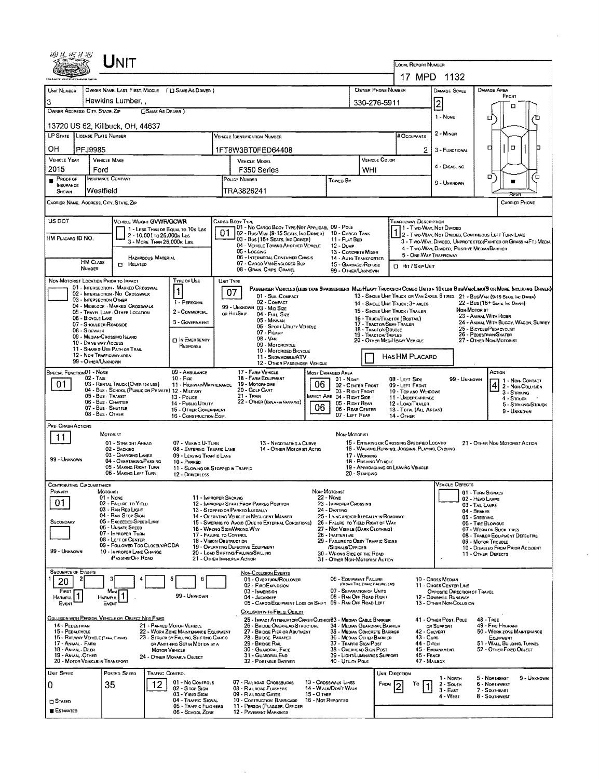|                                                                                                      | $\sf U$ NIT                                                                                                                                                                                                                                                                                                                                                                                                                     |                                                                                                                             |                                                                                                                                                                                                    |                 |                                                                                                                                                                                                                                                                                                                         |                                    |                                                                                                                                                                                                                                                                                                          |                                                       | <b>LOCAL REPORT NUMBER</b>                                                                                                                                                         |                                                                                                                               |                                                                                                              |                                                                                                                                                                                                                                                                                                                                                                                                             |
|------------------------------------------------------------------------------------------------------|---------------------------------------------------------------------------------------------------------------------------------------------------------------------------------------------------------------------------------------------------------------------------------------------------------------------------------------------------------------------------------------------------------------------------------|-----------------------------------------------------------------------------------------------------------------------------|----------------------------------------------------------------------------------------------------------------------------------------------------------------------------------------------------|-----------------|-------------------------------------------------------------------------------------------------------------------------------------------------------------------------------------------------------------------------------------------------------------------------------------------------------------------------|------------------------------------|----------------------------------------------------------------------------------------------------------------------------------------------------------------------------------------------------------------------------------------------------------------------------------------------------------|-------------------------------------------------------|------------------------------------------------------------------------------------------------------------------------------------------------------------------------------------|-------------------------------------------------------------------------------------------------------------------------------|--------------------------------------------------------------------------------------------------------------|-------------------------------------------------------------------------------------------------------------------------------------------------------------------------------------------------------------------------------------------------------------------------------------------------------------------------------------------------------------------------------------------------------------|
|                                                                                                      |                                                                                                                                                                                                                                                                                                                                                                                                                                 |                                                                                                                             |                                                                                                                                                                                                    |                 |                                                                                                                                                                                                                                                                                                                         |                                    |                                                                                                                                                                                                                                                                                                          |                                                       | 17 MPD 1132                                                                                                                                                                        |                                                                                                                               |                                                                                                              |                                                                                                                                                                                                                                                                                                                                                                                                             |
| UNIT NUMBER                                                                                          |                                                                                                                                                                                                                                                                                                                                                                                                                                 |                                                                                                                             | OWNER NAME: LAST, FIRST, MIDDLE ( C) SAME AS DRIVER )                                                                                                                                              |                 |                                                                                                                                                                                                                                                                                                                         |                                    |                                                                                                                                                                                                                                                                                                          | OWNER PHONE NUMBER                                    |                                                                                                                                                                                    | DAMAGE SCALE                                                                                                                  |                                                                                                              | <b>DAMAGE AREA</b>                                                                                                                                                                                                                                                                                                                                                                                          |
| 3                                                                                                    | Hawkins Lumber.                                                                                                                                                                                                                                                                                                                                                                                                                 |                                                                                                                             |                                                                                                                                                                                                    |                 |                                                                                                                                                                                                                                                                                                                         |                                    |                                                                                                                                                                                                                                                                                                          | 330-276-5911                                          |                                                                                                                                                                                    | 2                                                                                                                             |                                                                                                              | FRONT                                                                                                                                                                                                                                                                                                                                                                                                       |
|                                                                                                      | OWNER ADDRESS: CITY, STATE, ZIP                                                                                                                                                                                                                                                                                                                                                                                                 | <b>CISAME AS DRIVER 1</b>                                                                                                   |                                                                                                                                                                                                    |                 |                                                                                                                                                                                                                                                                                                                         |                                    |                                                                                                                                                                                                                                                                                                          |                                                       |                                                                                                                                                                                    |                                                                                                                               |                                                                                                              | п                                                                                                                                                                                                                                                                                                                                                                                                           |
|                                                                                                      | 13720 US 62, Killbuck, OH, 44637                                                                                                                                                                                                                                                                                                                                                                                                |                                                                                                                             |                                                                                                                                                                                                    |                 |                                                                                                                                                                                                                                                                                                                         |                                    |                                                                                                                                                                                                                                                                                                          |                                                       |                                                                                                                                                                                    | 1 - NONE                                                                                                                      |                                                                                                              | Ɗ<br>□                                                                                                                                                                                                                                                                                                                                                                                                      |
|                                                                                                      | LP STATE LICENSE PLATE NUMBER                                                                                                                                                                                                                                                                                                                                                                                                   |                                                                                                                             |                                                                                                                                                                                                    |                 | VEHICLE IDENTIFICATION NUMBER                                                                                                                                                                                                                                                                                           |                                    |                                                                                                                                                                                                                                                                                                          |                                                       | <b># Occupants</b>                                                                                                                                                                 | 2 - MINOR                                                                                                                     |                                                                                                              |                                                                                                                                                                                                                                                                                                                                                                                                             |
| он                                                                                                   |                                                                                                                                                                                                                                                                                                                                                                                                                                 |                                                                                                                             |                                                                                                                                                                                                    |                 |                                                                                                                                                                                                                                                                                                                         |                                    |                                                                                                                                                                                                                                                                                                          |                                                       |                                                                                                                                                                                    |                                                                                                                               |                                                                                                              | σ<br>o<br>о                                                                                                                                                                                                                                                                                                                                                                                                 |
| <b>VEHICLE YEAR</b>                                                                                  | PFJ9985<br><b>VEHICLE MAKE</b>                                                                                                                                                                                                                                                                                                                                                                                                  |                                                                                                                             |                                                                                                                                                                                                    |                 | 1FT8W3BT0FED64408                                                                                                                                                                                                                                                                                                       |                                    |                                                                                                                                                                                                                                                                                                          | VEHICLE COLOR                                         | 2                                                                                                                                                                                  | 3 - FUNCTIONAL                                                                                                                |                                                                                                              |                                                                                                                                                                                                                                                                                                                                                                                                             |
| 2015                                                                                                 | Ford                                                                                                                                                                                                                                                                                                                                                                                                                            |                                                                                                                             |                                                                                                                                                                                                    |                 | <b>VEHICLE MODEL</b><br>F350 Series                                                                                                                                                                                                                                                                                     |                                    |                                                                                                                                                                                                                                                                                                          | WHI                                                   |                                                                                                                                                                                    | 4 - DISABLING                                                                                                                 |                                                                                                              |                                                                                                                                                                                                                                                                                                                                                                                                             |
| PROOF OF                                                                                             | Insurance Company                                                                                                                                                                                                                                                                                                                                                                                                               |                                                                                                                             |                                                                                                                                                                                                    |                 | POLICY NUMBER                                                                                                                                                                                                                                                                                                           |                                    | Toweo By                                                                                                                                                                                                                                                                                                 |                                                       |                                                                                                                                                                                    | 9 - UNKNOWN                                                                                                                   |                                                                                                              | Έ<br>σ                                                                                                                                                                                                                                                                                                                                                                                                      |
| <b>INSURANCE</b><br>SHOWN                                                                            | Westfield                                                                                                                                                                                                                                                                                                                                                                                                                       |                                                                                                                             |                                                                                                                                                                                                    |                 | TRA3826241                                                                                                                                                                                                                                                                                                              |                                    |                                                                                                                                                                                                                                                                                                          |                                                       |                                                                                                                                                                                    |                                                                                                                               |                                                                                                              |                                                                                                                                                                                                                                                                                                                                                                                                             |
|                                                                                                      | CARRIER NAME, ADDRESS, CITY, STATE, ZIP                                                                                                                                                                                                                                                                                                                                                                                         |                                                                                                                             |                                                                                                                                                                                                    |                 |                                                                                                                                                                                                                                                                                                                         |                                    |                                                                                                                                                                                                                                                                                                          |                                                       |                                                                                                                                                                                    |                                                                                                                               |                                                                                                              | PFTI<br><b>CARRIER PHONE</b>                                                                                                                                                                                                                                                                                                                                                                                |
|                                                                                                      |                                                                                                                                                                                                                                                                                                                                                                                                                                 |                                                                                                                             |                                                                                                                                                                                                    |                 |                                                                                                                                                                                                                                                                                                                         |                                    |                                                                                                                                                                                                                                                                                                          |                                                       |                                                                                                                                                                                    |                                                                                                                               |                                                                                                              |                                                                                                                                                                                                                                                                                                                                                                                                             |
| US DOT<br>HM Placard ID NO.                                                                          | <b>HM CLASS</b><br>NUMBER                                                                                                                                                                                                                                                                                                                                                                                                       | VEHICLE WEIGHT GVWR/GCWR<br>2 - 10,001 to 26,000x Las<br>3 - MORE THAN 26,000K LBS.<br>HAZARDOUS MATERIAL<br>$\Box$ Related | 1 - LESS THAN OR EQUAL TO 10K LBS                                                                                                                                                                  |                 | CARGO BODY TYPE<br>01 - No CARGO BODY TYPE/NOT APPLICABL 09 - POLE<br>02 - Bus/Van (9-15 Seats, Inc Driver) 10 - Cargo Tank<br>03 - Bus (16+ Seats, Inc DRIVER)<br>04 - VEHICLE TOWING ANOTHER VEHICLE<br>05 - Locaing<br>06 - INTERMODAL CONTAINER CHASIS<br>07 - CARGO VAN ENGLOSEO BOX<br>08 - Grain, Chips, Gravel  |                                    | 11 - FLAT BED<br>$12 - D$ uм $P$<br>13 - CONCRETE MIXER<br>14 - Auto Transporter<br>15 - GARBAGE / REFUSE<br>99 - OTHER/LINKNOWN                                                                                                                                                                         |                                                       | Trafficway Description<br>1 - T wo WAY, Not Divided<br>4 - Two-Way, Divideo, Positive Median Barrier<br>5 - ONE-WAY TRAFFICWAY<br><b>D</b> Hit / Skip Unit                         |                                                                                                                               |                                                                                                              | 1 2 - Two-Way, Not Divided, Continuous Left Turn Lane<br>3 - T WO-WAY, DIVIDED, UNPROTECTED(PAINTED OR GRASS >4FT.) MEDIA                                                                                                                                                                                                                                                                                   |
|                                                                                                      | NON-MOTORIST LOCATION PRIOR TO IMPACT<br>01 - INTERSECTION - MARKED CROSSWAL<br>02 - INTERSECTION - NO CROSSWALK<br>03 - INTERSECTION OTHER<br>04 - MIDBLOCK - MARKED CROSSWALK<br>05 - TRAVEL LANE - OTHER LOCATION<br>06 - BICYCLE LANE<br>07 - SHOULDER/ROADSIDE<br>08 - Sidewalk<br>09 - MEDIAN/CROSSING ISLAND<br>10 - DRIVE WAY ACCESS<br>11 - SHARED-USE PATH OR TRAIL<br>12 - NON-TRAFFICWAY AREA<br>99 - OTHER/UNKNOWN |                                                                                                                             | Type or Use<br>$\mathbf{1}$<br>1 - PERSONAL<br>2 - COMMERCIAL<br>3 - GOVERNMENT<br><b>DIN EMERGENCY</b><br>RESPONSE                                                                                | UNIT TYPE<br>07 | 01 - Sub-COMPACT<br>02 - COMPACT<br>99 - UNKNOWN 03 - MID SIZE<br>or Hit/Skip<br>04 - Full Size<br>05 MINIVAN<br>06 - Sport Utility Vehicle<br>07 - Pickup<br>08 - VAN<br>09 - MOTORCYCLE<br>10 - MOTORIZED BICYCLE<br>11 - SNOWMOBRE/ATV<br>12 - OTHER PASSENGER VEHICLE                                               |                                    |                                                                                                                                                                                                                                                                                                          | 18 - TRACTOR/DOUBLE<br>19 - TRACTOR TRIPLES           | 14 - SINGLE UNIT TRUCK: 3+ AXLES<br>15 - SINGLE UNIT TRUCK / TRAILER<br>16 - Тяиск/Тяастон (Вовтац)<br>17 - TRACTOR/SEMI-TRAILER<br>20 - OTHER MEDIHEAVY VEHICLE<br>HAS HM PLACARD |                                                                                                                               | NON MOTORIST                                                                                                 | PASSENGER VEHICLES (LESS THAN 9 PASSENGERS MED/HEAVY TRUCKS OR COMBO UNITS > 10KLBS BUS/VAM/LIMO(9 OR MORE INCLUDING DRIVER)<br>13 - SINGLE UNIT TRUCK OR VAN 2AXLE, 6 TIRES 21 - BUS/VAN (9-15 SEATS, INC DIRINGA)<br>22 - Bus (16+ Seats, Inc Driver)<br>23 - ANIMAL WITH RIDER<br>24 - ANIMAL WITH BUGGY, WAGON, SURREY<br>25 - BICYCLE/PEDACYCLIST<br>26 - PEDESTRIAN/SKATER<br>27 - OTHER NON-MOTORIST |
| SPECIAL FUNCTION 01 - NONE<br>01.                                                                    | $02 - T$ AXI<br>03 - RENTAL TRUCK (OVER 10K LBS)<br>04 - Bus - SCHOOL (PUBLIC OR PRIVATE) 12 - MILITARY<br>05 - Bus - TRANSIT<br>06 - Bus - Charter<br>07 - Bus - SHUTTLE<br>08 - Bus - OTHER                                                                                                                                                                                                                                   |                                                                                                                             | 09 - AMBULANCE<br>$10 -$ Fine<br>11 - HIGHWAY/MAINTENANCE<br>13 - Pouce<br>14 - Pusuc Urarry<br>15 - OTHER GOVERNMENT<br>16 - CONSTRUCTION EOIP.                                                   |                 | 17 - FARM VEHICLE<br>18 - Еаям Еошрмент<br>19 - Мотопноме<br>20 - Golf Cart<br>21 - Train<br>22 - OTHER (EXPLAIN IN NARRATIVE)                                                                                                                                                                                          | 06<br>06                           | <b>MOST DAMAGED AREA</b><br>01 - None<br>02 - CENTER FRONT<br>03 - RIGHT FRONT<br>IMPACT ARE 04 - RIGHT SIDE<br>05 - Right Rear<br>06 - REAR CENTER<br>07 - LEFT REAR                                                                                                                                    |                                                       | $08 -$ LEFT $S$ ide<br>09 - LEFT FRONT<br>10 - TOP ANO WINDOWS<br>11 - UNDERCARRIAGE<br>12 - LOAD/TRAILER<br>13 - TOTAL (ALL AREAS)<br>14 - OTHER                                  |                                                                                                                               | 99 - Unknown                                                                                                 | ACTION<br>$\begin{array}{ c c }\n\hline\n4 & 2 - \text{Non-ConvACT} \\ \hline\n\end{array}$<br>3 - STRIKING<br>4 - Struck<br>5 - STRIKING/STRUCK<br>9 - UNKNDWN                                                                                                                                                                                                                                             |
| PRE- CRASH ACTIONS<br>11<br>99 - UNKNOWN                                                             | MOTORIST<br>01 - STRAIGHT AHEAD<br>02 - BACKING<br>03 - CHANGING LANES                                                                                                                                                                                                                                                                                                                                                          | 04 - OVERTAKING/PASSING<br>05 - MAKING RIGHT TURN<br>06 - MAKING LEFT TURN                                                  | 07 - MAKING U-TURN<br>08 - ENTERING TRAFFIC LANE<br>09 - LEAVING TRAFFIC LANE<br>10 - PARKED<br>11 - SLOWING OR STOPPED IN TRAFFIC<br>12 - DRIVERLESS                                              |                 | 13 - NEGDTIATING A CURVE<br>14 - OTHER MOTORIST ACTIO                                                                                                                                                                                                                                                                   |                                    | NON-MOTORIST                                                                                                                                                                                                                                                                                             | 17 - WORKING<br>18 - PUSHING VEHICLE<br>20 - STANDING | 15 - ENTERING OR CROSSING SPECIFIED LOCATIO<br>16 - WALKING, RUNNING, JOGGING, PLAYING, CYCLING<br>19 - APPROACHING OR LEAVING VEHICLE                                             |                                                                                                                               |                                                                                                              | 21 - OTHER NON MOTORIST ACTION                                                                                                                                                                                                                                                                                                                                                                              |
| PRIMARY                                                                                              | <b>CONTRIBUTING CIRCUMSTANCE</b><br>MOTORIST                                                                                                                                                                                                                                                                                                                                                                                    |                                                                                                                             |                                                                                                                                                                                                    |                 |                                                                                                                                                                                                                                                                                                                         | NON-MOTORIST                       |                                                                                                                                                                                                                                                                                                          |                                                       |                                                                                                                                                                                    | VEHICLE DEFECTS                                                                                                               |                                                                                                              |                                                                                                                                                                                                                                                                                                                                                                                                             |
| 01<br>SECONDARY<br>99 - UNKNOWN                                                                      | $01 - None$<br>02 - FAILURE TO YIELD<br>03 - RAN RED LIGHT<br>04 - RAN STOP SIGN<br>06 - UNSAFE SPEED<br>07 - IMPROPER TURN<br>08 - LEFT OF CENTER                                                                                                                                                                                                                                                                              | 05 - Exceeded Speed Limit<br>09 - FOLLOWED TOO CLOSELY/ACDA<br>10 - IMPROPER LANE CHANGE<br><b>PASSING/OFF ROAD</b>         | 11 - IMPROPER BACKING<br>17 - FALURE TO CONTROL<br><b>18 - VISION OBSTRUCTION</b>                                                                                                                  |                 | 12 - IMPROPER START FROM PARKED POSITION<br>13 - STOPPED OR PARKED LLEGALLY<br>14 - OPERATING VEHICLE IN NEGLIGENT MANNER<br>15 - SWERING TO AVOID (DUE TO EXTERNAL CONDITIONS)<br>16 - WRONG SIDE/WRONG WAY<br>19 - OPERATING DEFECTIVE EQUIPMENT<br>20 - LOAD SHIFTING/FALLING/SPILLING<br>21 - OTHER IMPROPER ACTION | 22 - NONE                          | 23 - IMPROPER CROSSING<br>24 - DARTING<br>25 - LYING AND/OR ILLEGALLY IN ROADWAY<br>26 - FALURE TO YIELD RIGHT OF WAY<br>27 - NOT VISIBLE (DARK CLOTHING)<br>28 - INATTENTIVE<br>29 - FAILURE TO OBEY TRAFFIC SIGNS<br>/SIGNALS/OFFICER<br>30 - WRONG SIDE OF THE ROAD<br>31 - OTHER NON-MOTORIST ACTION |                                                       |                                                                                                                                                                                    |                                                                                                                               | 01 - TURN SIGNALS<br>02 - HEAD LAMPS<br>03 - TAIL LAMPS<br>04 - BRAKES<br>05 - STEERING<br>06 - TIRE BLOWOUT | 07 - WORN OR SLICK TIRES<br>08 - TRAILER EQUIPMENT DEFECTIVE<br>09 - Motor Trouble<br>10 - DISABLEO FROM PRIOR ACCIDENT<br>11 - OTHER DEFECTS                                                                                                                                                                                                                                                               |
| <b>SEQUENCE OF EVENTS</b><br>20<br>FIRST<br><b>HARMFUL</b><br>EVENT                                  | 2<br>Most<br>HARMFUL <sup>1</sup><br>EVENT                                                                                                                                                                                                                                                                                                                                                                                      |                                                                                                                             | 5<br>6<br>99 - UNKNOWN                                                                                                                                                                             |                 | NON-COLLISION EVENTS<br>01 - Overturn/Rollover<br>02 - FIRE/EXPLOSION<br>03 - IMMERSION<br>04 - JACKRINFE<br>05 - CARGO/EQUIPMENT LOSS OR SHIFT 09 - RAN OFF ROAD LEFT<br>COLLISION WITH FIXED, OBJECT                                                                                                                  |                                    | 06 - EQUIPMENT FAILURE<br>07 - SEPARATION OF UNITS<br>08 - RAN OFF ROAD RIGHT                                                                                                                                                                                                                            | (BLOWN TIRE, BRAKE FAILURE, ETC)                      | 12                                                                                                                                                                                 | 10 - Cross Median<br>11 - CROSS CENTER LINE<br>OPPOSITE DIRECTION OF TRAVEL<br>- Downhill Runaway<br>13 - OTHER NON-COLLISION |                                                                                                              |                                                                                                                                                                                                                                                                                                                                                                                                             |
| 14 - PEDESTRIAN<br>15 - PEDALCYCLE<br>17 - Animal - Farm<br>18 - Animal - Deer<br>19 - ANMAL - OTHER | COLUSION WITH PERSON, VEHICLE OR OBJECT NOT FIXED<br>16 - RAILWAY VEHICLE (TRAW, ENGINE)<br>20 - MOTOR VEHICLE IN TRANSPORT                                                                                                                                                                                                                                                                                                     |                                                                                                                             | 21 - PARKED MOTOR VEHICLE<br>22 - WORK ZONE MAINTENANCE EQUIPMENT<br>23 - STRUCK BY FALLING, SHIFTING CARGO<br>OR ANYTHING SET IN MOTION BY A<br><b>MOTOR VEHICLE</b><br>24 - OTHER MOVABLE OBJECT |                 | 25 - IMPACT ATTENUATOR/CRASH CUSHIOX83 - MEDIAN CABLE BARRIER<br>26 - BRIDGE OVERHEAD STRUCTURE<br>27 - BRIDGE PIER OR ABUTMENT<br>28 - BRIDGE PARAPET<br>29 - BRIDGE RAIL<br>30 - GUARDRAIL FACE<br>31 - GUARDRAILEND<br>32 - PORTABLE BARRIER                                                                         |                                    | 34 - MEDIAN GUARDRAIL BARRIER<br>35 - Median Concrete Barrier<br>36 - MEDIAN OTHER BARRIER<br>37 - TRAFFIC SIGN POST<br>38 - OVERHEAD SIGN POST<br>39 - LIGHT/LUMINARIES SUPPORT<br>40 - UTILITY POLE                                                                                                    |                                                       | 42 - CULVERT<br>43 - Cuna<br>44 - Олсн<br>$46$ - Feace<br>47 - MAILBOX                                                                                                             | 41 - OTHER POST, POLE<br>OR SUPPORT<br>45 - EMBANKMENT                                                                        |                                                                                                              | 48 - TREE<br>49 - FIRE HYDRANT<br>50 - WORK ZONE MAINTENANCE<br>EQUIPMENT<br>51 - WALL, BUILDING, TUNNEL<br>52 - OTHER FIXED OBJECT                                                                                                                                                                                                                                                                         |
| UNIT SPEED<br>0<br>$\square$ Stated<br><b>ESTIMATED</b>                                              | Postep SPEED<br>35                                                                                                                                                                                                                                                                                                                                                                                                              | TRAFFIC CONTROL<br>12                                                                                                       | 01 - No CONTROLS<br>02 - S TOP SIGN<br>03 - Yield Sign<br>04 - TRAFFIC SIGNAL<br>05 - TRAFFIC FLASHERS<br>06 - SCHOOL ZONE                                                                         |                 | 07 - RAILROAD CROSSBUCKS<br>08 - RAILROAD FLASHERS<br>09 - RAILROAD GATES<br>10 - COSTRUCTION BARRICADE<br>11 - PERSON (FLAGGER, OFFICER<br><b>12 - PAVEMENT MARKINGS</b>                                                                                                                                               | $15 - O$ THER<br>16 - Not Reported | 13 - CROSSWALK LINES<br>14 - WALK/DON'T WALK                                                                                                                                                                                                                                                             | Fenu                                                  | UNIT DIRECTION<br>Т٥                                                                                                                                                               | 1 - North<br>$2 -$ South<br>$3 - EAST$<br>4 - West                                                                            |                                                                                                              | 5 - NORTHEAST<br>9 - UNKNOWN<br><b>6 - NORTHWEST</b><br>7 - SOUTHEAST<br>8 - SOUTHWEST                                                                                                                                                                                                                                                                                                                      |

 $\sim$ 

 $\sim$ 

 $\mathcal{L}_{\text{max}}$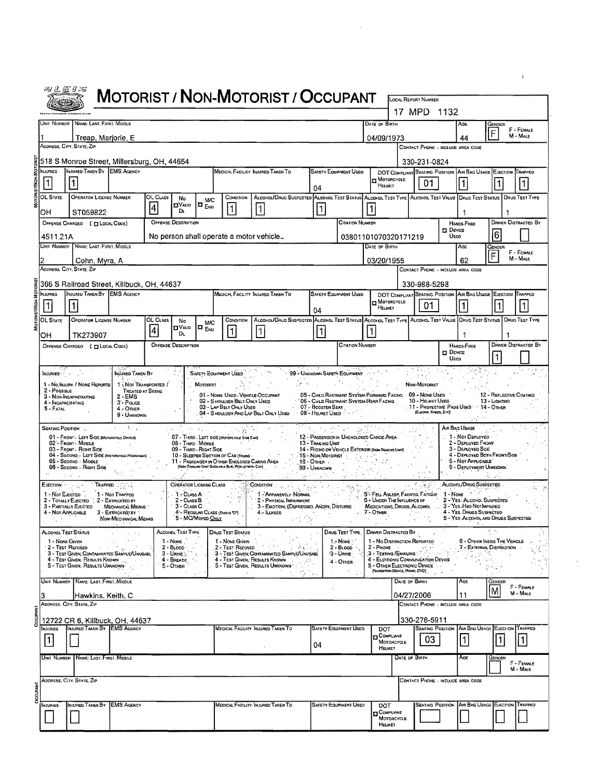|                       | 49 L C 9 S                                                                                  |                                         |                                             |                                 |                                                                                                                                         | <b>MOTORIST / NON-MOTORIST / OCCUPANT</b>                                                                         |                                     |                                                                                         |                          |                                                                    |                                           |                                                                                                                     |                                                          |                             |
|-----------------------|---------------------------------------------------------------------------------------------|-----------------------------------------|---------------------------------------------|---------------------------------|-----------------------------------------------------------------------------------------------------------------------------------------|-------------------------------------------------------------------------------------------------------------------|-------------------------------------|-----------------------------------------------------------------------------------------|--------------------------|--------------------------------------------------------------------|-------------------------------------------|---------------------------------------------------------------------------------------------------------------------|----------------------------------------------------------|-----------------------------|
|                       |                                                                                             |                                         |                                             |                                 |                                                                                                                                         |                                                                                                                   |                                     |                                                                                         |                          |                                                                    | <b>LOCAL REPORT NUMBER</b><br>17 MPD 1132 |                                                                                                                     |                                                          |                             |
|                       | UNIT NUMBER NAME: LAST, FIRST, MIDDLE                                                       |                                         |                                             |                                 |                                                                                                                                         |                                                                                                                   |                                     |                                                                                         | <b>DATE OF BIRTH</b>     |                                                                    |                                           | AGE                                                                                                                 | GENDER                                                   |                             |
|                       | Treap, Marjorie, E                                                                          |                                         |                                             |                                 |                                                                                                                                         |                                                                                                                   |                                     |                                                                                         |                          | 04/09/1973                                                         |                                           | 44                                                                                                                  | F                                                        | F - FEMALE<br>M - MALE      |
|                       | ADDRESS, CITY, STATE, ZIP                                                                   |                                         |                                             |                                 |                                                                                                                                         |                                                                                                                   |                                     |                                                                                         |                          |                                                                    |                                           | CONTACT PHONE - INCLUDE AREA CODE                                                                                   |                                                          |                             |
| <b>INJURIES</b>       | 518 S Monroe Street, Millersburg, OH, 44654<br>INJURED TAKEN BY EMS AGENCY                  |                                         |                                             |                                 |                                                                                                                                         | MEDICAL FACILITY INJURED TAKEN TO                                                                                 |                                     | <b>SAFETY EQUIPMENT USEO</b>                                                            |                          |                                                                    | 330-231-0824                              | DOT COMPLIANT SEATING POSITION AIR BAG USAGE EJECTION TRAPPED                                                       |                                                          |                             |
| 1                     |                                                                                             |                                         |                                             |                                 |                                                                                                                                         |                                                                                                                   |                                     |                                                                                         |                          | MOTORCYCLE<br><b>HELMET</b>                                        | 01                                        | 1                                                                                                                   |                                                          |                             |
| <b>OL STATE</b>       | <b>OPERATOR LICENSE NUMBER</b>                                                              | OL CLASS                                | No                                          | <b>M/C</b>                      | CONDITION                                                                                                                               | ALCONOL/DRUG SUSPECTED ALCONOL TEST STATUS ALCONOL TEST TYPE ALCONOL TEST VALUE DRUG TEST STATUS   DRUG TEST TYPE | 04                                  |                                                                                         |                          |                                                                    |                                           |                                                                                                                     |                                                          |                             |
| OH                    | ST069822                                                                                    | $\vert 4 \vert$                         | $\Box$ VALID<br>D.                          | $\Box$ $_{\text{Eno}}$          | 1                                                                                                                                       |                                                                                                                   | 1                                   |                                                                                         | 1                        |                                                                    |                                           | 1                                                                                                                   | 1                                                        |                             |
|                       | OFFENSE CHARGEO ( [ LOCAL COOE)                                                             |                                         | OFFENSE DESCRIPTION                         |                                 |                                                                                                                                         |                                                                                                                   |                                     | CITATION NUMBER                                                                         |                          |                                                                    |                                           | HANDS-FREE<br>$\square$ Device                                                                                      |                                                          | DRIVER DISTRACTED BY        |
| 4511.21A              |                                                                                             |                                         |                                             |                                 | No person shall operate a motor vehicle                                                                                                 |                                                                                                                   |                                     |                                                                                         |                          | 03801101070320171219                                               |                                           | <b>UsEO</b>                                                                                                         | 6                                                        |                             |
|                       | UNIT NUMBER NAME: LAST, FIRST, MIDDLE                                                       |                                         |                                             |                                 |                                                                                                                                         |                                                                                                                   |                                     |                                                                                         | DATE OF BIRTH            |                                                                    |                                           | AGE<br>62                                                                                                           | Gender<br>F                                              | F - FEMALE<br>M - MALE      |
|                       | Cohn, Myra, A<br>ADDRESS, CITY, STATE, ZIP                                                  |                                         |                                             |                                 |                                                                                                                                         |                                                                                                                   |                                     |                                                                                         |                          | 03/20/1955                                                         |                                           | CONTACT PHONE - INCLUDE AREA CODE                                                                                   |                                                          |                             |
|                       | 366 S Railroad Street, Killbuck, OH, 44637                                                  |                                         |                                             |                                 |                                                                                                                                         |                                                                                                                   |                                     |                                                                                         |                          |                                                                    | 330-988-5298                              |                                                                                                                     |                                                          |                             |
| <b>INJURIES</b>       | INJURED TAKEN BY <b>IEMS</b> AGENCY                                                         |                                         |                                             |                                 |                                                                                                                                         | MEDICAL FACILITY INJURED TAKEN TO                                                                                 |                                     | <b>SAFETY EQUIPMENT USED</b>                                                            |                          | MOTORCYCLE                                                         |                                           | DOT COMPLIANT SEATING POSITION AIR BAG USAGE EJECTION TRAPPED                                                       |                                                          |                             |
| $\vert$ 1             |                                                                                             |                                         |                                             |                                 |                                                                                                                                         |                                                                                                                   | 04                                  |                                                                                         |                          | HELMET                                                             | 01                                        | $\vert$ 1                                                                                                           | $\vert$ 1                                                | $\vert$ 1                   |
| OL STATE              | <b>OPERATOR LICENSE NUMBER</b>                                                              | OL CLASS<br>$\overline{\bf{4}}$         | No<br><b>DVALIO</b><br>DL.                  | <b>M/C</b><br>I E <sub>ND</sub> | CONDITION<br>$\overline{1}$                                                                                                             | ALCOHOL/DRUG SUSPECTED ALCOHOL TEST STATUS ALCOHOL TEST TYPE ALCOHOL TEST VALUE DRUG TEST STATUS<br>1             | 11                                  |                                                                                         |                          |                                                                    |                                           |                                                                                                                     |                                                          | <b>DRUG TEST TYPE</b>       |
| OН                    | TK273907<br>OFFENSE CHARGEO ( TI LOCAL CODE)                                                |                                         | <b>OFFENSE DESCRIPTION</b>                  |                                 |                                                                                                                                         |                                                                                                                   |                                     | <b>CITATION NUMBER</b>                                                                  |                          |                                                                    |                                           | 1<br><b>HANDS-FREE</b>                                                                                              |                                                          | <b>DRIVER DISTRACTED BY</b> |
|                       |                                                                                             |                                         |                                             |                                 |                                                                                                                                         |                                                                                                                   |                                     |                                                                                         |                          |                                                                    |                                           | <b>D</b> DEVICE<br><b>Usep</b>                                                                                      |                                                          |                             |
| NJURIES <sup></sup> . | MURED TAKEN BY                                                                              |                                         |                                             |                                 | <b>SAFETY EQUIPMENT USED</b>                                                                                                            |                                                                                                                   |                                     | 99 - UNKNOWN SAFETY EQUIPMENT                                                           |                          |                                                                    | キキノ                                       |                                                                                                                     |                                                          |                             |
| $2 - PossIBLE$        | 1 - No INAIRY / NONE REPORTE                                                                | 1-Not TRANSPORTED /<br>TREATED AT SCENE |                                             | MOTORIST -                      |                                                                                                                                         |                                                                                                                   | ýφ κ.                               |                                                                                         |                          |                                                                    | Non-Motorist                              |                                                                                                                     |                                                          |                             |
|                       | $2 - EMS$<br>3 - NON-INCAPACITATING<br>3 <sup>-</sup> Pouce<br>4 - NCAPACITATING            |                                         |                                             |                                 | 01 - NONE USED - VEHICLE OCCUPANT<br>02 - S HOULDER BELT ONLY USED<br>03 - LAP BELT ONLY USED                                           |                                                                                                                   | 07 - BOOSTER SEAT                   | 05 - Child Restraint System-Forward Facing<br>' 06 - Chald Restraint System-Rear Facing |                          |                                                                    | 09 - Nove Used<br>10 - HELMET USED        | 11 - PROTECTIVE PADS USED : 14 - OTHER                                                                              | 12 - REFLECTIVE COATING<br>13 - LIGHTING                 |                             |
| 5 - Fatal             | 4 OTHER<br>9 - UNKNOWN                                                                      |                                         |                                             |                                 |                                                                                                                                         | 04 - SHOULDER AND LAP BELT ONLY USED<br>$\sim$ $\sim$                                                             | 08 - HELMET USED                    |                                                                                         |                          |                                                                    | (Eurows, Krees, Erc)                      |                                                                                                                     |                                                          |                             |
|                       | 美士<br>Seating Position<br>01 - FRONT - LEFT SIDE (Motorcycle DRIVER)                        |                                         |                                             | st ag                           | 07 - THIRD - LEFT SIDE (MOTORCYCLE SIDE CAR)                                                                                            |                                                                                                                   |                                     | 12 - PASSENGER IN UNENCLOSED CARGO AREA                                                 |                          |                                                                    |                                           | Air Bag Usage<br>1 - Not Deployed                                                                                   |                                                          |                             |
|                       | 02 - FRONT - MIDDLE<br>03 - FRONT - RIGHT SIDE                                              |                                         | 08 - THIRD MIDDLE<br>09 - THEO - RIGHT SIDE |                                 |                                                                                                                                         |                                                                                                                   | 13 - Traling Unit                   | 14 - RIOING ON VEHICLE EXTERIOR (NO+ TRALING UNIT)                                      | <b>Contract Contract</b> |                                                                    |                                           | 2 - DEPLOYED FRONT<br>3 - DEPLOYED SIDE                                                                             |                                                          |                             |
|                       | 04 - SECOND - LEFT SIDE (MOTORCYCLE PASSENGER)<br>05 - Second - MIDDLE                      |                                         |                                             |                                 | 10 - SLEEPER SECTION OF CAB (TRUGO)<br>11 - PASSENGER IN OTHER ENCLOSED CARGO AREA<br>(NON-TRAZING UNIT SUCH AS A BUS, PICKUP WITH CAP) |                                                                                                                   | 15 - Non-Motorist<br>$16 -$ OTHER . |                                                                                         |                          |                                                                    |                                           | 4 - DEPLOYED BOTH FRONT/SIDE<br>5 - NOT APPLICABLE                                                                  |                                                          |                             |
|                       | 06 - SECOND - RIGHT SIDE                                                                    |                                         |                                             |                                 |                                                                                                                                         |                                                                                                                   | 99 - Unknown<br>ig a 1              |                                                                                         |                          |                                                                    |                                           | 9 - DEPLOYMENT UNKNOWN                                                                                              |                                                          |                             |
| EJECTION .            | TRAPPED SPE<br>1 - Not EJECTED<br>1 - Not TRAPPED                                           |                                         | OPERATOR LICENSE CLASS<br>1 - CLASS A       |                                 |                                                                                                                                         | $\textbf{ConvATION}(\mathcal{C}_{\text{Cyl}}(\mathcal{C}))$<br>1 - APPARENTLY NORMAL                              |                                     |                                                                                         |                          | 5 - FELL ASLEEP, FAINTED, FATIOUS                                  |                                           | ALCOHOL/DRUG SUSPECTED<br>1 - NONE                                                                                  |                                                          |                             |
|                       | 2 - TOTALLY EJECTED   2 - EXTRICATED BY<br>3 - PARTIALLY EJECTED<br><b>MECHANICAL MEANS</b> |                                         | $2 - Class B$<br>3 - CLASS C                |                                 |                                                                                                                                         | 2 - PHYSICAL IMPAIRMENT<br>3 - EMOTIONL (DEPRESSED, ANGRY, DISTURBE                                               |                                     |                                                                                         |                          | 6 - UNDER THE INFLUENCE OF<br>MEDICATIONS, DRUOS, ALCOHOL          |                                           | 2 - YES - ALCOHOL SUSPECTED<br>3 YES HBO NOTIMPARED                                                                 |                                                          |                             |
| N B                   | 4 - Not Applicable<br>3 - EXTRICATED BY<br>NON-MECHANICAL MEANS                             |                                         |                                             | 5 - MC/Mored Only               | 4 - REGULAR CLASS (OHOLS DT                                                                                                             | 4 .- ILLNESS                                                                                                      |                                     |                                                                                         | $7 -$ OTHER              |                                                                    |                                           | 4 - YES DRUGS SUSPECTED<br>5 - Yes Alcohol and Drugs Suspected<br>$\mathcal{R}_{\mathcal{N}\rightarrow\mathcal{N}}$ |                                                          |                             |
|                       | <b>ALCOHOL TEST STATUS</b>                                                                  |                                         | ALCOHOL TEST TYPE                           |                                 | <b>DRUG TEST STATUS</b>                                                                                                                 |                                                                                                                   |                                     | DRUG TEST TYPE                                                                          |                          | DRIVER DISTRACTED BY                                               |                                           |                                                                                                                     |                                                          |                             |
|                       | 1 - NONE GIVEN<br>2 - Test Refused<br>3 - TEST GIVEN, CONTAMINATED SAMPLE/UNUSABL           |                                         | 1 - NONE<br>$2 - B$ LOOD<br>3 - URINE       |                                 | 1 - NONE GIVEN<br>2 - TEST REFUSED                                                                                                      | 3 - Test Given, Contaminated Sample/Unusabl                                                                       |                                     | 1 - None<br>$2 - B$ LOOD<br>/3 - Ünine ∶                                                |                          | 1 - No Distraction Reported<br>2 - Phone<br>3 - Texting / Emailing |                                           |                                                                                                                     | 6 - OTHER INSIDE THE VEHICLE<br>7 - EXTERNAL DISTRACTION |                             |
|                       | 4 - TEST GIVEN, RESULTS KNOWN<br>5 - TEST GIVEN, RESULTS UNKNOWN                            |                                         | 4 - Breath<br>$5 -$ OTHER                   |                                 |                                                                                                                                         | 4 - TEST GIVEN, RESULTS KNOWN<br>5 - TEST GIVEN, RESULTS UNKNOWN                                                  |                                     | 4 - OTHER                                                                               |                          | 5 - OTHER ELECTRONIC DEVICE                                        | 4 - ELOTRONIC COMMUNICATION DEVICE        |                                                                                                                     |                                                          |                             |
|                       | UNIT NUMBER   NAME: LAST FIRST MIDDLE                                                       |                                         |                                             |                                 |                                                                                                                                         |                                                                                                                   |                                     |                                                                                         |                          | (NAWGATION DEVICE, RADIO, DVD)<br>DATE OF BIRTH                    |                                           | AGE                                                                                                                 | GENDER                                                   |                             |
| 3                     | lHawkins, Keith, C                                                                          |                                         |                                             |                                 |                                                                                                                                         |                                                                                                                   |                                     |                                                                                         |                          | 04/27/2006                                                         |                                           | 11                                                                                                                  |                                                          | F - Female<br>M - Male      |
|                       | ADDRESS, CITY, STATE, ZIP                                                                   |                                         |                                             |                                 |                                                                                                                                         |                                                                                                                   |                                     |                                                                                         |                          |                                                                    |                                           | CONTACT PHONE - INCLUDE AREA CODE                                                                                   |                                                          |                             |
|                       | 12722 CR 6, Killbuck, OH, 44637                                                             |                                         |                                             |                                 |                                                                                                                                         |                                                                                                                   |                                     |                                                                                         |                          |                                                                    | 330-276-5911                              |                                                                                                                     |                                                          |                             |
| <b>NJURIES</b><br> 1  | INJURED TAKEN BY EMS AGENCY                                                                 |                                         |                                             |                                 |                                                                                                                                         | MEDICAL FACILITY INJURED TAKEN TO                                                                                 |                                     | <b>SAFETY EQUIPMENT USED</b>                                                            |                          | DOT<br><b>DOMPLIANT</b><br>Мотоясусце                              | 03                                        | SEATING POSITION AIR BAG USAGE EJECTION TRAPPED<br> 1                                                               | 1                                                        | 1                           |
|                       |                                                                                             |                                         |                                             |                                 |                                                                                                                                         |                                                                                                                   | 04                                  |                                                                                         |                          | HELMET                                                             |                                           |                                                                                                                     |                                                          |                             |
|                       | UNIT NUMBER   NAME: LAST, FIRST, MIDDLE                                                     |                                         |                                             |                                 |                                                                                                                                         |                                                                                                                   |                                     |                                                                                         |                          | DATE OF BIRTH                                                      |                                           | Age                                                                                                                 | Genden                                                   | F - Female<br>M - MALE      |
|                       | ADDRESS, CITY, STATE, ZIP                                                                   |                                         |                                             |                                 |                                                                                                                                         |                                                                                                                   |                                     |                                                                                         |                          |                                                                    |                                           | CONTACT PHONE - INCLUDE AREA CODE                                                                                   |                                                          |                             |
| OCCUPANT              |                                                                                             |                                         |                                             |                                 |                                                                                                                                         |                                                                                                                   |                                     |                                                                                         |                          |                                                                    |                                           |                                                                                                                     |                                                          |                             |
| <b>NJURIES</b>        | <b>INJURED TAKEN BY EMS AGENCY</b>                                                          |                                         |                                             |                                 |                                                                                                                                         | MEDICAL FACILITY INJURED TAKEN TO                                                                                 |                                     | <b>SAFETY EQUIPMENT USED</b>                                                            |                          | DOT<br><b>PT COMPLIANT</b>                                         |                                           | SEATING POSITION AIR BAG USAGE EJECTION TRAPPED                                                                     |                                                          |                             |
|                       |                                                                                             |                                         |                                             |                                 |                                                                                                                                         |                                                                                                                   |                                     |                                                                                         |                          | MOTORCYCLE<br>HEWET                                                |                                           |                                                                                                                     |                                                          |                             |

 $\bar{1}$